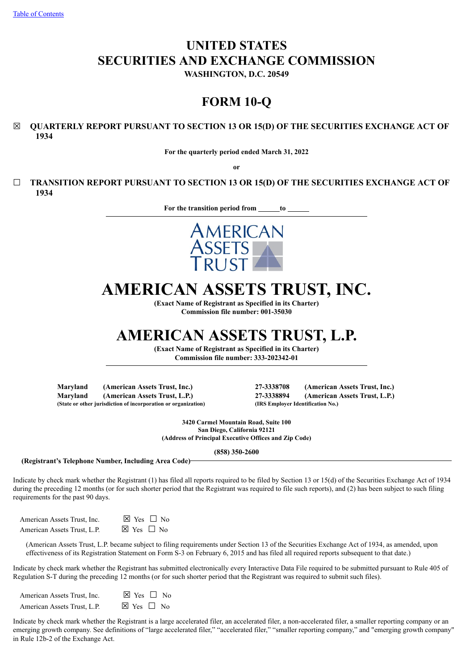# **UNITED STATES SECURITIES AND EXCHANGE COMMISSION**

**WASHINGTON, D.C. 20549**

## **FORM 10-Q**

### ☒ **QUARTERLY REPORT PURSUANT TO SECTION 13 OR 15(D) OF THE SECURITIES EXCHANGE ACT OF 1934**

**For the quarterly period ended March 31, 2022**

**or**

## ☐ **TRANSITION REPORT PURSUANT TO SECTION 13 OR 15(D) OF THE SECURITIES EXCHANGE ACT OF 1934**

**For the transition period from to**



# **AMERICAN ASSETS TRUST, INC.**

**(Exact Name of Registrant as Specified in its Charter) Commission file number: 001-35030**

# **AMERICAN ASSETS TRUST, L.P.**

**(Exact Name of Registrant as Specified in its Charter) Commission file number: 333-202342-01**

**Maryland (American Assets Trust, Inc.) 27-3338708 (American Assets Trust, Inc.) Maryland (American Assets Trust, L.P.) 27-3338894 (American Assets Trust, L.P.) (State or other jurisdiction of incorporation or organization) (IRS Employer Identification No.)**

**3420 Carmel Mountain Road, Suite 100 San Diego, California 92121**

**(Address of Principal Executive Offices and Zip Code)**

**(858) 350-2600**

**(Registrant's Telephone Number, Including Area Code)**

Indicate by check mark whether the Registrant (1) has filed all reports required to be filed by Section 13 or 15(d) of the Securities Exchange Act of 1934 during the preceding 12 months (or for such shorter period that the Registrant was required to file such reports), and (2) has been subject to such filing requirements for the past 90 days.

American Assets Trust, Inc.  $\boxtimes$  Yes  $\Box$  No American Assets Trust, L.P.  $\boxtimes$  Yes  $\Box$  No

(American Assets Trust, L.P. became subject to filing requirements under Section 13 of the Securities Exchange Act of 1934, as amended, upon effectiveness of its Registration Statement on Form S-3 on February 6, 2015 and has filed all required reports subsequent to that date.)

Indicate by check mark whether the Registrant has submitted electronically every Interactive Data File required to be submitted pursuant to Rule 405 of Regulation S-T during the preceding 12 months (or for such shorter period that the Registrant was required to submit such files).

American Assets Trust, Inc.  $\boxtimes$  Yes  $\Box$  No American Assets Trust, L.P.  $\boxtimes$  Yes  $\Box$  No

Indicate by check mark whether the Registrant is a large accelerated filer, an accelerated filer, a non-accelerated filer, a smaller reporting company or an emerging growth company. See definitions of "large accelerated filer," "accelerated filer," "smaller reporting company," and "emerging growth company" in Rule 12b-2 of the Exchange Act.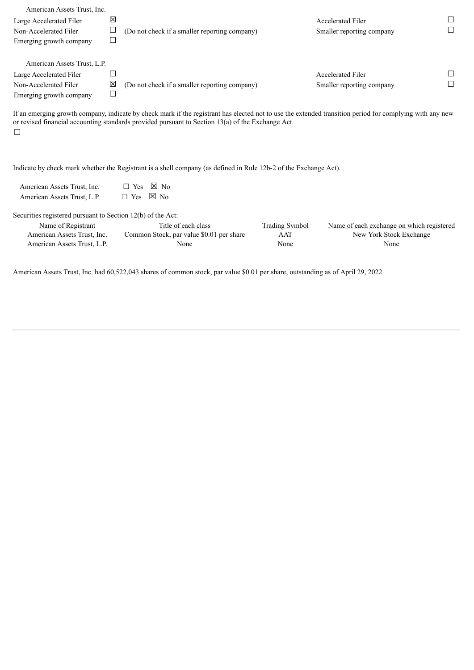| American Assets Trust, Inc.<br>Large Accelerated Filer<br>Non-Accelerated Filer<br>Emerging growth company | ⊠                | (Do not check if a smaller reporting company)                                                                                                                                                                                                                 | Accelerated Filer<br>Smaller reporting company |  |
|------------------------------------------------------------------------------------------------------------|------------------|---------------------------------------------------------------------------------------------------------------------------------------------------------------------------------------------------------------------------------------------------------------|------------------------------------------------|--|
| American Assets Trust, L.P.<br>Large Accelerated Filer<br>Non-Accelerated Filer<br>Emerging growth company | $\boxtimes$<br>ப | (Do not check if a smaller reporting company)                                                                                                                                                                                                                 | Accelerated Filer<br>Smaller reporting company |  |
| $\Box$                                                                                                     |                  | If an emerging growth company, indicate by check mark if the registrant has elected not to use the extended transition period for complying with any new<br>or revised financial accounting standards provided pursuant to Section 13(a) of the Exchange Act. |                                                |  |

Indicate by check mark whether the Registrant is a shell company (as defined in Rule 12b-2 of the Exchange Act).

| American Assets Trust, Inc. | $\Box$ Yes $\boxtimes$ No |  |
|-----------------------------|---------------------------|--|
| American Assets Trust, L.P. | $\Box$ Yes $\boxtimes$ No |  |

Securities registered pursuant to Section 12(b) of the Act:

| Name of Registrant          | Title of each class                      | <b>Trading Symbol</b> | Name of each exchange on which registered |
|-----------------------------|------------------------------------------|-----------------------|-------------------------------------------|
| American Assets Trust, Inc. | Common Stock, par value \$0.01 per share | AAT                   | New York Stock Exchange                   |
| American Assets Trust, L.P. | None                                     | None                  | None                                      |

American Assets Trust, Inc. had 60,522,043 shares of common stock, par value \$0.01 per share, outstanding as of April 29, 2022.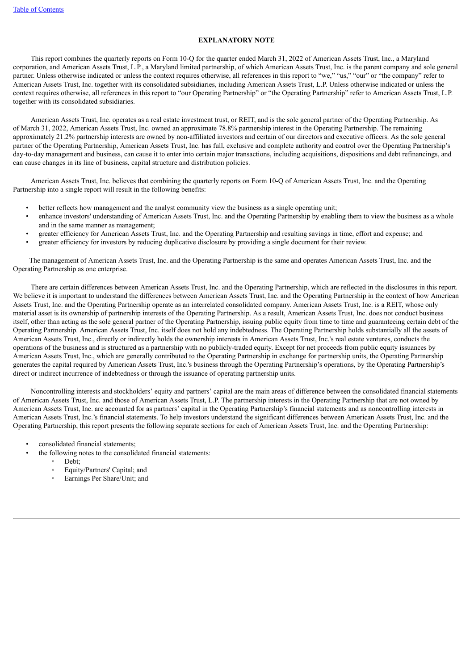### **EXPLANATORY NOTE**

This report combines the quarterly reports on Form 10-Q for the quarter ended March 31, 2022 of American Assets Trust, Inc., a Maryland corporation, and American Assets Trust, L.P., a Maryland limited partnership, of which American Assets Trust, Inc. is the parent company and sole general partner. Unless otherwise indicated or unless the context requires otherwise, all references in this report to "we," "us," "our" or "the company" refer to American Assets Trust, Inc. together with its consolidated subsidiaries, including American Assets Trust, L.P. Unless otherwise indicated or unless the context requires otherwise, all references in this report to "our Operating Partnership" or "the Operating Partnership" refer to American Assets Trust, L.P. together with its consolidated subsidiaries.

American Assets Trust, Inc. operates as a real estate investment trust, or REIT, and is the sole general partner of the Operating Partnership. As of March 31, 2022, American Assets Trust, Inc. owned an approximate 78.8% partnership interest in the Operating Partnership. The remaining approximately 21.2% partnership interests are owned by non-affiliated investors and certain of our directors and executive officers. As the sole general partner of the Operating Partnership, American Assets Trust, Inc. has full, exclusive and complete authority and control over the Operating Partnership's day-to-day management and business, can cause it to enter into certain major transactions, including acquisitions, dispositions and debt refinancings, and can cause changes in its line of business, capital structure and distribution policies.

American Assets Trust, Inc. believes that combining the quarterly reports on Form 10-Q of American Assets Trust, Inc. and the Operating Partnership into a single report will result in the following benefits:

- better reflects how management and the analyst community view the business as a single operating unit;
- enhance investors' understanding of American Assets Trust, Inc. and the Operating Partnership by enabling them to view the business as a whole and in the same manner as management;
- greater efficiency for American Assets Trust, Inc. and the Operating Partnership and resulting savings in time, effort and expense; and
- greater efficiency for investors by reducing duplicative disclosure by providing a single document for their review.

The management of American Assets Trust, Inc. and the Operating Partnership is the same and operates American Assets Trust, Inc. and the Operating Partnership as one enterprise.

There are certain differences between American Assets Trust, Inc. and the Operating Partnership, which are reflected in the disclosures in this report. We believe it is important to understand the differences between American Assets Trust, Inc. and the Operating Partnership in the context of how American Assets Trust, Inc. and the Operating Partnership operate as an interrelated consolidated company. American Assets Trust, Inc. is a REIT, whose only material asset is its ownership of partnership interests of the Operating Partnership. As a result, American Assets Trust, Inc. does not conduct business itself, other than acting as the sole general partner of the Operating Partnership, issuing public equity from time to time and guaranteeing certain debt of the Operating Partnership. American Assets Trust, Inc. itself does not hold any indebtedness. The Operating Partnership holds substantially all the assets of American Assets Trust, Inc., directly or indirectly holds the ownership interests in American Assets Trust, Inc.'s real estate ventures, conducts the operations of the business and is structured as a partnership with no publicly-traded equity. Except for net proceeds from public equity issuances by American Assets Trust, Inc., which are generally contributed to the Operating Partnership in exchange for partnership units, the Operating Partnership generates the capital required by American Assets Trust, Inc.'s business through the Operating Partnership's operations, by the Operating Partnership's direct or indirect incurrence of indebtedness or through the issuance of operating partnership units.

Noncontrolling interests and stockholders' equity and partners' capital are the main areas of difference between the consolidated financial statements of American Assets Trust, Inc. and those of American Assets Trust, L.P. The partnership interests in the Operating Partnership that are not owned by American Assets Trust, Inc. are accounted for as partners' capital in the Operating Partnership's financial statements and as noncontrolling interests in American Assets Trust, Inc.'s financial statements. To help investors understand the significant differences between American Assets Trust, Inc. and the Operating Partnership, this report presents the following separate sections for each of American Assets Trust, Inc. and the Operating Partnership:

- consolidated financial statements;
- the following notes to the consolidated financial statements:
	- Debt;
	- Equity/Partners' Capital; and
	- Earnings Per Share/Unit; and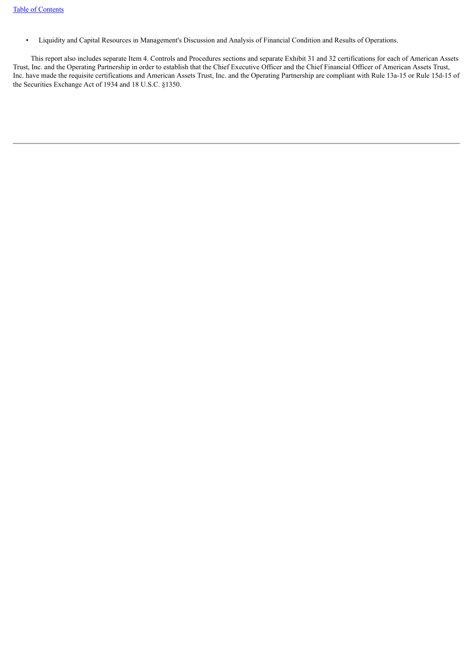• Liquidity and Capital Resources in Management's Discussion and Analysis of Financial Condition and Results of Operations.

<span id="page-3-0"></span>This report also includes separate Item 4. Controls and Procedures sections and separate Exhibit 31 and 32 certifications for each of American Assets Trust, Inc. and the Operating Partnership in order to establish that the Chief Executive Officer and the Chief Financial Officer of American Assets Trust, Inc. have made the requisite certifications and American Assets Trust, Inc. and the Operating Partnership are compliant with Rule 13a-15 or Rule 15d-15 of the Securities Exchange Act of 1934 and 18 U.S.C. §1350.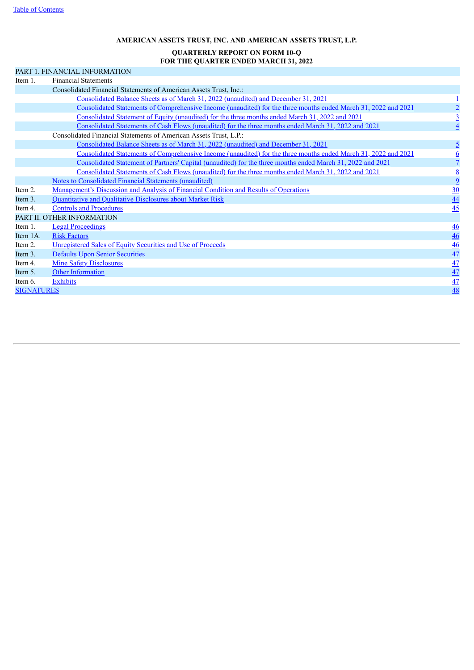## **AMERICAN ASSETS TRUST, INC. AND AMERICAN ASSETS TRUST, L.P.**

**QUARTERLY REPORT ON FORM 10-Q**

## **FOR THE QUARTER ENDED MARCH 31, 2022**

## PART 1. FINANCIAL INFORMATION

| Item 1.           | <b>Financial Statements</b>                                                                                    |                 |
|-------------------|----------------------------------------------------------------------------------------------------------------|-----------------|
|                   | Consolidated Financial Statements of American Assets Trust, Inc.:                                              |                 |
|                   | Consolidated Balance Sheets as of March 31, 2022 (unaudited) and December 31, 2021                             |                 |
|                   | Consolidated Statements of Comprehensive Income (unaudited) for the three months ended March 31, 2022 and 2021 |                 |
|                   | Consolidated Statement of Equity (unaudited) for the three months ended March 31, 2022 and 2021                | $\overline{3}$  |
|                   | Consolidated Statements of Cash Flows (unaudited) for the three months ended March 31, 2022 and 2021           | $\overline{4}$  |
|                   | Consolidated Financial Statements of American Assets Trust, L.P.:                                              |                 |
|                   | Consolidated Balance Sheets as of March 31, 2022 (unaudited) and December 31, 2021                             | $\overline{2}$  |
|                   | Consolidated Statements of Comprehensive Income (unaudited) for the three months ended March 31, 2022 and 2021 | $rac{6}{7}$     |
|                   | Consolidated Statement of Partners' Capital (unaudited) for the three months ended March 31, 2022 and 2021     |                 |
|                   | Consolidated Statements of Cash Flows (unaudited) for the three months ended March 31, 2022 and 2021           | $\underline{8}$ |
|                   | Notes to Consolidated Financial Statements (unaudited)                                                         | $\overline{9}$  |
| Item 2.           | <u>Management's Discussion and Analysis of Financial Condition and Results of Operations</u>                   | 30              |
| Item 3.           | Quantitative and Qualitative Disclosures about Market Risk                                                     | 44              |
| Item 4.           | <b>Controls and Procedures</b>                                                                                 | 45              |
|                   | PART II. OTHER INFORMATION                                                                                     |                 |
| Item 1.           | <b>Legal Proceedings</b>                                                                                       | $\frac{46}{5}$  |
| Item 1A.          | <b>Risk Factors</b>                                                                                            | 46              |
| Item 2.           | Unregistered Sales of Equity Securities and Use of Proceeds                                                    | $\frac{46}{5}$  |
| Item 3.           | <b>Defaults Upon Senior Securities</b>                                                                         | 47              |
| Item 4.           | <b>Mine Safety Disclosures</b>                                                                                 | $\frac{47}{47}$ |
| Item 5.           | Other Information                                                                                              |                 |
| Item 6.           | <b>Exhibits</b>                                                                                                | 47              |
| <b>SIGNATURES</b> |                                                                                                                | 48              |
|                   |                                                                                                                |                 |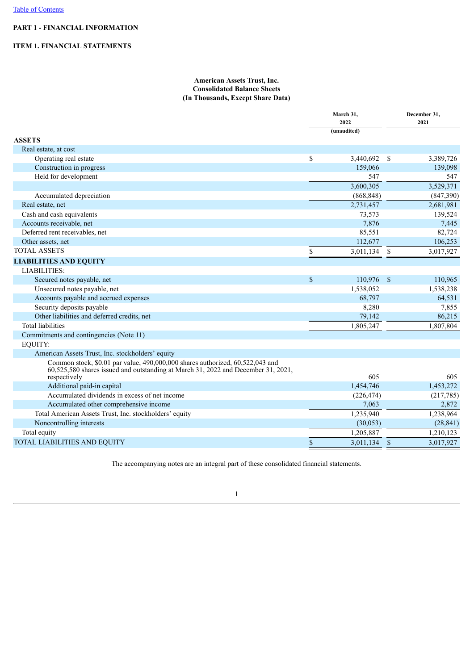### **PART 1 - FINANCIAL INFORMATION**

### **ITEM 1. FINANCIAL STATEMENTS**

### **American Assets Trust, Inc. Consolidated Balance Sheets (In Thousands, Except Share Data)**

<span id="page-5-0"></span>

|                                                                                   | March 31, |              |               | December 31, |
|-----------------------------------------------------------------------------------|-----------|--------------|---------------|--------------|
|                                                                                   |           | 2022         |               | 2021         |
|                                                                                   |           | (unaudited)  |               |              |
| <b>ASSETS</b>                                                                     |           |              |               |              |
| Real estate, at cost                                                              |           |              |               |              |
| Operating real estate                                                             | \$        | 3,440,692 \$ |               | 3,389,726    |
| Construction in progress                                                          |           | 159,066      |               | 139,098      |
| Held for development                                                              |           | 547          |               | 547          |
|                                                                                   |           | 3,600,305    |               | 3,529,371    |
| Accumulated depreciation                                                          |           | (868, 848)   |               | (847,390)    |
| Real estate, net                                                                  |           | 2,731,457    |               | 2,681,981    |
| Cash and cash equivalents                                                         |           | 73,573       |               | 139,524      |
| Accounts receivable, net                                                          |           | 7,876        |               | 7,445        |
| Deferred rent receivables, net                                                    |           | 85,551       |               | 82,724       |
| Other assets, net                                                                 |           | 112,677      |               | 106,253      |
| <b>TOTAL ASSETS</b>                                                               | \$        | 3,011,134    | \$            | 3,017,927    |
| <b>LIABILITIES AND EQUITY</b>                                                     |           |              |               |              |
| LIABILITIES:                                                                      |           |              |               |              |
| Secured notes payable, net                                                        | \$        | 110,976 \$   |               | 110,965      |
| Unsecured notes payable, net                                                      |           | 1,538,052    |               | 1,538,238    |
| Accounts payable and accrued expenses                                             |           | 68,797       |               | 64,531       |
| Security deposits payable                                                         |           | 8,280        |               | 7,855        |
| Other liabilities and deferred credits, net                                       |           | 79,142       |               | 86,215       |
| <b>Total liabilities</b>                                                          |           | 1,805,247    |               | 1,807,804    |
| Commitments and contingencies (Note 11)                                           |           |              |               |              |
| EQUITY:                                                                           |           |              |               |              |
| American Assets Trust, Inc. stockholders' equity                                  |           |              |               |              |
| Common stock, \$0.01 par value, 490,000,000 shares authorized, 60,522,043 and     |           |              |               |              |
| 60,525,580 shares issued and outstanding at March 31, 2022 and December 31, 2021, |           |              |               |              |
| respectively                                                                      |           | 605          |               | 605          |
| Additional paid-in capital                                                        |           | 1,454,746    |               | 1,453,272    |
| Accumulated dividends in excess of net income                                     |           | (226, 474)   |               | (217,785)    |
| Accumulated other comprehensive income                                            |           | 7,063        |               | 2,872        |
| Total American Assets Trust, Inc. stockholders' equity                            |           | 1,235,940    |               | 1,238,964    |
| Noncontrolling interests                                                          |           | (30,053)     |               | (28, 841)    |
| Total equity                                                                      |           | 1,205,887    |               | 1,210,123    |
| TOTAL LIABILITIES AND EQUITY                                                      | \$        | 3,011,134    | $\mathcal{S}$ | 3,017,927    |

<span id="page-5-1"></span>The accompanying notes are an integral part of these consolidated financial statements.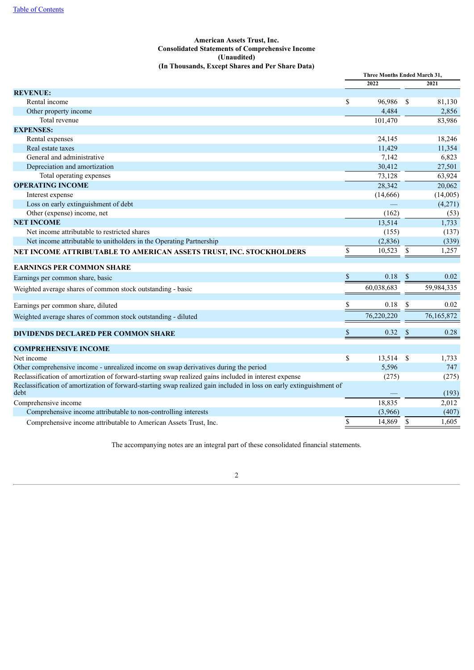### **American Assets Trust, Inc. Consolidated Statements of Comprehensive Income (Unaudited) (In Thousands, Except Shares and Per Share Data)**

|                                                                                                                             | Three Months Ended March 31, |               |            |
|-----------------------------------------------------------------------------------------------------------------------------|------------------------------|---------------|------------|
|                                                                                                                             | 2022                         |               | 2021       |
| <b>REVENUE:</b>                                                                                                             |                              |               |            |
| Rental income<br>\$                                                                                                         | 96,986                       | - \$          | 81,130     |
| Other property income                                                                                                       | 4,484                        |               | 2,856      |
| Total revenue                                                                                                               | 101,470                      |               | 83,986     |
| <b>EXPENSES:</b>                                                                                                            |                              |               |            |
| Rental expenses                                                                                                             | 24,145                       |               | 18,246     |
| Real estate taxes                                                                                                           | 11,429                       |               | 11,354     |
| General and administrative                                                                                                  | 7,142                        |               | 6,823      |
| Depreciation and amortization                                                                                               | 30,412                       |               | 27,501     |
| Total operating expenses                                                                                                    | 73,128                       |               | 63,924     |
| <b>OPERATING INCOME</b>                                                                                                     | 28,342                       |               | 20,062     |
| Interest expense                                                                                                            | (14,666)                     |               | (14,005)   |
| Loss on early extinguishment of debt                                                                                        |                              |               | (4,271)    |
| Other (expense) income, net                                                                                                 | (162)                        |               | (53)       |
| <b>NET INCOME</b>                                                                                                           | 13,514                       |               | 1,733      |
| Net income attributable to restricted shares                                                                                | (155)                        |               | (137)      |
| Net income attributable to unitholders in the Operating Partnership                                                         | (2,836)                      |               | (339)      |
| \$<br>NET INCOME ATTRIBUTABLE TO AMERICAN ASSETS TRUST, INC. STOCKHOLDERS                                                   | 10,523                       | \$            | 1,257      |
| <b>EARNINGS PER COMMON SHARE</b>                                                                                            |                              |               |            |
| <sup>S</sup><br>Earnings per common share, basic                                                                            | 0.18                         | -S            | 0.02       |
| Weighted average shares of common stock outstanding - basic                                                                 | 60,038,683                   |               | 59,984,335 |
| S<br>Earnings per common share, diluted                                                                                     | 0.18                         | -\$           | 0.02       |
| Weighted average shares of common stock outstanding - diluted                                                               | 76,220,220                   |               | 76,165,872 |
| \$                                                                                                                          | 0.32                         | $\mathcal{S}$ | 0.28       |
| <b>DIVIDENDS DECLARED PER COMMON SHARE</b>                                                                                  |                              |               |            |
| <b>COMPREHENSIVE INCOME</b>                                                                                                 |                              |               |            |
| Net income<br>\$                                                                                                            | 13,514                       | - \$          | 1,733      |
| Other comprehensive income - unrealized income on swap derivatives during the period                                        | 5,596                        |               | 747        |
| Reclassification of amortization of forward-starting swap realized gains included in interest expense                       | (275)                        |               | (275)      |
| Reclassification of amortization of forward-starting swap realized gain included in loss on early extinguishment of<br>debt |                              |               | (193)      |
| Comprehensive income                                                                                                        | 18,835                       |               | 2,012      |
| Comprehensive income attributable to non-controlling interests                                                              | (3,966)                      |               | (407)      |
| \$<br>Comprehensive income attributable to American Assets Trust, Inc.                                                      | 14,869                       | $\mathcal{S}$ | 1,605      |

<span id="page-6-0"></span>The accompanying notes are an integral part of these consolidated financial statements.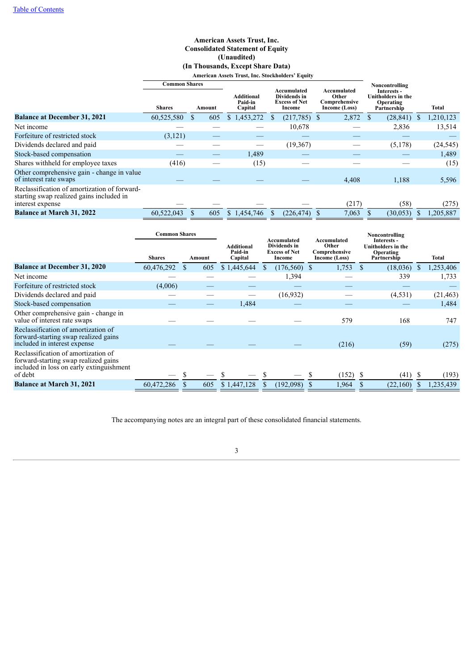#### **American Assets Trust, Inc. Consolidated Statement of Equity (Unaudited) (In Thousands, Except Share Data) American Assets Trust, Inc. Stockholders' Equity**

|                                                                                                              | $\ldots$                              |  |        |                                         |                                                               |                |                                                        |                                                                                        |           |
|--------------------------------------------------------------------------------------------------------------|---------------------------------------|--|--------|-----------------------------------------|---------------------------------------------------------------|----------------|--------------------------------------------------------|----------------------------------------------------------------------------------------|-----------|
|                                                                                                              | <b>Common Shares</b><br><b>Shares</b> |  | Amount | <b>Additional</b><br>Paid-in<br>Capital | Accumulated<br>Dividends in<br><b>Excess of Net</b><br>Income |                | Accumulated<br>Other<br>Comprehensive<br>Income (Loss) | Noncontrolling<br>Interests -<br>Unitholders in the<br><b>Operating</b><br>Partnership | Total     |
| <b>Balance at December 31, 2021</b>                                                                          | 60,525,580                            |  | 605    | 1,453,272<br>S                          |                                                               | $(217,785)$ \$ | 2,872                                                  | (28, 841)                                                                              | 1,210,123 |
| Net income                                                                                                   |                                       |  |        |                                         |                                                               | 10,678         |                                                        | 2,836                                                                                  | 13,514    |
| Forfeiture of restricted stock                                                                               | (3,121)                               |  |        |                                         |                                                               |                |                                                        |                                                                                        |           |
| Dividends declared and paid                                                                                  |                                       |  |        |                                         |                                                               | (19, 367)      |                                                        | (5,178)                                                                                | (24, 545) |
| Stock-based compensation                                                                                     |                                       |  |        | 1,489                                   |                                                               |                |                                                        |                                                                                        | 1,489     |
| Shares withheld for employee taxes                                                                           | (416)                                 |  |        | (15)                                    |                                                               |                |                                                        |                                                                                        | (15)      |
| Other comprehensive gain - change in value<br>of interest rate swaps                                         |                                       |  |        |                                         |                                                               |                | 4,408                                                  | 1,188                                                                                  | 5,596     |
| Reclassification of amortization of forward-<br>starting swap realized gains included in<br>interest expense |                                       |  |        |                                         |                                                               |                | (217)                                                  | (58)                                                                                   | (275)     |
| <b>Balance at March 31, 2022</b>                                                                             | 60,522,043                            |  | 605    | .454,746                                |                                                               | (226, 474)     | 7,063                                                  | (30, 053)                                                                              | 1,205,887 |

|                                                                                                                                    | <b>Common Shares</b> |  |        |                                  |  |                                                               |                                                        | Noncontrolling |                                                                      |      |           |
|------------------------------------------------------------------------------------------------------------------------------------|----------------------|--|--------|----------------------------------|--|---------------------------------------------------------------|--------------------------------------------------------|----------------|----------------------------------------------------------------------|------|-----------|
|                                                                                                                                    | <b>Shares</b>        |  | Amount | Additional<br>Paid-in<br>Capital |  | Accumulated<br>Dividends in<br><b>Excess of Net</b><br>Income | Accumulated<br>Other<br>Comprehensive<br>Income (Loss) |                | Interests -<br>Unitholders in the<br><b>Operating</b><br>Partnership |      | Total     |
| <b>Balance at December 31, 2020</b>                                                                                                | 60,476,292           |  | 605    | \$1,445,644                      |  | $(176,560)$ \$                                                | 1,753                                                  | <sup>\$</sup>  | (18,036)                                                             |      | 1,253,406 |
| Net income                                                                                                                         |                      |  |        |                                  |  | 1,394                                                         |                                                        |                | 339                                                                  |      | 1,733     |
| Forfeiture of restricted stock                                                                                                     | (4,006)              |  |        |                                  |  |                                                               |                                                        |                |                                                                      |      |           |
| Dividends declared and paid                                                                                                        |                      |  |        |                                  |  | (16,932)                                                      |                                                        |                | (4, 531)                                                             |      | (21, 463) |
| Stock-based compensation                                                                                                           |                      |  |        | 1,484                            |  |                                                               |                                                        |                |                                                                      |      | 1,484     |
| Other comprehensive gain - change in<br>value of interest rate swaps                                                               |                      |  |        |                                  |  |                                                               | 579                                                    |                | 168                                                                  |      | 747       |
| Reclassification of amortization of<br>forward-starting swap realized gains<br>included in interest expense                        |                      |  |        |                                  |  |                                                               | (216)                                                  |                | (59)                                                                 |      | (275)     |
| Reclassification of amortization of<br>forward-starting swap realized gains<br>included in loss on early extinguishment<br>of debt |                      |  |        |                                  |  |                                                               | $(152)$ \$                                             |                | (41)                                                                 | - \$ | (193)     |
| <b>Balance at March 31, 2021</b>                                                                                                   | 60,472,286           |  | 605    | \$1,447,128                      |  | (192.098)                                                     | 1,964                                                  |                | (22,160)                                                             |      | 1,235,439 |

<span id="page-7-0"></span>The accompanying notes are an integral part of these consolidated financial statements.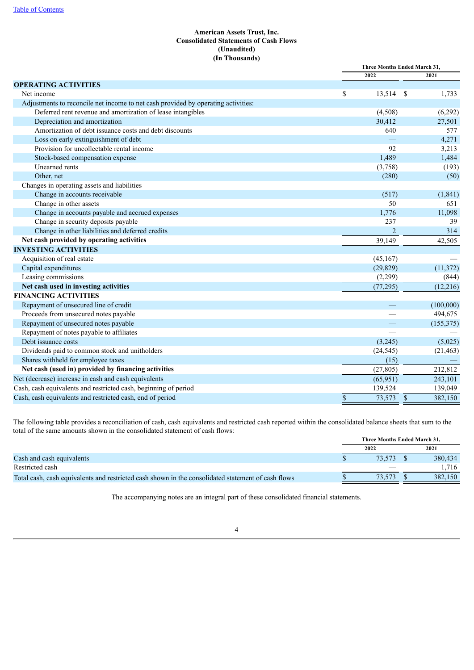### **American Assets Trust, Inc. Consolidated Statements of Cash Flows (Unaudited) (In Thousands)**

| 2022<br>2021<br><b>OPERATING ACTIVITIES</b><br>\$<br>13,514<br>Net income<br>- \$          | 1,733      |
|--------------------------------------------------------------------------------------------|------------|
|                                                                                            | (6,292)    |
|                                                                                            |            |
|                                                                                            |            |
| Adjustments to reconcile net income to net cash provided by operating activities:          |            |
| Deferred rent revenue and amortization of lease intangibles<br>(4,508)                     |            |
| Depreciation and amortization<br>30,412                                                    | 27,501     |
| Amortization of debt issuance costs and debt discounts<br>640                              | 577        |
| Loss on early extinguishment of debt                                                       | 4,271      |
| Provision for uncollectable rental income<br>92                                            | 3,213      |
| Stock-based compensation expense<br>1,489                                                  | 1,484      |
| Unearned rents<br>(3,758)                                                                  | (193)      |
| Other, net<br>(280)                                                                        | (50)       |
| Changes in operating assets and liabilities                                                |            |
| Change in accounts receivable<br>(517)                                                     | (1, 841)   |
| Change in other assets<br>50                                                               | 651        |
| Change in accounts payable and accrued expenses<br>1.776                                   | 11,098     |
| Change in security deposits payable<br>237                                                 | 39         |
| Change in other liabilities and deferred credits<br>$\overline{2}$                         | 314        |
| Net cash provided by operating activities<br>39,149                                        | 42,505     |
| <b>INVESTING ACTIVITIES</b>                                                                |            |
| Acquisition of real estate<br>(45,167)                                                     |            |
| Capital expenditures<br>(29, 829)                                                          | (11, 372)  |
| Leasing commissions<br>(2,299)                                                             | (844)      |
| Net cash used in investing activities<br>(77, 295)                                         | (12,216)   |
| <b>FINANCING ACTIVITIES</b>                                                                |            |
| Repayment of unsecured line of credit                                                      | (100,000)  |
| Proceeds from unsecured notes payable                                                      | 494,675    |
| Repayment of unsecured notes payable                                                       | (155, 375) |
| Repayment of notes payable to affiliates                                                   |            |
| Debt issuance costs<br>(3,245)                                                             | (5,025)    |
| Dividends paid to common stock and unitholders<br>(24, 545)                                | (21, 463)  |
| Shares withheld for employee taxes<br>(15)                                                 |            |
| Net cash (used in) provided by financing activities<br>(27, 805)                           | 212,812    |
| Net (decrease) increase in cash and cash equivalents<br>(65, 951)                          | 243,101    |
| Cash, cash equivalents and restricted cash, beginning of period<br>139,524                 | 139,049    |
| Cash, cash equivalents and restricted cash, end of period<br>\$<br>$\mathcal{S}$<br>73,573 | 382,150    |

The following table provides a reconciliation of cash, cash equivalents and restricted cash reported within the consolidated balance sheets that sum to the total of the same amounts shown in the consolidated statement of cash flows:

<span id="page-8-0"></span>

|                                                                                                    | Three Months Ended March 31. |        |  |         |  |
|----------------------------------------------------------------------------------------------------|------------------------------|--------|--|---------|--|
|                                                                                                    |                              | 2022   |  | 2021    |  |
| Cash and cash equivalents                                                                          |                              | 73.573 |  | 380.434 |  |
| Restricted cash                                                                                    |                              |        |  | 1.716   |  |
| Total cash, cash equivalents and restricted cash shown in the consolidated statement of cash flows |                              | 73.573 |  | 382.150 |  |

The accompanying notes are an integral part of these consolidated financial statements.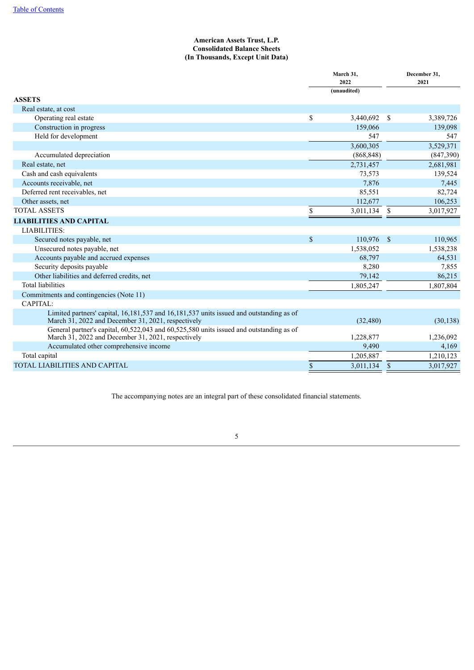### **American Assets Trust, L.P. Consolidated Balance Sheets (In Thousands, Except Unit Data)**

|                                                                                                                                               | March 31,<br>2022 |              |              | December 31,<br>2021 |
|-----------------------------------------------------------------------------------------------------------------------------------------------|-------------------|--------------|--------------|----------------------|
| <b>ASSETS</b>                                                                                                                                 |                   | (unaudited)  |              |                      |
| Real estate, at cost                                                                                                                          |                   |              |              |                      |
| Operating real estate                                                                                                                         | \$                | 3,440,692 \$ |              | 3,389,726            |
| Construction in progress                                                                                                                      |                   | 159,066      |              | 139,098              |
| Held for development                                                                                                                          |                   | 547          |              | 547                  |
|                                                                                                                                               |                   | 3,600,305    |              | 3,529,371            |
| Accumulated depreciation                                                                                                                      |                   | (868, 848)   |              | (847,390)            |
| Real estate, net                                                                                                                              |                   | 2,731,457    |              | 2,681,981            |
| Cash and cash equivalents                                                                                                                     |                   | 73,573       |              | 139,524              |
| Accounts receivable, net                                                                                                                      |                   | 7,876        |              | 7,445                |
| Deferred rent receivables, net                                                                                                                |                   | 85,551       |              | 82,724               |
| Other assets, net                                                                                                                             |                   | 112,677      |              | 106,253              |
| <b>TOTAL ASSETS</b>                                                                                                                           | \$                | 3,011,134    | \$           | 3,017,927            |
| <b>LIABILITIES AND CAPITAL</b>                                                                                                                |                   |              |              |                      |
| <b>LIABILITIES:</b>                                                                                                                           |                   |              |              |                      |
| Secured notes payable, net                                                                                                                    | $\mathbf S$       | $110,976$ \$ |              | 110,965              |
| Unsecured notes payable, net                                                                                                                  |                   | 1,538,052    |              | 1,538,238            |
| Accounts payable and accrued expenses                                                                                                         |                   | 68,797       |              | 64,531               |
| Security deposits payable                                                                                                                     |                   | 8,280        |              | 7,855                |
| Other liabilities and deferred credits, net                                                                                                   |                   | 79,142       |              | 86,215               |
| <b>Total liabilities</b>                                                                                                                      |                   | 1,805,247    |              | 1,807,804            |
| Commitments and contingencies (Note 11)                                                                                                       |                   |              |              |                      |
| CAPITAL:                                                                                                                                      |                   |              |              |                      |
| Limited partners' capital, 16,181,537 and 16,181,537 units issued and outstanding as of<br>March 31, 2022 and December 31, 2021, respectively |                   | (32, 480)    |              | (30, 138)            |
| General partner's capital, 60,522,043 and 60,525,580 units issued and outstanding as of<br>March 31, 2022 and December 31, 2021, respectively |                   | 1,228,877    |              | 1,236,092            |
| Accumulated other comprehensive income                                                                                                        |                   | 9,490        |              | 4,169                |
| Total capital                                                                                                                                 |                   | 1,205,887    |              | 1,210,123            |
| <b>TOTAL LIABILITIES AND CAPITAL</b>                                                                                                          | \$                | 3,011,134    | $\mathbb{S}$ | 3,017,927            |

<span id="page-9-0"></span>The accompanying notes are an integral part of these consolidated financial statements.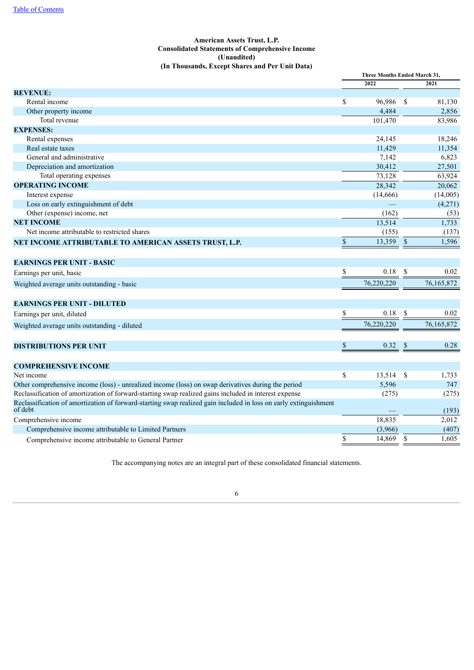### **American Assets Trust, L.P. Consolidated Statements of Comprehensive Income (Unaudited) (In Thousands, Except Shares and Per Unit Data)**

|                                                                                                                             |      | Three Months Ended March 31, |               |            |
|-----------------------------------------------------------------------------------------------------------------------------|------|------------------------------|---------------|------------|
|                                                                                                                             |      | 2022                         |               | 2021       |
| <b>REVENUE:</b>                                                                                                             |      |                              |               |            |
| Rental income                                                                                                               | \$   | 96,986                       | -S            | 81,130     |
| Other property income                                                                                                       |      | 4,484                        |               | 2,856      |
| Total revenue                                                                                                               |      | 101,470                      |               | 83,986     |
| <b>EXPENSES:</b>                                                                                                            |      |                              |               |            |
| Rental expenses                                                                                                             |      | 24,145                       |               | 18,246     |
| Real estate taxes                                                                                                           |      | 11,429                       |               | 11,354     |
| General and administrative                                                                                                  |      | 7,142                        |               | 6,823      |
| Depreciation and amortization                                                                                               |      | 30,412                       |               | 27,501     |
| Total operating expenses                                                                                                    |      | 73,128                       |               | 63,924     |
| <b>OPERATING INCOME</b>                                                                                                     |      | 28,342                       |               | 20,062     |
| Interest expense                                                                                                            |      | (14,666)                     |               | (14,005)   |
| Loss on early extinguishment of debt                                                                                        |      |                              |               | (4,271)    |
| Other (expense) income, net                                                                                                 |      | (162)                        |               | (53)       |
| <b>NET INCOME</b>                                                                                                           |      | 13,514                       |               | 1,733      |
| Net income attributable to restricted shares                                                                                |      | (155)                        |               | (137)      |
| NET INCOME ATTRIBUTABLE TO AMERICAN ASSETS TRUST, L.P.                                                                      | $\$$ | 13,359                       | $\mathcal{S}$ | 1,596      |
| <b>EARNINGS PER UNIT - BASIC</b>                                                                                            |      |                              |               |            |
|                                                                                                                             | \$   | 0.18                         | <sup>\$</sup> | 0.02       |
| Earnings per unit, basic                                                                                                    |      |                              |               |            |
| Weighted average units outstanding - basic                                                                                  |      | 76,220,220                   |               | 76,165,872 |
| <b>EARNINGS PER UNIT - DILUTED</b>                                                                                          |      |                              |               |            |
| Earnings per unit, diluted                                                                                                  | \$   | 0.18                         | \$            | 0.02       |
| Weighted average units outstanding - diluted                                                                                |      | 76,220,220                   |               | 76,165,872 |
|                                                                                                                             |      |                              |               |            |
| <b>DISTRIBUTIONS PER UNIT</b>                                                                                               | \$   | 0.32                         | \$            | 0.28       |
| <b>COMPREHENSIVE INCOME</b>                                                                                                 |      |                              |               |            |
| Net income                                                                                                                  | \$   | $13,514$ \$                  |               | 1,733      |
| Other comprehensive income (loss) - unrealized income (loss) on swap derivatives during the period                          |      | 5,596                        |               | 747        |
| Reclassification of amortization of forward-starting swap realized gains included in interest expense                       |      | (275)                        |               | (275)      |
| Reclassification of amortization of forward-starting swap realized gain included in loss on early extinguishment<br>of debt |      |                              |               | (193)      |
| Comprehensive income                                                                                                        |      | 18,835                       |               | 2,012      |
| Comprehensive income attributable to Limited Partners                                                                       |      | (3,966)                      |               | (407)      |
| Comprehensive income attributable to General Partner                                                                        | \$   | 14,869                       | $\mathbb{S}$  | 1,605      |

<span id="page-10-0"></span>The accompanying notes are an integral part of these consolidated financial statements.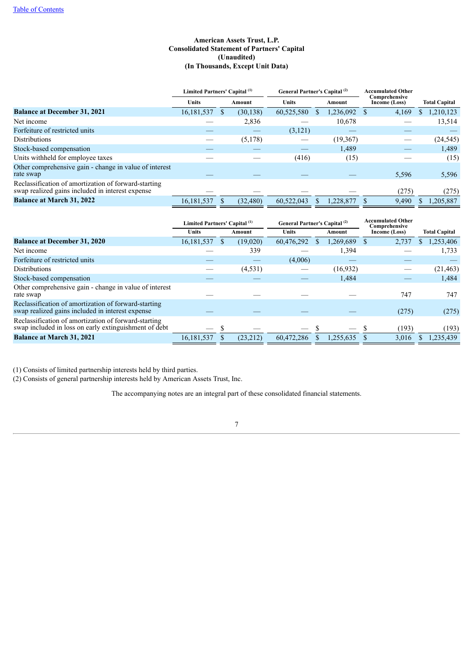### **American Assets Trust, L.P. Consolidated Statement of Partners' Capital (Unaudited) (In Thousands, Except Unit Data)**

|                                                                                                          | Limited Partners' Capital <sup>(1)</sup> |  |           | General Partner's Capital <sup>(2)</sup> |  |              |  | <b>Accumulated Other</b> |           |  |  |  |  |  |  |                                |                      |
|----------------------------------------------------------------------------------------------------------|------------------------------------------|--|-----------|------------------------------------------|--|--------------|--|--------------------------|-----------|--|--|--|--|--|--|--------------------------------|----------------------|
|                                                                                                          | <b>Units</b>                             |  | Amount    | Units                                    |  | Amount       |  |                          |           |  |  |  |  |  |  | Comprehensive<br>Income (Loss) | <b>Total Capital</b> |
| <b>Balance at December 31, 2021</b>                                                                      | 16, 181, 537                             |  | (30, 138) | 60,525,580                               |  | 1,236,092 \$ |  | 4,169                    | 1,210,123 |  |  |  |  |  |  |                                |                      |
| Net income                                                                                               |                                          |  | 2,836     |                                          |  | 10,678       |  |                          | 13,514    |  |  |  |  |  |  |                                |                      |
| Forfeiture of restricted units                                                                           |                                          |  |           | (3,121)                                  |  |              |  |                          |           |  |  |  |  |  |  |                                |                      |
| <b>Distributions</b>                                                                                     |                                          |  | (5,178)   |                                          |  | (19, 367)    |  |                          | (24, 545) |  |  |  |  |  |  |                                |                      |
| Stock-based compensation                                                                                 |                                          |  |           |                                          |  | 1,489        |  |                          | 1,489     |  |  |  |  |  |  |                                |                      |
| Units withheld for employee taxes                                                                        |                                          |  |           | (416)                                    |  | (15)         |  |                          | (15)      |  |  |  |  |  |  |                                |                      |
| Other comprehensive gain - change in value of interest<br>rate swap                                      |                                          |  |           |                                          |  |              |  | 5,596                    | 5,596     |  |  |  |  |  |  |                                |                      |
| Reclassification of amortization of forward-starting<br>swap realized gains included in interest expense |                                          |  |           |                                          |  |              |  | (275)                    | (275)     |  |  |  |  |  |  |                                |                      |
| <b>Balance at March 31, 2022</b>                                                                         | 16, 181, 537                             |  | (32.480)  | 60.522,043                               |  | 1.228.877    |  | 9,490                    | 1,205,887 |  |  |  |  |  |  |                                |                      |

|                                                                                                               | Limited Partners' Capital <sup>(1)</sup> |   | General Partner's Capital <sup>(2)</sup> |            | <b>Accumulated Other</b><br>Comprehensive |  |               |                      |           |
|---------------------------------------------------------------------------------------------------------------|------------------------------------------|---|------------------------------------------|------------|-------------------------------------------|--|---------------|----------------------|-----------|
|                                                                                                               | Units                                    |   | Amount                                   | Units      | Amount                                    |  | Income (Loss) | <b>Total Capital</b> |           |
| <b>Balance at December 31, 2020</b>                                                                           | 16, 181, 537                             | D | (19,020)                                 | 60,476,292 | 1,269,689                                 |  | 2,737         |                      | 1,253,406 |
| Net income                                                                                                    |                                          |   | 339                                      |            | 1,394                                     |  |               |                      | 1,733     |
| Forfeiture of restricted units                                                                                |                                          |   |                                          | (4,006)    |                                           |  |               |                      |           |
| <b>Distributions</b>                                                                                          |                                          |   | (4, 531)                                 |            | (16,932)                                  |  |               |                      | (21, 463) |
| Stock-based compensation                                                                                      |                                          |   |                                          |            | 1,484                                     |  |               |                      | 1,484     |
| Other comprehensive gain - change in value of interest<br>rate swap                                           |                                          |   |                                          |            |                                           |  | 747           |                      | 747       |
| Reclassification of amortization of forward-starting<br>swap realized gains included in interest expense      |                                          |   |                                          |            |                                           |  | (275)         |                      | (275)     |
| Reclassification of amortization of forward-starting<br>swap included in loss on early extinguishment of debt |                                          | ъ |                                          |            |                                           |  | (193)         |                      | (193)     |
| <b>Balance at March 31, 2021</b>                                                                              | 16, 181, 537                             |   | (23,212)                                 | 60,472,286 | 1,255,635                                 |  | 3,016         |                      | 1.235.439 |

(1) Consists of limited partnership interests held by third parties.

<span id="page-11-0"></span>(2) Consists of general partnership interests held by American Assets Trust, Inc.

The accompanying notes are an integral part of these consolidated financial statements.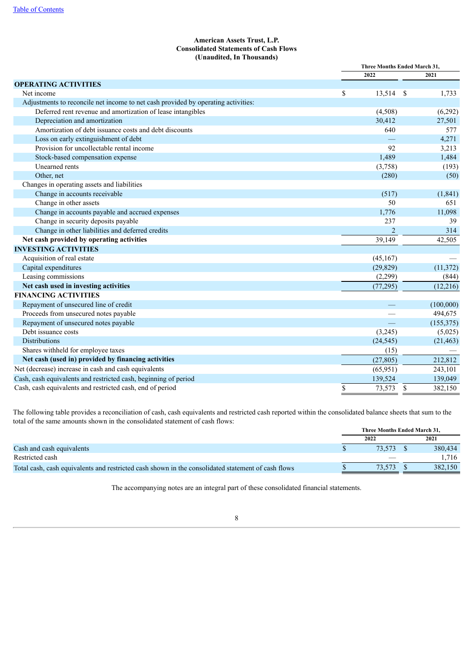### **American Assets Trust, L.P. Consolidated Statements of Cash Flows (Unaudited, In Thousands)**

|                                                                                   | Three Months Ended March 31, |                |             |            |
|-----------------------------------------------------------------------------------|------------------------------|----------------|-------------|------------|
|                                                                                   |                              | 2022           |             | 2021       |
| <b>OPERATING ACTIVITIES</b>                                                       |                              |                |             |            |
| Net income                                                                        | \$                           | 13,514         | -S          | 1,733      |
| Adjustments to reconcile net income to net cash provided by operating activities: |                              |                |             |            |
| Deferred rent revenue and amortization of lease intangibles                       |                              | (4,508)        |             | (6,292)    |
| Depreciation and amortization                                                     |                              | 30,412         |             | 27,501     |
| Amortization of debt issuance costs and debt discounts                            |                              | 640            |             | 577        |
| Loss on early extinguishment of debt                                              |                              |                |             | 4,271      |
| Provision for uncollectable rental income                                         |                              | 92             |             | 3,213      |
| Stock-based compensation expense                                                  |                              | 1,489          |             | 1,484      |
| <b>Unearned rents</b>                                                             |                              | (3,758)        |             | (193)      |
| Other, net                                                                        |                              | (280)          |             | (50)       |
| Changes in operating assets and liabilities                                       |                              |                |             |            |
| Change in accounts receivable                                                     |                              | (517)          |             | (1, 841)   |
| Change in other assets                                                            |                              | 50             |             | 651        |
| Change in accounts payable and accrued expenses                                   |                              | 1,776          |             | 11,098     |
| Change in security deposits payable                                               |                              | 237            |             | 39         |
| Change in other liabilities and deferred credits                                  |                              | $\overline{2}$ |             | 314        |
| Net cash provided by operating activities                                         |                              | 39,149         |             | 42,505     |
| <b>INVESTING ACTIVITIES</b>                                                       |                              |                |             |            |
| Acquisition of real estate                                                        |                              | (45, 167)      |             |            |
| Capital expenditures                                                              |                              | (29, 829)      |             | (11, 372)  |
| Leasing commissions                                                               |                              | (2,299)        |             | (844)      |
| Net cash used in investing activities                                             |                              | (77, 295)      |             | (12,216)   |
| <b>FINANCING ACTIVITIES</b>                                                       |                              |                |             |            |
| Repayment of unsecured line of credit                                             |                              |                |             | (100,000)  |
| Proceeds from unsecured notes payable                                             |                              |                |             | 494,675    |
| Repayment of unsecured notes payable                                              |                              |                |             | (155, 375) |
| Debt issuance costs                                                               |                              | (3,245)        |             | (5,025)    |
| <b>Distributions</b>                                                              |                              | (24, 545)      |             | (21, 463)  |
| Shares withheld for employee taxes                                                |                              | (15)           |             |            |
| Net cash (used in) provided by financing activities                               |                              | (27, 805)      |             | 212,812    |
| Net (decrease) increase in cash and cash equivalents                              |                              | (65, 951)      |             | 243,101    |
| Cash, cash equivalents and restricted cash, beginning of period                   |                              | 139,524        |             | 139,049    |
| Cash, cash equivalents and restricted cash, end of period                         | \$                           | 73,573         | $\mathbf S$ | 382,150    |

The following table provides a reconciliation of cash, cash equivalents and restricted cash reported within the consolidated balance sheets that sum to the total of the same amounts shown in the consolidated statement of cash flows:

<span id="page-12-0"></span>

|                                                                                                    |      | Three Months Ended March 31. |  |         |  |  |
|----------------------------------------------------------------------------------------------------|------|------------------------------|--|---------|--|--|
|                                                                                                    | 2022 |                              |  | 2021    |  |  |
| Cash and cash equivalents                                                                          |      | 73.573                       |  | 380,434 |  |  |
| Restricted cash                                                                                    |      |                              |  | 1.716   |  |  |
| Total cash, cash equivalents and restricted cash shown in the consolidated statement of cash flows |      | 73.573                       |  | 382,150 |  |  |

The accompanying notes are an integral part of these consolidated financial statements.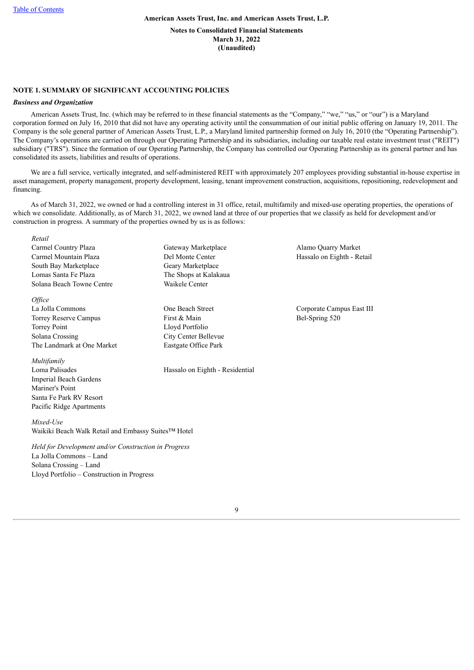### **NOTE 1. SUMMARY OF SIGNIFICANT ACCOUNTING POLICIES**

#### *Business and Organization*

American Assets Trust, Inc. (which may be referred to in these financial statements as the "Company," "we," "us," or "our") is a Maryland corporation formed on July 16, 2010 that did not have any operating activity until the consummation of our initial public offering on January 19, 2011. The Company is the sole general partner of American Assets Trust, L.P., a Maryland limited partnership formed on July 16, 2010 (the "Operating Partnership"). The Company's operations are carried on through our Operating Partnership and its subsidiaries, including our taxable real estate investment trust ("REIT") subsidiary ("TRS"). Since the formation of our Operating Partnership, the Company has controlled our Operating Partnership as its general partner and has consolidated its assets, liabilities and results of operations.

We are a full service, vertically integrated, and self-administered REIT with approximately 207 employees providing substantial in-house expertise in asset management, property management, property development, leasing, tenant improvement construction, acquisitions, repositioning, redevelopment and financing.

As of March 31, 2022, we owned or had a controlling interest in 31 office, retail, multifamily and mixed-use operating properties, the operations of which we consolidate. Additionally, as of March 31, 2022, we owned land at three of our properties that we classify as held for development and/or construction in progress. A summary of the properties owned by us is as follows:

*Retail* Carmel Country Plaza Gateway Marketplace Alamo Quarry Market Carmel Mountain Plaza Del Monte Center Hassalo on Eighth - Retail South Bay Marketplace Geary Marketplace Lomas Santa Fe Plaza The Shops at Kalakaua Solana Beach Towne Centre Waikele Center

*Of ice* La Jolla Commons **One Beach Street Commons** Corporate Campus East III Torrey Reserve Campus First & Main Bel-Spring 520 Torrey Point Lloyd Portfolio Solana Crossing City Center Bellevue The Landmark at One Market Eastgate Office Park

*Multifamily* Imperial Beach Gardens Mariner's Point Santa Fe Park RV Resort Pacific Ridge Apartments

*Mixed-Use* Waikiki Beach Walk Retail and Embassy Suites™ Hotel

*Held for Development and/or Construction in Progress* La Jolla Commons – Land Solana Crossing – Land Lloyd Portfolio – Construction in Progress

Loma Palisades Hassalo on Eighth - Residential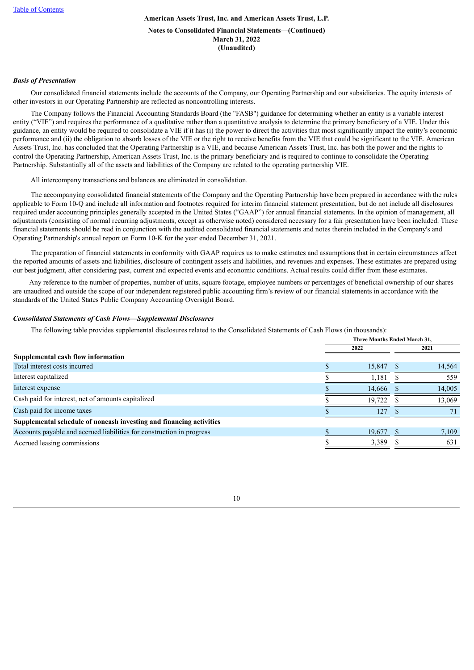#### *Basis of Presentation*

Our consolidated financial statements include the accounts of the Company, our Operating Partnership and our subsidiaries. The equity interests of other investors in our Operating Partnership are reflected as noncontrolling interests.

The Company follows the Financial Accounting Standards Board (the "FASB") guidance for determining whether an entity is a variable interest entity ("VIE") and requires the performance of a qualitative rather than a quantitative analysis to determine the primary beneficiary of a VIE. Under this guidance, an entity would be required to consolidate a VIE if it has (i) the power to direct the activities that most significantly impact the entity's economic performance and (ii) the obligation to absorb losses of the VIE or the right to receive benefits from the VIE that could be significant to the VIE. American Assets Trust, Inc. has concluded that the Operating Partnership is a VIE, and because American Assets Trust, Inc. has both the power and the rights to control the Operating Partnership, American Assets Trust, Inc. is the primary beneficiary and is required to continue to consolidate the Operating Partnership. Substantially all of the assets and liabilities of the Company are related to the operating partnership VIE.

All intercompany transactions and balances are eliminated in consolidation.

The accompanying consolidated financial statements of the Company and the Operating Partnership have been prepared in accordance with the rules applicable to Form 10-Q and include all information and footnotes required for interim financial statement presentation, but do not include all disclosures required under accounting principles generally accepted in the United States ("GAAP") for annual financial statements. In the opinion of management, all adjustments (consisting of normal recurring adjustments, except as otherwise noted) considered necessary for a fair presentation have been included. These financial statements should be read in conjunction with the audited consolidated financial statements and notes therein included in the Company's and Operating Partnership's annual report on Form 10-K for the year ended December 31, 2021.

The preparation of financial statements in conformity with GAAP requires us to make estimates and assumptions that in certain circumstances affect the reported amounts of assets and liabilities, disclosure of contingent assets and liabilities, and revenues and expenses. These estimates are prepared using our best judgment, after considering past, current and expected events and economic conditions. Actual results could differ from these estimates.

Any reference to the number of properties, number of units, square footage, employee numbers or percentages of beneficial ownership of our shares are unaudited and outside the scope of our independent registered public accounting firm's review of our financial statements in accordance with the standards of the United States Public Company Accounting Oversight Board.

#### *Consolidated Statements of Cash Flows—Supplemental Disclosures*

The following table provides supplemental disclosures related to the Consolidated Statements of Cash Flows (in thousands):

|                                                                       | Three Months Ended March 31, |  |        |  |  |  |
|-----------------------------------------------------------------------|------------------------------|--|--------|--|--|--|
|                                                                       | 2022                         |  | 2021   |  |  |  |
| Supplemental cash flow information                                    |                              |  |        |  |  |  |
| Total interest costs incurred                                         | 15,847                       |  | 14,564 |  |  |  |
| Interest capitalized                                                  | 1.181                        |  | 559    |  |  |  |
| Interest expense                                                      | 14,666                       |  | 14,005 |  |  |  |
| Cash paid for interest, net of amounts capitalized                    | 19,722                       |  | 13,069 |  |  |  |
| Cash paid for income taxes                                            | 127                          |  | 71     |  |  |  |
| Supplemental schedule of noncash investing and financing activities   |                              |  |        |  |  |  |
| Accounts payable and accrued liabilities for construction in progress | 19,677                       |  | 7,109  |  |  |  |
| Accrued leasing commissions                                           | 3,389                        |  | 631    |  |  |  |
|                                                                       |                              |  |        |  |  |  |

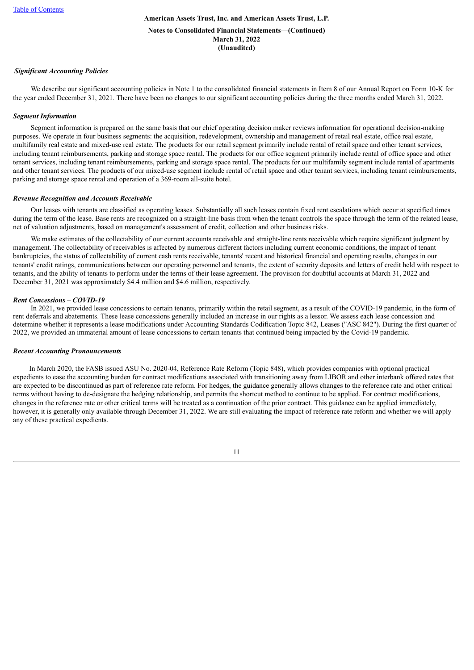#### *Significant Accounting Policies*

We describe our significant accounting policies in Note 1 to the consolidated financial statements in Item 8 of our Annual Report on Form 10-K for the year ended December 31, 2021. There have been no changes to our significant accounting policies during the three months ended March 31, 2022.

#### *Segment Information*

Segment information is prepared on the same basis that our chief operating decision maker reviews information for operational decision-making purposes. We operate in four business segments: the acquisition, redevelopment, ownership and management of retail real estate, office real estate, multifamily real estate and mixed-use real estate. The products for our retail segment primarily include rental of retail space and other tenant services, including tenant reimbursements, parking and storage space rental. The products for our office segment primarily include rental of office space and other tenant services, including tenant reimbursements, parking and storage space rental. The products for our multifamily segment include rental of apartments and other tenant services. The products of our mixed-use segment include rental of retail space and other tenant services, including tenant reimbursements, parking and storage space rental and operation of a 369-room all-suite hotel.

#### *Revenue Recognition and Accounts Receivable*

Our leases with tenants are classified as operating leases. Substantially all such leases contain fixed rent escalations which occur at specified times during the term of the lease. Base rents are recognized on a straight-line basis from when the tenant controls the space through the term of the related lease, net of valuation adjustments, based on management's assessment of credit, collection and other business risks.

We make estimates of the collectability of our current accounts receivable and straight-line rents receivable which require significant judgment by management. The collectability of receivables is affected by numerous different factors including current economic conditions, the impact of tenant bankruptcies, the status of collectability of current cash rents receivable, tenants' recent and historical financial and operating results, changes in our tenants' credit ratings, communications between our operating personnel and tenants, the extent of security deposits and letters of credit held with respect to tenants, and the ability of tenants to perform under the terms of their lease agreement. The provision for doubtful accounts at March 31, 2022 and December 31, 2021 was approximately \$4.4 million and \$4.6 million, respectively.

#### *Rent Concessions – COVID-19*

In 2021, we provided lease concessions to certain tenants, primarily within the retail segment, as a result of the COVID-19 pandemic, in the form of rent deferrals and abatements. These lease concessions generally included an increase in our rights as a lessor. We assess each lease concession and determine whether it represents a lease modifications under Accounting Standards Codification Topic 842, Leases ("ASC 842"). During the first quarter of 2022, we provided an immaterial amount of lease concessions to certain tenants that continued being impacted by the Covid-19 pandemic.

#### *Recent Accounting Pronouncements*

In March 2020, the FASB issued ASU No. 2020-04, Reference Rate Reform (Topic 848), which provides companies with optional practical expedients to ease the accounting burden for contract modifications associated with transitioning away from LIBOR and other interbank offered rates that are expected to be discontinued as part of reference rate reform. For hedges, the guidance generally allows changes to the reference rate and other critical terms without having to de-designate the hedging relationship, and permits the shortcut method to continue to be applied. For contract modifications, changes in the reference rate or other critical terms will be treated as a continuation of the prior contract. This guidance can be applied immediately, however, it is generally only available through December 31, 2022. We are still evaluating the impact of reference rate reform and whether we will apply any of these practical expedients.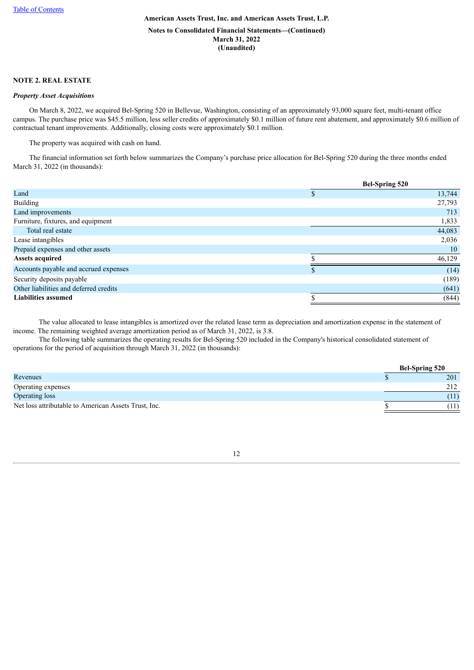#### **NOTE 2. REAL ESTATE**

#### *Property Asset Acquisitions*

On March 8, 2022, we acquired Bel-Spring 520 in Bellevue, Washington, consisting of an approximately 93,000 square feet, multi-tenant office campus. The purchase price was \$45.5 million, less seller credits of approximately \$0.1 million of future rent abatement, and approximately \$0.6 million of contractual tenant improvements. Additionally, closing costs were approximately \$0.1 million.

The property was acquired with cash on hand.

The financial information set forth below summarizes the Company's purchase price allocation for Bel-Spring 520 during the three months ended March 31, 2022 (in thousands):

|                                        |    | <b>Bel-Spring 520</b> |
|----------------------------------------|----|-----------------------|
| Land                                   | .D | 13,744                |
| Building                               |    | 27,793                |
| Land improvements                      |    | 713                   |
| Furniture, fixtures, and equipment     |    | 1,833                 |
| Total real estate                      |    | 44,083                |
| Lease intangibles                      |    | 2,036                 |
| Prepaid expenses and other assets      |    | 10                    |
| <b>Assets acquired</b>                 |    | 46,129                |
| Accounts payable and accrued expenses  | .n | (14)                  |
| Security deposits payable              |    | (189)                 |
| Other liabilities and deferred credits |    | (641)                 |
| <b>Liabilities assumed</b>             |    | (844)                 |

The value allocated to lease intangibles is amortized over the related lease term as depreciation and amortization expense in the statement of income. The remaining weighted average amortization period as of March 31, 2022, is 3.8.

The following table summarizes the operating results for Bel-Spring 520 included in the Company's historical consolidated statement of operations for the period of acquisition through March 31, 2022 (in thousands):

|                                                      |  | <b>Bel-Spring 520</b> |  |  |
|------------------------------------------------------|--|-----------------------|--|--|
| Revenues                                             |  | 201                   |  |  |
| Operating expenses                                   |  | 212                   |  |  |
| Operating loss                                       |  | `11`                  |  |  |
| Net loss attributable to American Assets Trust, Inc. |  | 11                    |  |  |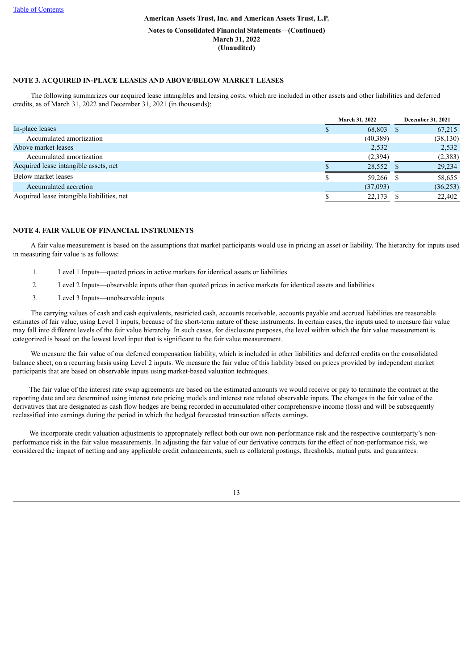### **NOTE 3. ACQUIRED IN-PLACE LEASES AND ABOVE/BELOW MARKET LEASES**

The following summarizes our acquired lease intangibles and leasing costs, which are included in other assets and other liabilities and deferred credits, as of March 31, 2022 and December 31, 2021 (in thousands):

|                                            | <b>March 31, 2022</b> | December 31, 2021 |
|--------------------------------------------|-----------------------|-------------------|
| In-place leases                            | 68,803                | 67,215            |
| Accumulated amortization                   | (40,389)              | (38, 130)         |
| Above market leases                        | 2,532                 | 2,532             |
| Accumulated amortization                   | (2,394)               | (2,383)           |
| Acquired lease intangible assets, net      | 28,552                | 29.234            |
| Below market leases                        | 59,266                | 58,655            |
| Accumulated accretion                      | (37,093)              | (36, 253)         |
| Acquired lease intangible liabilities, net | 22,173                | 22,402            |

### **NOTE 4. FAIR VALUE OF FINANCIAL INSTRUMENTS**

A fair value measurement is based on the assumptions that market participants would use in pricing an asset or liability. The hierarchy for inputs used in measuring fair value is as follows:

- 1. Level 1 Inputs—quoted prices in active markets for identical assets or liabilities
- 2. Level 2 Inputs—observable inputs other than quoted prices in active markets for identical assets and liabilities
- 3. Level 3 Inputs—unobservable inputs

The carrying values of cash and cash equivalents, restricted cash, accounts receivable, accounts payable and accrued liabilities are reasonable estimates of fair value, using Level 1 inputs, because of the short-term nature of these instruments. In certain cases, the inputs used to measure fair value may fall into different levels of the fair value hierarchy. In such cases, for disclosure purposes, the level within which the fair value measurement is categorized is based on the lowest level input that is significant to the fair value measurement.

We measure the fair value of our deferred compensation liability, which is included in other liabilities and deferred credits on the consolidated balance sheet, on a recurring basis using Level 2 inputs. We measure the fair value of this liability based on prices provided by independent market participants that are based on observable inputs using market-based valuation techniques.

The fair value of the interest rate swap agreements are based on the estimated amounts we would receive or pay to terminate the contract at the reporting date and are determined using interest rate pricing models and interest rate related observable inputs. The changes in the fair value of the derivatives that are designated as cash flow hedges are being recorded in accumulated other comprehensive income (loss) and will be subsequently reclassified into earnings during the period in which the hedged forecasted transaction affects earnings.

We incorporate credit valuation adjustments to appropriately reflect both our own non-performance risk and the respective counterparty's nonperformance risk in the fair value measurements. In adjusting the fair value of our derivative contracts for the effect of non-performance risk, we considered the impact of netting and any applicable credit enhancements, such as collateral postings, thresholds, mutual puts, and guarantees.

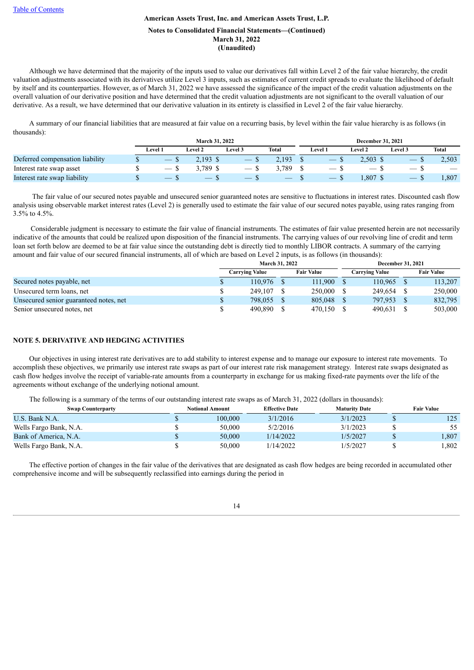Although we have determined that the majority of the inputs used to value our derivatives fall within Level 2 of the fair value hierarchy, the credit valuation adjustments associated with its derivatives utilize Level 3 inputs, such as estimates of current credit spreads to evaluate the likelihood of default by itself and its counterparties. However, as of March 31, 2022 we have assessed the significance of the impact of the credit valuation adjustments on the overall valuation of our derivative position and have determined that the credit valuation adjustments are not significant to the overall valuation of our derivative. As a result, we have determined that our derivative valuation in its entirety is classified in Level 2 of the fair value hierarchy.

A summary of our financial liabilities that are measured at fair value on a recurring basis, by level within the fair value hierarchy is as follows (in thousands):

|                                 |                | <b>March 31, 2022</b>    |                          |       | <b>December 31, 2021</b> |                                 |                |                   |       |  |  |  |  |  |
|---------------------------------|----------------|--------------------------|--------------------------|-------|--------------------------|---------------------------------|----------------|-------------------|-------|--|--|--|--|--|
|                                 | <b>Level 1</b> | <b>Level 2</b>           | <b>Level 3</b>           | Total |                          | <b>Level 1</b>                  | <b>Level 2</b> | <b>Level 3</b>    | Total |  |  |  |  |  |
| Deferred compensation liability | $ \mathcal{D}$ | 2,193 \$                 | $\overline{\phantom{0}}$ | 2,193 |                          | $ \mathcal{D}$                  | 2,503 \$       |                   | 2,503 |  |  |  |  |  |
| Interest rate swap asset        | — ა            | 3,789 \$                 | — У                      | 3,789 |                          | $\hspace{0.1mm}-\hspace{0.1mm}$ |                | $\hspace{0.05cm}$ |       |  |  |  |  |  |
| Interest rate swap liability    |                | $\overline{\phantom{a}}$ |                          | $-$   |                          | $ \lambda$                      | $1,807$ \$     |                   | .307  |  |  |  |  |  |

The fair value of our secured notes payable and unsecured senior guaranteed notes are sensitive to fluctuations in interest rates. Discounted cash flow analysis using observable market interest rates (Level 2) is generally used to estimate the fair value of our secured notes payable, using rates ranging from 3.5% to 4.5%.

Considerable judgment is necessary to estimate the fair value of financial instruments. The estimates of fair value presented herein are not necessarily indicative of the amounts that could be realized upon disposition of the financial instruments. The carrying values of our revolving line of credit and term loan set forth below are deemed to be at fair value since the outstanding debt is directly tied to monthly LIBOR contracts. A summary of the carrying amount and fair value of our secured financial instruments, all of which are based on Level 2 inputs, is as follows (in thousands):

|                                        | <b>March 31, 2022</b> |  | <b>December 31, 2021</b> |                       |  |                   |  |
|----------------------------------------|-----------------------|--|--------------------------|-----------------------|--|-------------------|--|
|                                        | <b>Carrying Value</b> |  | <b>Fair Value</b>        | <b>Carrying Value</b> |  | <b>Fair Value</b> |  |
| Secured notes payable, net             | 110.976               |  | 111.900                  | 110.965               |  | 113,207           |  |
| Unsecured term loans, net              | 249.107               |  | 250,000                  | 249.654               |  | 250,000           |  |
| Unsecured senior guaranteed notes, net | 798,055               |  | 805,048                  | 797.953               |  | 832,795           |  |
| Senior unsecured notes, net            | 490.890               |  | 470.150                  | 490.631               |  | 503,000           |  |

#### **NOTE 5. DERIVATIVE AND HEDGING ACTIVITIES**

Our objectives in using interest rate derivatives are to add stability to interest expense and to manage our exposure to interest rate movements. To accomplish these objectives, we primarily use interest rate swaps as part of our interest rate risk management strategy. Interest rate swaps designated as cash flow hedges involve the receipt of variable-rate amounts from a counterparty in exchange for us making fixed-rate payments over the life of the agreements without exchange of the underlying notional amount.

The following is a summary of the terms of our outstanding interest rate swaps as of March 31, 2022 (dollars in thousands):

| <b>Swap Counterparty</b> | Notional Amount |         | <b>Effective Date</b> | <b>Maturity Date</b> | <b>Fair Value</b> |
|--------------------------|-----------------|---------|-----------------------|----------------------|-------------------|
| U.S. Bank N.A.           |                 | 100.000 | 3/1/2016              | 3/1/2023             | 125               |
| Wells Fargo Bank, N.A.   |                 | 50,000  | 5/2/2016              | 3/1/2023             | 55                |
| Bank of America, N.A.    |                 | 50,000  | 1/14/2022             | 1/5/2027             | .807              |
| Wells Fargo Bank, N.A.   |                 | 50,000  | 1/14/2022             | 1/5/2027             | 0.802             |

The effective portion of changes in the fair value of the derivatives that are designated as cash flow hedges are being recorded in accumulated other comprehensive income and will be subsequently reclassified into earnings during the period in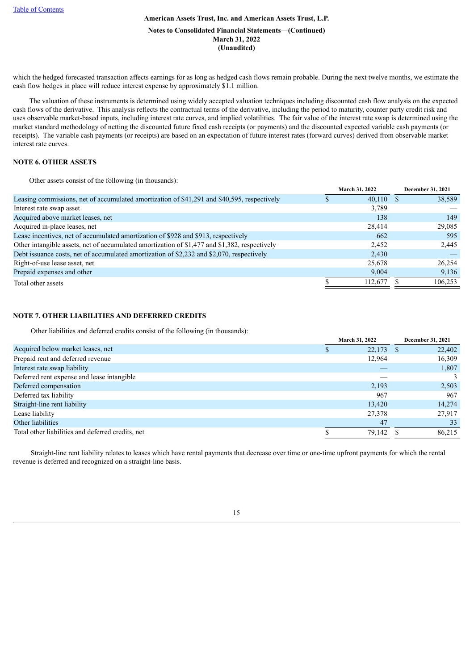which the hedged forecasted transaction affects earnings for as long as hedged cash flows remain probable. During the next twelve months, we estimate the cash flow hedges in place will reduce interest expense by approximately \$1.1 million.

The valuation of these instruments is determined using widely accepted valuation techniques including discounted cash flow analysis on the expected cash flows of the derivative. This analysis reflects the contractual terms of the derivative, including the period to maturity, counter party credit risk and uses observable market-based inputs, including interest rate curves, and implied volatilities. The fair value of the interest rate swap is determined using the market standard methodology of netting the discounted future fixed cash receipts (or payments) and the discounted expected variable cash payments (or receipts). The variable cash payments (or receipts) are based on an expectation of future interest rates (forward curves) derived from observable market interest rate curves.

### **NOTE 6. OTHER ASSETS**

Other assets consist of the following (in thousands):

|                                                                                               | March 31, 2022 | <b>December 31, 2021</b> |
|-----------------------------------------------------------------------------------------------|----------------|--------------------------|
| Leasing commissions, net of accumulated amortization of \$41,291 and \$40,595, respectively   | 40,110         | 38,589                   |
| Interest rate swap asset                                                                      | 3,789          |                          |
| Acquired above market leases, net                                                             | 138            | 149                      |
| Acquired in-place leases, net                                                                 | 28,414         | 29,085                   |
| Lease incentives, net of accumulated amortization of \$928 and \$913, respectively            | 662            | 595                      |
| Other intangible assets, net of accumulated amortization of \$1,477 and \$1,382, respectively | 2,452          | 2,445                    |
| Debt issuance costs, net of accumulated amortization of \$2,232 and \$2,070, respectively     | 2,430          |                          |
| Right-of-use lease asset, net                                                                 | 25,678         | 26,254                   |
| Prepaid expenses and other                                                                    | 9,004          | 9,136                    |
| Total other assets                                                                            | 112,677        | 106,253                  |
|                                                                                               |                |                          |

### **NOTE 7. OTHER LIABILITIES AND DEFERRED CREDITS**

Other liabilities and deferred credits consist of the following (in thousands):

|                                                   | <b>March 31, 2022</b> |     |        | December 31, 2021 |  |  |
|---------------------------------------------------|-----------------------|-----|--------|-------------------|--|--|
| Acquired below market leases, net                 | 22,173                |     | 22,402 |                   |  |  |
| Prepaid rent and deferred revenue                 | 12,964                |     | 16,309 |                   |  |  |
| Interest rate swap liability                      |                       |     | 1,807  |                   |  |  |
| Deferred rent expense and lease intangible        |                       |     | 3      |                   |  |  |
| Deferred compensation                             | 2,193                 |     | 2,503  |                   |  |  |
| Deferred tax liability                            |                       | 967 | 967    |                   |  |  |
| Straight-line rent liability                      | 13,420                |     | 14,274 |                   |  |  |
| Lease liability                                   | 27,378                |     | 27.917 |                   |  |  |
| Other liabilities                                 |                       | 47  | 33     |                   |  |  |
| Total other liabilities and deferred credits, net | 79.142                |     | 86.215 |                   |  |  |

Straight-line rent liability relates to leases which have rental payments that decrease over time or one-time upfront payments for which the rental revenue is deferred and recognized on a straight-line basis.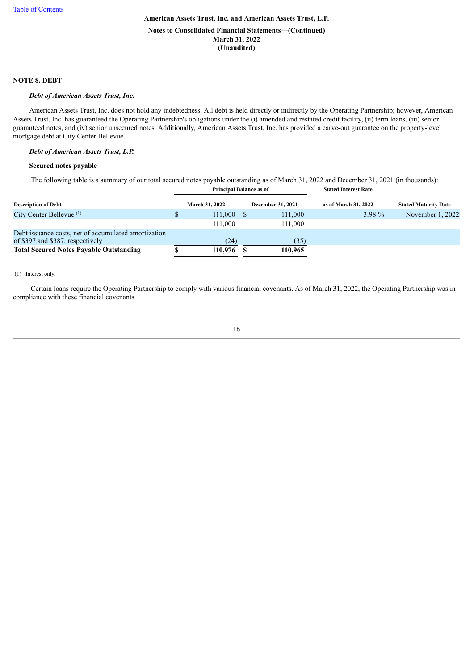#### **NOTE 8. DEBT**

#### *Debt of American Assets Trust, Inc.*

American Assets Trust, Inc. does not hold any indebtedness. All debt is held directly or indirectly by the Operating Partnership; however, American Assets Trust, Inc. has guaranteed the Operating Partnership's obligations under the (i) amended and restated credit facility, (ii) term loans, (iii) senior guaranteed notes, and (iv) senior unsecured notes. Additionally, American Assets Trust, Inc. has provided a carve-out guarantee on the property-level mortgage debt at City Center Bellevue.

### *Debt of American Assets Trust, L.P.*

### **Secured notes payable**

The following table is a summary of our total secured notes payable outstanding as of March 31, 2022 and December 31, 2021 (in thousands): **Principal Balance as of Stated Interest Rate**

| <b>Description of Debt</b>                                                               | <b>March 31, 2022</b> | December 31, 2021 | as of March 31, 2022 | <b>Stated Maturity Date</b> |
|------------------------------------------------------------------------------------------|-----------------------|-------------------|----------------------|-----------------------------|
| City Center Bellevue <sup>(1)</sup>                                                      | 111.000               | 111,000           | $3.98\%$             | November 1, 2022            |
|                                                                                          | 111.000               | 111.000           |                      |                             |
| Debt issuance costs, net of accumulated amortization<br>of \$397 and \$387, respectively | (24)                  | (35)              |                      |                             |
| <b>Total Secured Notes Payable Outstanding</b>                                           | 110.976               | 110,965           |                      |                             |

#### (1) Interest only.

Certain loans require the Operating Partnership to comply with various financial covenants. As of March 31, 2022, the Operating Partnership was in compliance with these financial covenants.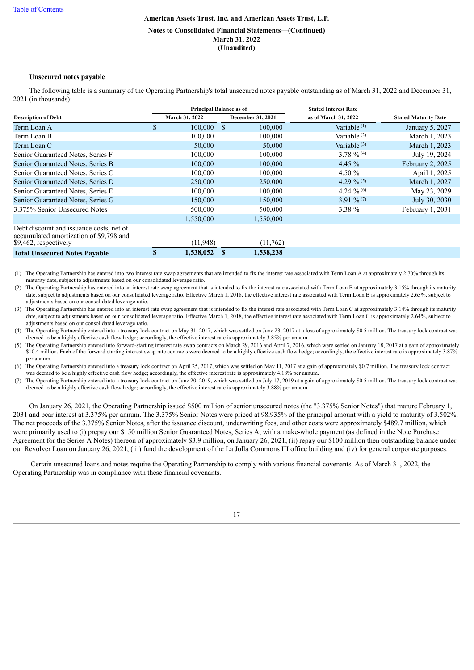#### **Unsecured notes payable**

The following table is a summary of the Operating Partnership's total unsecured notes payable outstanding as of March 31, 2022 and December 31, 2021 (in thousands):

|                                                                                                              |               | <b>Principal Balance as of</b> |                   | <b>Stated Interest Rate</b> |                          |                             |
|--------------------------------------------------------------------------------------------------------------|---------------|--------------------------------|-------------------|-----------------------------|--------------------------|-----------------------------|
| <b>Description of Debt</b>                                                                                   |               | March 31, 2022                 | December 31, 2021 |                             | as of March 31, 2022     | <b>Stated Maturity Date</b> |
| Term Loan A                                                                                                  | $\mathbf{\$}$ | 100,000                        | <sup>\$</sup>     | 100,000                     | Variable $(1)$           | January 5, 2027             |
| Term Loan B                                                                                                  |               | 100,000                        |                   | 100,000                     | Variable $(2)$           | March 1, 2023               |
| Term Loan C                                                                                                  |               | 50,000                         |                   | 50,000                      | Variable $(3)$           | March 1, 2023               |
| Senior Guaranteed Notes, Series F                                                                            |               | 100,000                        |                   | 100,000                     | 3.78 $\%$ <sup>(4)</sup> | July 19, 2024               |
| Senior Guaranteed Notes, Series B                                                                            |               | 100,000                        |                   | 100,000                     | 4.45 $%$                 | February 2, 2025            |
| Senior Guaranteed Notes, Series C                                                                            |               | 100,000                        |                   | 100,000                     | 4.50 $%$                 | April 1, 2025               |
| Senior Guaranteed Notes, Series D                                                                            |               | 250,000                        |                   | 250,000                     | 4.29 $\%$ (5)            | March 1, 2027               |
| Senior Guaranteed Notes, Series E.                                                                           |               | 100,000                        |                   | 100,000                     | 4.24 $\%$ (6)            | May 23, 2029                |
| Senior Guaranteed Notes, Series G                                                                            |               | 150,000                        |                   | 150,000                     | 3.91 % $(7)$             | July 30, 2030               |
| 3.375% Senior Unsecured Notes                                                                                |               | 500,000                        |                   | 500,000                     | 3.38 %                   | February 1, 2031            |
|                                                                                                              |               | 1,550,000                      |                   | 1,550,000                   |                          |                             |
| Debt discount and issuance costs, net of<br>accumulated amortization of \$9,798 and<br>\$9,462, respectively |               | (11,948)                       |                   | (11,762)                    |                          |                             |
| <b>Total Unsecured Notes Pavable</b>                                                                         | $\mathbf{s}$  | 1,538,052                      | S                 | 1,538,238                   |                          |                             |

(1) The Operating Partnership has entered into two interest rate swap agreements that are intended to fix the interest rate associated with Term Loan A at approximately 2.70% through its maturity date, subject to adjustments based on our consolidated leverage ratio.

(2) The Operating Partnership has entered into an interest rate swap agreement that is intended to fix the interest rate associated with Term Loan B at approximately 3.15% through its maturity date, subject to adjustments based on our consolidated leverage ratio. Effective March 1, 2018, the effective interest rate associated with Term Loan B is approximately 2.65%, subject to adjustments based on our consolidated leverage ratio.

(3) The Operating Partnership has entered into an interest rate swap agreement that is intended to fix the interest rate associated with Term Loan C at approximately 3.14% through its maturity date, subject to adjustments based on our consolidated leverage ratio. Effective March 1, 2018, the effective interest rate associated with Term Loan C is approximately 2.64%, subject to adjustments based on our consolidated leverage ratio.

(4) The Operating Partnership entered into a treasury lock contract on May 31, 2017, which was settled on June 23, 2017 at a loss of approximately \$0.5 million. The treasury lock contract was deemed to be a highly effective cash flow hedge; accordingly, the effective interest rate is approximately 3.85% per annum.

(5) The Operating Partnership entered into forward-starting interest rate swap contracts on March 29, 2016 and April 7, 2016, which were settled on January 18, 2017 at a gain of approximately \$10.4 million. Each of the forward-starting interest swap rate contracts were deemed to be a highly effective cash flow hedge; accordingly, the effective interest rate is approximately 3.87% per annum.

(6) The Operating Partnership entered into a treasury lock contract on April 25, 2017, which was settled on May 11, 2017 at a gain of approximately \$0.7 million. The treasury lock contract was deemed to be a highly effective cash flow hedge; accordingly, the effective interest rate is approximately 4.18% per annum.

(7) The Operating Partnership entered into a treasury lock contract on June 20, 2019, which was settled on July 17, 2019 at a gain of approximately \$0.5 million. The treasury lock contract was deemed to be a highly effective cash flow hedge; accordingly, the effective interest rate is approximately 3.88% per annum.

On January 26, 2021, the Operating Partnership issued \$500 million of senior unsecured notes (the "3.375% Senior Notes") that mature February 1, 2031 and bear interest at 3.375% per annum. The 3.375% Senior Notes were priced at 98.935% of the principal amount with a yield to maturity of 3.502%. The net proceeds of the 3.375% Senior Notes, after the issuance discount, underwriting fees, and other costs were approximately \$489.7 million, which were primarily used to (i) prepay our \$150 million Senior Guaranteed Notes, Series A, with a make-whole payment (as defined in the Note Purchase Agreement for the Series A Notes) thereon of approximately \$3.9 million, on January 26, 2021, (ii) repay our \$100 million then outstanding balance under our Revolver Loan on January 26, 2021, (iii) fund the development of the La Jolla Commons III office building and (iv) for general corporate purposes.

Certain unsecured loans and notes require the Operating Partnership to comply with various financial covenants. As of March 31, 2022, the Operating Partnership was in compliance with these financial covenants.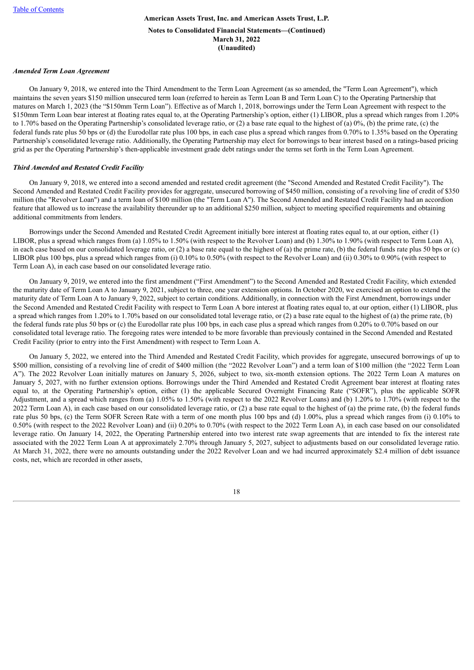#### *Amended Term Loan Agreement*

On January 9, 2018, we entered into the Third Amendment to the Term Loan Agreement (as so amended, the "Term Loan Agreement"), which maintains the seven years \$150 million unsecured term loan (referred to herein as Term Loan B and Term Loan C) to the Operating Partnership that matures on March 1, 2023 (the "\$150mm Term Loan"). Effective as of March 1, 2018, borrowings under the Term Loan Agreement with respect to the \$150mm Term Loan bear interest at floating rates equal to, at the Operating Partnership's option, either (1) LIBOR, plus a spread which ranges from 1.20% to 1.70% based on the Operating Partnership's consolidated leverage ratio, or (2) a base rate equal to the highest of (a) 0%, (b) the prime rate, (c) the federal funds rate plus 50 bps or (d) the Eurodollar rate plus 100 bps, in each case plus a spread which ranges from 0.70% to 1.35% based on the Operating Partnership's consolidated leverage ratio. Additionally, the Operating Partnership may elect for borrowings to bear interest based on a ratings-based pricing grid as per the Operating Partnership's then-applicable investment grade debt ratings under the terms set forth in the Term Loan Agreement.

#### *Third Amended and Restated Credit Facility*

On January 9, 2018, we entered into a second amended and restated credit agreement (the "Second Amended and Restated Credit Facility"). The Second Amended and Restated Credit Facility provides for aggregate, unsecured borrowing of \$450 million, consisting of a revolving line of credit of \$350 million (the "Revolver Loan") and a term loan of \$100 million (the "Term Loan A"). The Second Amended and Restated Credit Facility had an accordion feature that allowed us to increase the availability thereunder up to an additional \$250 million, subject to meeting specified requirements and obtaining additional commitments from lenders.

Borrowings under the Second Amended and Restated Credit Agreement initially bore interest at floating rates equal to, at our option, either (1) LIBOR, plus a spread which ranges from (a) 1.05% to 1.50% (with respect to the Revolver Loan) and (b) 1.30% to 1.90% (with respect to Term Loan A). in each case based on our consolidated leverage ratio, or  $(2)$  a base rate equal to the highest of  $(a)$  the prime rate,  $(b)$  the federal funds rate plus 50 bps or  $(c)$ LIBOR plus 100 bps, plus a spread which ranges from (i) 0.10% to 0.50% (with respect to the Revolver Loan) and (ii) 0.30% to 0.90% (with respect to Term Loan A), in each case based on our consolidated leverage ratio.

On January 9, 2019, we entered into the first amendment ("First Amendment") to the Second Amended and Restated Credit Facility, which extended the maturity date of Term Loan A to January 9, 2021, subject to three, one year extension options. In October 2020, we exercised an option to extend the maturity date of Term Loan A to January 9, 2022, subject to certain conditions. Additionally, in connection with the First Amendment, borrowings under the Second Amended and Restated Credit Facility with respect to Term Loan A bore interest at floating rates equal to, at our option, either (1) LIBOR, plus a spread which ranges from 1.20% to 1.70% based on our consolidated total leverage ratio, or (2) a base rate equal to the highest of (a) the prime rate, (b) the federal funds rate plus 50 bps or (c) the Eurodollar rate plus 100 bps, in each case plus a spread which ranges from 0.20% to 0.70% based on our consolidated total leverage ratio. The foregoing rates were intended to be more favorable than previously contained in the Second Amended and Restated Credit Facility (prior to entry into the First Amendment) with respect to Term Loan A.

On January 5, 2022, we entered into the Third Amended and Restated Credit Facility, which provides for aggregate, unsecured borrowings of up to \$500 million, consisting of a revolving line of credit of \$400 million (the "2022 Revolver Loan") and a term loan of \$100 million (the "2022 Term Loan A"). The 2022 Revolver Loan initially matures on January 5, 2026, subject to two, six-month extension options. The 2022 Term Loan A matures on January 5, 2027, with no further extension options. Borrowings under the Third Amended and Restated Credit Agreement bear interest at floating rates equal to, at the Operating Partnership's option, either (1) the applicable Secured Overnight Financing Rate ("SOFR"), plus the applicable SOFR Adjustment, and a spread which ranges from (a) 1.05% to 1.50% (with respect to the 2022 Revolver Loans) and (b) 1.20% to 1.70% (with respect to the 2022 Term Loan A), in each case based on our consolidated leverage ratio, or (2) a base rate equal to the highest of (a) the prime rate, (b) the federal funds rate plus 50 bps, (c) the Term SOFR Screen Rate with a term of one month plus 100 bps and (d) 1.00%, plus a spread which ranges from (i) 0.10% to 0.50% (with respect to the 2022 Revolver Loan) and (ii) 0.20% to 0.70% (with respect to the 2022 Term Loan A), in each case based on our consolidated leverage ratio. On January 14, 2022, the Operating Partnership entered into two interest rate swap agreements that are intended to fix the interest rate associated with the 2022 Term Loan A at approximately 2.70% through January 5, 2027, subject to adjustments based on our consolidated leverage ratio. At March 31, 2022, there were no amounts outstanding under the 2022 Revolver Loan and we had incurred approximately \$2.4 million of debt issuance costs, net, which are recorded in other assets,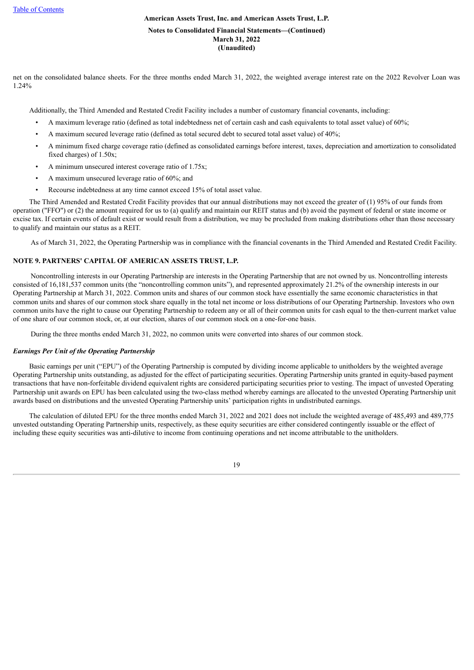net on the consolidated balance sheets. For the three months ended March 31, 2022, the weighted average interest rate on the 2022 Revolver Loan was 1.24%

Additionally, the Third Amended and Restated Credit Facility includes a number of customary financial covenants, including:

- A maximum leverage ratio (defined as total indebtedness net of certain cash and cash equivalents to total asset value) of 60%;
- A maximum secured leverage ratio (defined as total secured debt to secured total asset value) of 40%;
- A minimum fixed charge coverage ratio (defined as consolidated earnings before interest, taxes, depreciation and amortization to consolidated fixed charges) of 1.50x;
- A minimum unsecured interest coverage ratio of 1.75x;
- A maximum unsecured leverage ratio of 60%; and
- Recourse indebtedness at any time cannot exceed 15% of total asset value.

The Third Amended and Restated Credit Facility provides that our annual distributions may not exceed the greater of (1) 95% of our funds from operation ("FFO") or (2) the amount required for us to (a) qualify and maintain our REIT status and (b) avoid the payment of federal or state income or excise tax. If certain events of default exist or would result from a distribution, we may be precluded from making distributions other than those necessary to qualify and maintain our status as a REIT.

As of March 31, 2022, the Operating Partnership was in compliance with the financial covenants in the Third Amended and Restated Credit Facility.

#### **NOTE 9. PARTNERS' CAPITAL OF AMERICAN ASSETS TRUST, L.P.**

Noncontrolling interests in our Operating Partnership are interests in the Operating Partnership that are not owned by us. Noncontrolling interests consisted of 16,181,537 common units (the "noncontrolling common units"), and represented approximately 21.2% of the ownership interests in our Operating Partnership at March 31, 2022. Common units and shares of our common stock have essentially the same economic characteristics in that common units and shares of our common stock share equally in the total net income or loss distributions of our Operating Partnership. Investors who own common units have the right to cause our Operating Partnership to redeem any or all of their common units for cash equal to the then-current market value of one share of our common stock, or, at our election, shares of our common stock on a one-for-one basis.

During the three months ended March 31, 2022, no common units were converted into shares of our common stock.

#### *Earnings Per Unit of the Operating Partnership*

Basic earnings per unit ("EPU") of the Operating Partnership is computed by dividing income applicable to unitholders by the weighted average Operating Partnership units outstanding, as adjusted for the effect of participating securities. Operating Partnership units granted in equity-based payment transactions that have non-forfeitable dividend equivalent rights are considered participating securities prior to vesting. The impact of unvested Operating Partnership unit awards on EPU has been calculated using the two-class method whereby earnings are allocated to the unvested Operating Partnership unit awards based on distributions and the unvested Operating Partnership units' participation rights in undistributed earnings.

The calculation of diluted EPU for the three months ended March 31, 2022 and 2021 does not include the weighted average of 485,493 and 489,775 unvested outstanding Operating Partnership units, respectively, as these equity securities are either considered contingently issuable or the effect of including these equity securities was anti-dilutive to income from continuing operations and net income attributable to the unitholders.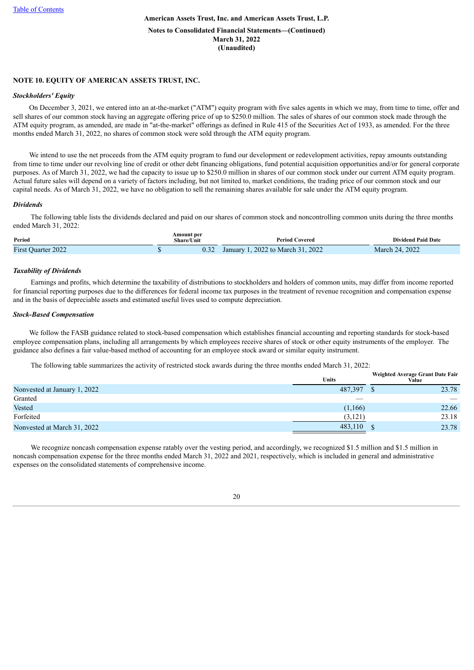### **NOTE 10. EQUITY OF AMERICAN ASSETS TRUST, INC.**

#### *Stockholders' Equity*

On December 3, 2021, we entered into an at-the-market ("ATM") equity program with five sales agents in which we may, from time to time, offer and sell shares of our common stock having an aggregate offering price of up to \$250.0 million. The sales of shares of our common stock made through the ATM equity program, as amended, are made in "at-the-market" offerings as defined in Rule 415 of the Securities Act of 1933, as amended. For the three months ended March 31, 2022, no shares of common stock were sold through the ATM equity program.

We intend to use the net proceeds from the ATM equity program to fund our development or redevelopment activities, repay amounts outstanding from time to time under our revolving line of credit or other debt financing obligations, fund potential acquisition opportunities and/or for general corporate purposes. As of March 31, 2022, we had the capacity to issue up to \$250.0 million in shares of our common stock under our current ATM equity program. Actual future sales will depend on a variety of factors including, but not limited to, market conditions, the trading price of our common stock and our capital needs. As of March 31, 2022, we have no obligation to sell the remaining shares available for sale under the ATM equity program.

#### *Dividends*

The following table lists the dividends declared and paid on our shares of common stock and noncontrolling common units during the three months ended March 31, 2022:

| Period                    | Amount per<br>Share/Unit | <b>Period Covered</b>             | <b>Dividend Paid Date</b> |  |  |
|---------------------------|--------------------------|-----------------------------------|---------------------------|--|--|
| <b>First Ouarter 2022</b> | 0.32                     | January 1, 2022 to March 31, 2022 | March 24, 2022            |  |  |

#### *Taxability of Dividends*

Earnings and profits, which determine the taxability of distributions to stockholders and holders of common units, may differ from income reported for financial reporting purposes due to the differences for federal income tax purposes in the treatment of revenue recognition and compensation expense and in the basis of depreciable assets and estimated useful lives used to compute depreciation.

#### *Stock-Based Compensation*

We follow the FASB guidance related to stock-based compensation which establishes financial accounting and reporting standards for stock-based employee compensation plans, including all arrangements by which employees receive shares of stock or other equity instruments of the employer. The guidance also defines a fair value-based method of accounting for an employee stock award or similar equity instrument.

The following table summarizes the activity of restricted stock awards during the three months ended March 31, 2022:

| <u>The following wore communiced the west try of received stoem withing the three michael enable from the strategie</u> |         |                                           |  |  |  |  |
|-------------------------------------------------------------------------------------------------------------------------|---------|-------------------------------------------|--|--|--|--|
|                                                                                                                         | Units   | Weighted Average Grant Date Fair<br>Value |  |  |  |  |
| Nonvested at January 1, 2022                                                                                            | 487,397 | 23.78                                     |  |  |  |  |
| Granted                                                                                                                 |         |                                           |  |  |  |  |
| Vested                                                                                                                  | (1,166) | 22.66                                     |  |  |  |  |
| Forfeited                                                                                                               | (3,121) | 23.18                                     |  |  |  |  |
| Nonvested at March 31, 2022                                                                                             | 483,110 | 23.78                                     |  |  |  |  |

We recognize noncash compensation expense ratably over the vesting period, and accordingly, we recognized \$1.5 million and \$1.5 million in noncash compensation expense for the three months ended March 31, 2022 and 2021, respectively, which is included in general and administrative expenses on the consolidated statements of comprehensive income.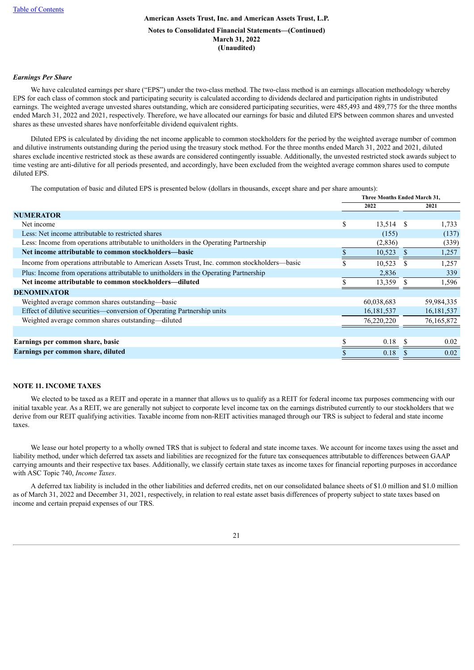#### *Earnings Per Share*

We have calculated earnings per share ("EPS") under the two-class method. The two-class method is an earnings allocation methodology whereby EPS for each class of common stock and participating security is calculated according to dividends declared and participation rights in undistributed earnings. The weighted average unvested shares outstanding, which are considered participating securities, were 485,493 and 489,775 for the three months ended March 31, 2022 and 2021, respectively. Therefore, we have allocated our earnings for basic and diluted EPS between common shares and unvested shares as these unvested shares have nonforfeitable dividend equivalent rights.

Diluted EPS is calculated by dividing the net income applicable to common stockholders for the period by the weighted average number of common and dilutive instruments outstanding during the period using the treasury stock method. For the three months ended March 31, 2022 and 2021, diluted shares exclude incentive restricted stock as these awards are considered contingently issuable. Additionally, the unvested restricted stock awards subject to time vesting are anti-dilutive for all periods presented, and accordingly, have been excluded from the weighted average common shares used to compute diluted EPS.

The computation of basic and diluted EPS is presented below (dollars in thousands, except share and per share amounts):

|                                                                                              | Three Months Ended March 31, |              |  |              |
|----------------------------------------------------------------------------------------------|------------------------------|--------------|--|--------------|
|                                                                                              |                              | 2022         |  | 2021         |
| <b>NUMERATOR</b>                                                                             |                              |              |  |              |
| Net income                                                                                   | \$                           | 13,514 \$    |  | 1,733        |
| Less: Net income attributable to restricted shares                                           |                              | (155)        |  | (137)        |
| Less: Income from operations attributable to unitholders in the Operating Partnership        |                              | (2,836)      |  | (339)        |
| Net income attributable to common stockholders—basic                                         |                              | 10,523       |  | 1,257        |
| Income from operations attributable to American Assets Trust, Inc. common stockholders—basic |                              | 10,523       |  | 1,257        |
| Plus: Income from operations attributable to unitholders in the Operating Partnership        |                              | 2,836        |  | 339          |
| Net income attributable to common stockholders—diluted                                       |                              | 13,359       |  | 1,596        |
| <b>DENOMINATOR</b>                                                                           |                              |              |  |              |
| Weighted average common shares outstanding—basic                                             |                              | 60,038,683   |  | 59,984,335   |
| Effect of dilutive securities—conversion of Operating Partnership units                      |                              | 16, 181, 537 |  | 16, 181, 537 |
| Weighted average common shares outstanding-diluted                                           |                              | 76,220,220   |  | 76,165,872   |
|                                                                                              |                              |              |  |              |
| Earnings per common share, basic                                                             |                              | 0.18         |  | 0.02         |
| Earnings per common share, diluted                                                           |                              | 0.18         |  | 0.02         |

#### **NOTE 11. INCOME TAXES**

We elected to be taxed as a REIT and operate in a manner that allows us to qualify as a REIT for federal income tax purposes commencing with our initial taxable year. As a REIT, we are generally not subject to corporate level income tax on the earnings distributed currently to our stockholders that we derive from our REIT qualifying activities. Taxable income from non-REIT activities managed through our TRS is subject to federal and state income taxes.

We lease our hotel property to a wholly owned TRS that is subject to federal and state income taxes. We account for income taxes using the asset and liability method, under which deferred tax assets and liabilities are recognized for the future tax consequences attributable to differences between GAAP carrying amounts and their respective tax bases. Additionally, we classify certain state taxes as income taxes for financial reporting purposes in accordance with ASC Topic 740, *Income Taxes*.

A deferred tax liability is included in the other liabilities and deferred credits, net on our consolidated balance sheets of \$1.0 million and \$1.0 million as of March 31, 2022 and December 31, 2021, respectively, in relation to real estate asset basis differences of property subject to state taxes based on income and certain prepaid expenses of our TRS.

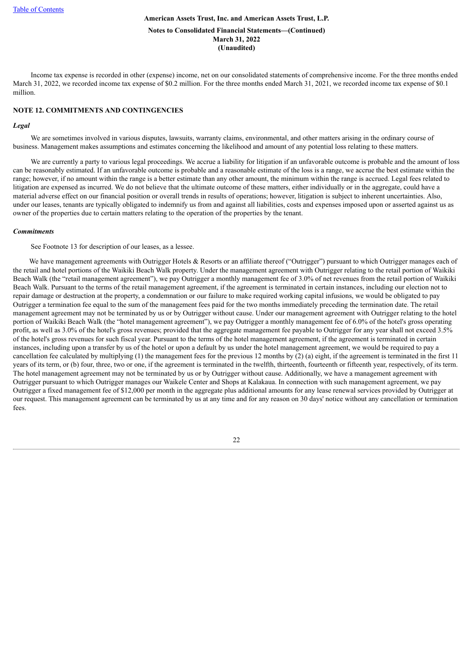Income tax expense is recorded in other (expense) income, net on our consolidated statements of comprehensive income. For the three months ended March 31, 2022, we recorded income tax expense of \$0.2 million. For the three months ended March 31, 2021, we recorded income tax expense of \$0.1 million.

### **NOTE 12. COMMITMENTS AND CONTINGENCIES**

#### *Legal*

We are sometimes involved in various disputes, lawsuits, warranty claims, environmental, and other matters arising in the ordinary course of business. Management makes assumptions and estimates concerning the likelihood and amount of any potential loss relating to these matters.

We are currently a party to various legal proceedings. We accrue a liability for litigation if an unfavorable outcome is probable and the amount of loss can be reasonably estimated. If an unfavorable outcome is probable and a reasonable estimate of the loss is a range, we accrue the best estimate within the range; however, if no amount within the range is a better estimate than any other amount, the minimum within the range is accrued. Legal fees related to litigation are expensed as incurred. We do not believe that the ultimate outcome of these matters, either individually or in the aggregate, could have a material adverse effect on our financial position or overall trends in results of operations; however, litigation is subject to inherent uncertainties. Also, under our leases, tenants are typically obligated to indemnify us from and against all liabilities, costs and expenses imposed upon or asserted against us as owner of the properties due to certain matters relating to the operation of the properties by the tenant.

#### *Commitments*

See Footnote 13 for description of our leases, as a lessee.

We have management agreements with Outrigger Hotels & Resorts or an affiliate thereof ("Outrigger") pursuant to which Outrigger manages each of the retail and hotel portions of the Waikiki Beach Walk property. Under the management agreement with Outrigger relating to the retail portion of Waikiki Beach Walk (the "retail management agreement"), we pay Outrigger a monthly management fee of 3.0% of net revenues from the retail portion of Waikiki Beach Walk. Pursuant to the terms of the retail management agreement, if the agreement is terminated in certain instances, including our election not to repair damage or destruction at the property, a condemnation or our failure to make required working capital infusions, we would be obligated to pay Outrigger a termination fee equal to the sum of the management fees paid for the two months immediately preceding the termination date. The retail management agreement may not be terminated by us or by Outrigger without cause. Under our management agreement with Outrigger relating to the hotel portion of Waikiki Beach Walk (the "hotel management agreement"), we pay Outrigger a monthly management fee of 6.0% of the hotel's gross operating profit, as well as 3.0% of the hotel's gross revenues; provided that the aggregate management fee payable to Outrigger for any year shall not exceed 3.5% of the hotel's gross revenues for such fiscal year. Pursuant to the terms of the hotel management agreement, if the agreement is terminated in certain instances, including upon a transfer by us of the hotel or upon a default by us under the hotel management agreement, we would be required to pay a cancellation fee calculated by multiplying (1) the management fees for the previous 12 months by (2) (a) eight, if the agreement is terminated in the first 11 years of its term, or (b) four, three, two or one, if the agreement is terminated in the twelfth, thirteenth, fourteenth or fifteenth year, respectively, of its term. The hotel management agreement may not be terminated by us or by Outrigger without cause. Additionally, we have a management agreement with Outrigger pursuant to which Outrigger manages our Waikele Center and Shops at Kalakaua. In connection with such management agreement, we pay Outrigger a fixed management fee of \$12,000 per month in the aggregate plus additional amounts for any lease renewal services provided by Outrigger at our request. This management agreement can be terminated by us at any time and for any reason on 30 days' notice without any cancellation or termination fees.

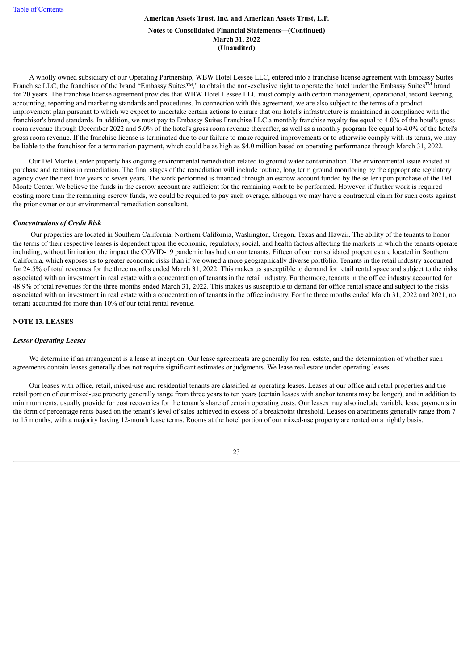A wholly owned subsidiary of our Operating Partnership, WBW Hotel Lessee LLC, entered into a franchise license agreement with Embassy Suites Franchise LLC, the franchisor of the brand "Embassy Suites™," to obtain the non-exclusive right to operate the hotel under the Embassy Suites<sup>™</sup> brand for 20 years. The franchise license agreement provides that WBW Hotel Lessee LLC must comply with certain management, operational, record keeping, accounting, reporting and marketing standards and procedures. In connection with this agreement, we are also subject to the terms of a product improvement plan pursuant to which we expect to undertake certain actions to ensure that our hotel's infrastructure is maintained in compliance with the franchisor's brand standards. In addition, we must pay to Embassy Suites Franchise LLC a monthly franchise royalty fee equal to 4.0% of the hotel's gross room revenue through December 2022 and 5.0% of the hotel's gross room revenue thereafter, as well as a monthly program fee equal to 4.0% of the hotel's gross room revenue. If the franchise license is terminated due to our failure to make required improvements or to otherwise comply with its terms, we may be liable to the franchisor for a termination payment, which could be as high as \$4.0 million based on operating performance through March 31, 2022.

Our Del Monte Center property has ongoing environmental remediation related to ground water contamination. The environmental issue existed at purchase and remains in remediation. The final stages of the remediation will include routine, long term ground monitoring by the appropriate regulatory agency over the next five years to seven years. The work performed is financed through an escrow account funded by the seller upon purchase of the Del Monte Center. We believe the funds in the escrow account are sufficient for the remaining work to be performed. However, if further work is required costing more than the remaining escrow funds, we could be required to pay such overage, although we may have a contractual claim for such costs against the prior owner or our environmental remediation consultant.

#### *Concentrations of Credit Risk*

Our properties are located in Southern California, Northern California, Washington, Oregon, Texas and Hawaii. The ability of the tenants to honor the terms of their respective leases is dependent upon the economic, regulatory, social, and health factors affecting the markets in which the tenants operate including, without limitation, the impact the COVID-19 pandemic has had on our tenants. Fifteen of our consolidated properties are located in Southern California, which exposes us to greater economic risks than if we owned a more geographically diverse portfolio. Tenants in the retail industry accounted for 24.5% of total revenues for the three months ended March 31, 2022. This makes us susceptible to demand for retail rental space and subject to the risks associated with an investment in real estate with a concentration of tenants in the retail industry. Furthermore, tenants in the office industry accounted for 48.9% of total revenues for the three months ended March 31, 2022. This makes us susceptible to demand for office rental space and subject to the risks associated with an investment in real estate with a concentration of tenants in the office industry. For the three months ended March 31, 2022 and 2021, no tenant accounted for more than 10% of our total rental revenue.

#### **NOTE 13. LEASES**

#### *Lessor Operating Leases*

We determine if an arrangement is a lease at inception. Our lease agreements are generally for real estate, and the determination of whether such agreements contain leases generally does not require significant estimates or judgments. We lease real estate under operating leases.

Our leases with office, retail, mixed-use and residential tenants are classified as operating leases. Leases at our office and retail properties and the retail portion of our mixed-use property generally range from three years to ten years (certain leases with anchor tenants may be longer), and in addition to minimum rents, usually provide for cost recoveries for the tenant's share of certain operating costs. Our leases may also include variable lease payments in the form of percentage rents based on the tenant's level of sales achieved in excess of a breakpoint threshold. Leases on apartments generally range from 7 to 15 months, with a majority having 12-month lease terms. Rooms at the hotel portion of our mixed-use property are rented on a nightly basis.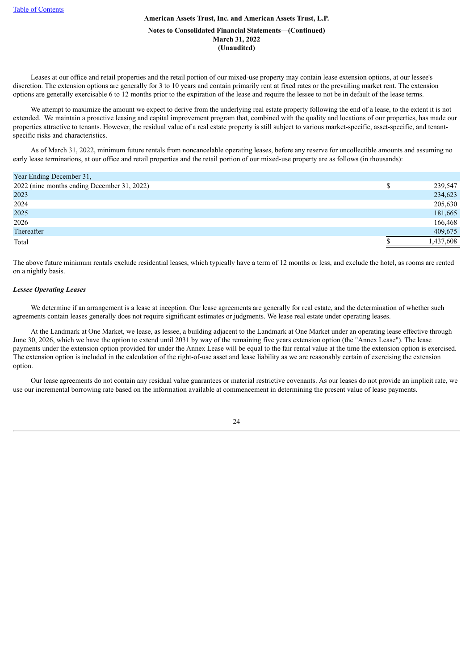Leases at our office and retail properties and the retail portion of our mixed-use property may contain lease extension options, at our lessee's discretion. The extension options are generally for 3 to 10 years and contain primarily rent at fixed rates or the prevailing market rent. The extension options are generally exercisable 6 to 12 months prior to the expiration of the lease and require the lessee to not be in default of the lease terms.

We attempt to maximize the amount we expect to derive from the underlying real estate property following the end of a lease, to the extent it is not extended. We maintain a proactive leasing and capital improvement program that, combined with the quality and locations of our properties, has made our properties attractive to tenants. However, the residual value of a real estate property is still subject to various market-specific, asset-specific, and tenantspecific risks and characteristics.

As of March 31, 2022, minimum future rentals from noncancelable operating leases, before any reserve for uncollectible amounts and assuming no early lease terminations, at our office and retail properties and the retail portion of our mixed-use property are as follows (in thousands):

| 239,547   |
|-----------|
| 234,623   |
| 205,630   |
| 181,665   |
| 166,468   |
| 409,675   |
| 1,437,608 |
|           |

The above future minimum rentals exclude residential leases, which typically have a term of 12 months or less, and exclude the hotel, as rooms are rented on a nightly basis.

#### *Lessee Operating Leases*

We determine if an arrangement is a lease at inception. Our lease agreements are generally for real estate, and the determination of whether such agreements contain leases generally does not require significant estimates or judgments. We lease real estate under operating leases.

At the Landmark at One Market, we lease, as lessee, a building adjacent to the Landmark at One Market under an operating lease effective through June 30, 2026, which we have the option to extend until 2031 by way of the remaining five years extension option (the "Annex Lease"). The lease payments under the extension option provided for under the Annex Lease will be equal to the fair rental value at the time the extension option is exercised. The extension option is included in the calculation of the right-of-use asset and lease liability as we are reasonably certain of exercising the extension option.

Our lease agreements do not contain any residual value guarantees or material restrictive covenants. As our leases do not provide an implicit rate, we use our incremental borrowing rate based on the information available at commencement in determining the present value of lease payments.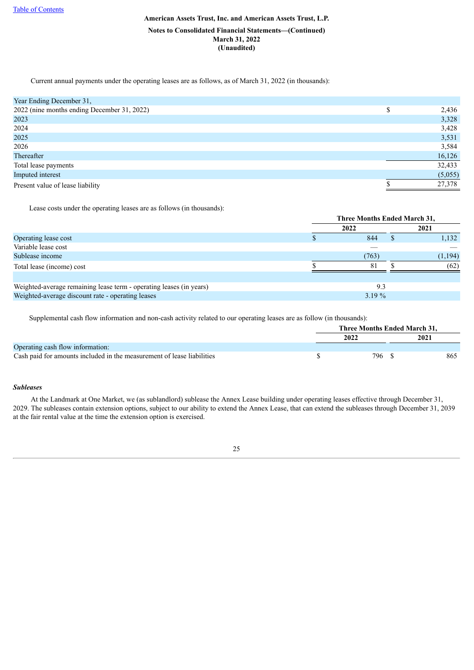Current annual payments under the operating leases are as follows, as of March 31, 2022 (in thousands):

| Year Ending December 31,                    |         |
|---------------------------------------------|---------|
| 2022 (nine months ending December 31, 2022) | 2,436   |
| 2023                                        | 3,328   |
| 2024                                        | 3,428   |
| 2025                                        | 3,531   |
| 2026                                        | 3,584   |
| Thereafter                                  | 16,126  |
| Total lease payments                        | 32,433  |
| Imputed interest                            | (5,055) |
| Present value of lease liability            | 27,378  |

Lease costs under the operating leases are as follows (in thousands):

|                                                                     | Three Months Ended March 31, |          |      |          |  |
|---------------------------------------------------------------------|------------------------------|----------|------|----------|--|
|                                                                     | 2022                         |          | 2021 |          |  |
| Operating lease cost                                                |                              | 844      |      | 1,132    |  |
| Variable lease cost                                                 |                              |          |      |          |  |
| Sublease income                                                     |                              | (763)    |      | (1, 194) |  |
| Total lease (income) cost                                           |                              | 81       |      | (62)     |  |
|                                                                     |                              |          |      |          |  |
| Weighted-average remaining lease term - operating leases (in years) |                              | 9.3      |      |          |  |
| Weighted-average discount rate - operating leases                   |                              | $3.19\%$ |      |          |  |

Supplemental cash flow information and non-cash activity related to our operating leases are as follow (in thousands):

|                                                                        |      | <b>Three Months Ended March 31.</b> |     |
|------------------------------------------------------------------------|------|-------------------------------------|-----|
|                                                                        | 2022 | 2021                                |     |
| Operating cash flow information:                                       |      |                                     |     |
| Cash paid for amounts included in the measurement of lease liabilities | 796  |                                     | 865 |

### *Subleases*

At the Landmark at One Market, we (as sublandlord) sublease the Annex Lease building under operating leases effective through December 31, 2029. The subleases contain extension options, subject to our ability to extend the Annex Lease, that can extend the subleases through December 31, 2039 at the fair rental value at the time the extension option is exercised.

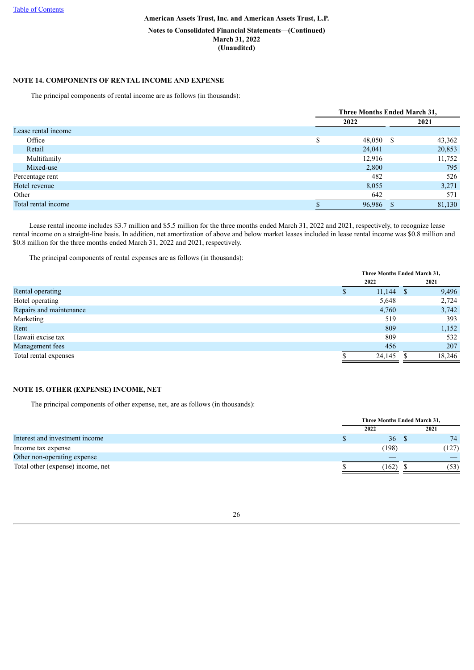### **NOTE 14. COMPONENTS OF RENTAL INCOME AND EXPENSE**

The principal components of rental income are as follows (in thousands):

|                     |      | Three Months Ended March 31, |      |        |  |
|---------------------|------|------------------------------|------|--------|--|
|                     | 2022 |                              | 2021 |        |  |
| Lease rental income |      |                              |      |        |  |
| Office              |      | 48,050                       | - \$ | 43,362 |  |
| Retail              |      | 24,041                       |      | 20,853 |  |
| Multifamily         |      | 12,916                       |      | 11,752 |  |
| Mixed-use           |      | 2,800                        |      | 795    |  |
| Percentage rent     |      | 482                          |      | 526    |  |
| Hotel revenue       |      | 8,055                        |      | 3,271  |  |
| Other               |      | 642                          |      | 571    |  |
| Total rental income |      | 96,986                       |      | 81,130 |  |

Lease rental income includes \$3.7 million and \$5.5 million for the three months ended March 31, 2022 and 2021, respectively, to recognize lease rental income on a straight-line basis. In addition, net amortization of above and below market leases included in lease rental income was \$0.8 million and \$0.8 million for the three months ended March 31, 2022 and 2021, respectively.

The principal components of rental expenses are as follows (in thousands):

|                         | Three Months Ended March 31, |        |      |        |  |
|-------------------------|------------------------------|--------|------|--------|--|
|                         | 2022                         |        |      | 2021   |  |
| Rental operating        |                              | 11,144 | - \$ | 9,496  |  |
| Hotel operating         |                              | 5,648  |      | 2,724  |  |
| Repairs and maintenance |                              | 4,760  |      | 3,742  |  |
| Marketing               |                              | 519    |      | 393    |  |
| Rent                    |                              | 809    |      | 1,152  |  |
| Hawaii excise tax       |                              | 809    |      | 532    |  |
| Management fees         |                              | 456    |      | 207    |  |
| Total rental expenses   |                              | 24,145 |      | 18,246 |  |

### **NOTE 15. OTHER (EXPENSE) INCOME, NET**

The principal components of other expense, net, are as follows (in thousands):

|                                   | Three Months Ended March 31, |       |
|-----------------------------------|------------------------------|-------|
|                                   | 2022                         | 2021  |
| Interest and investment income    | 36                           | 74    |
| Income tax expense                | (198)                        | (127) |
| Other non-operating expense       |                              |       |
| Total other (expense) income, net | (162)                        | (53)  |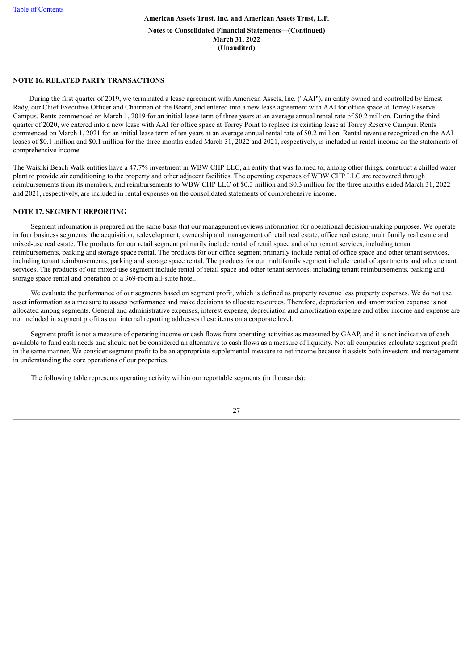#### **NOTE 16. RELATED PARTY TRANSACTIONS**

During the first quarter of 2019, we terminated a lease agreement with American Assets, Inc. ("AAI"), an entity owned and controlled by Ernest Rady, our Chief Executive Officer and Chairman of the Board, and entered into a new lease agreement with AAI for office space at Torrey Reserve Campus. Rents commenced on March 1, 2019 for an initial lease term of three years at an average annual rental rate of \$0.2 million. During the third quarter of 2020, we entered into a new lease with AAI for office space at Torrey Point to replace its existing lease at Torrey Reserve Campus. Rents commenced on March 1, 2021 for an initial lease term of ten years at an average annual rental rate of \$0.2 million. Rental revenue recognized on the AAI leases of \$0.1 million and \$0.1 million for the three months ended March 31, 2022 and 2021, respectively, is included in rental income on the statements of comprehensive income.

The Waikiki Beach Walk entities have a 47.7% investment in WBW CHP LLC, an entity that was formed to, among other things, construct a chilled water plant to provide air conditioning to the property and other adjacent facilities. The operating expenses of WBW CHP LLC are recovered through reimbursements from its members, and reimbursements to WBW CHP LLC of \$0.3 million and \$0.3 million for the three months ended March 31, 2022 and 2021, respectively, are included in rental expenses on the consolidated statements of comprehensive income.

#### **NOTE 17. SEGMENT REPORTING**

Segment information is prepared on the same basis that our management reviews information for operational decision-making purposes. We operate in four business segments: the acquisition, redevelopment, ownership and management of retail real estate, office real estate, multifamily real estate and mixed-use real estate. The products for our retail segment primarily include rental of retail space and other tenant services, including tenant reimbursements, parking and storage space rental. The products for our office segment primarily include rental of office space and other tenant services, including tenant reimbursements, parking and storage space rental. The products for our multifamily segment include rental of apartments and other tenant services. The products of our mixed-use segment include rental of retail space and other tenant services, including tenant reimbursements, parking and storage space rental and operation of a 369-room all-suite hotel.

We evaluate the performance of our segments based on segment profit, which is defined as property revenue less property expenses. We do not use asset information as a measure to assess performance and make decisions to allocate resources. Therefore, depreciation and amortization expense is not allocated among segments. General and administrative expenses, interest expense, depreciation and amortization expense and other income and expense are not included in segment profit as our internal reporting addresses these items on a corporate level.

Segment profit is not a measure of operating income or cash flows from operating activities as measured by GAAP, and it is not indicative of cash available to fund cash needs and should not be considered an alternative to cash flows as a measure of liquidity. Not all companies calculate segment profit in the same manner. We consider segment profit to be an appropriate supplemental measure to net income because it assists both investors and management in understanding the core operations of our properties.

The following table represents operating activity within our reportable segments (in thousands):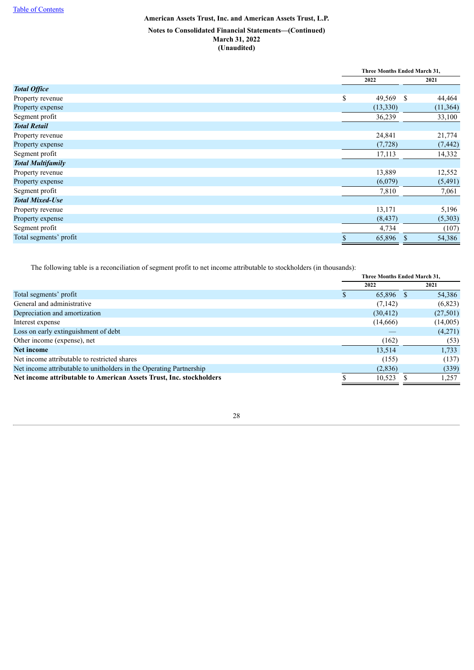|                          |      |                              | Three Months Ended March 31, |
|--------------------------|------|------------------------------|------------------------------|
|                          | 2022 |                              | 2021                         |
| <b>Total Office</b>      |      |                              |                              |
| Property revenue         | \$   | 49,569<br>-S                 | 44,464                       |
| Property expense         |      | (13,330)                     | (11, 364)                    |
| Segment profit           |      | 36,239                       | 33,100                       |
| <b>Total Retail</b>      |      |                              |                              |
| Property revenue         |      | 24,841                       | 21,774                       |
| Property expense         |      | (7, 728)                     | (7, 442)                     |
| Segment profit           |      | 17,113                       | 14,332                       |
| <b>Total Multifamily</b> |      |                              |                              |
| Property revenue         |      | 13,889                       | 12,552                       |
| Property expense         |      | (6,079)                      | (5,491)                      |
| Segment profit           |      | 7,810                        | 7,061                        |
| <b>Total Mixed-Use</b>   |      |                              |                              |
| Property revenue         |      | 13,171                       | 5,196                        |
| Property expense         |      | (8, 437)                     | (5,303)                      |
| Segment profit           |      | 4,734                        | (107)                        |
| Total segments' profit   | \$   | 65,896<br>$\mathbf{\hat{s}}$ | 54,386                       |

The following table is a reconciliation of segment profit to net income attributable to stockholders (in thousands):

|                                                                     | Three Months Ended March 31, |  |          |  |  |  |  |
|---------------------------------------------------------------------|------------------------------|--|----------|--|--|--|--|
|                                                                     | 2022                         |  | 2021     |  |  |  |  |
| Total segments' profit                                              | 65,896 \$                    |  | 54,386   |  |  |  |  |
| General and administrative                                          | (7,142)                      |  | (6,823)  |  |  |  |  |
| Depreciation and amortization                                       | (30, 412)                    |  | (27,501) |  |  |  |  |
| Interest expense                                                    | (14,666)                     |  | (14,005) |  |  |  |  |
| Loss on early extinguishment of debt                                |                              |  | (4,271)  |  |  |  |  |
| Other income (expense), net                                         | (162)                        |  | (53)     |  |  |  |  |
| <b>Net income</b>                                                   | 13.514                       |  | 1,733    |  |  |  |  |
| Net income attributable to restricted shares                        | (155)                        |  | (137)    |  |  |  |  |
| Net income attributable to unitholders in the Operating Partnership | (2,836)                      |  | (339)    |  |  |  |  |
| Net income attributable to American Assets Trust, Inc. stockholders | 10,523                       |  | 1,257    |  |  |  |  |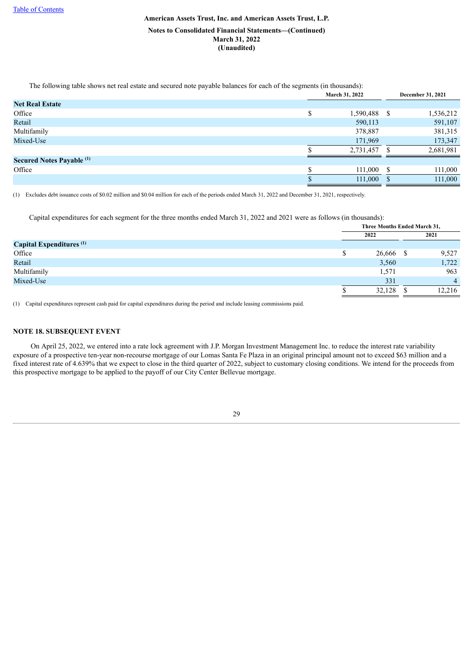The following table shows net real estate and secured note payable balances for each of the segments (in thousands):

|   | March 31, 2022 |   | December 31, 2021 |
|---|----------------|---|-------------------|
|   |                |   |                   |
| S |                |   | 1,536,212         |
|   | 590,113        |   | 591,107           |
|   | 378,887        |   | 381,315           |
|   | 171,969        |   | 173,347           |
|   | 2,731,457      |   | 2,681,981         |
|   |                |   |                   |
|   | 111,000        | S | 111,000           |
|   | 111,000        |   | 111,000           |
|   |                |   | 1,590,488 \$      |

(1) Excludes debt issuance costs of \$0.02 million and \$0.04 million for each of the periods ended March 31, 2022 and December 31, 2021, respectively.

Capital expenditures for each segment for the three months ended March 31, 2022 and 2021 were as follows (in thousands):

|                                 |           | Three Months Ended March 31, |                |  |
|---------------------------------|-----------|------------------------------|----------------|--|
|                                 | 2022      |                              | 2021           |  |
| <b>Capital Expenditures</b> (1) |           |                              |                |  |
| Office                          | 26,666 \$ |                              | 9,527          |  |
| Retail                          | 3,560     |                              | 1,722          |  |
| Multifamily                     | 1,571     |                              | 963            |  |
| Mixed-Use                       | 331       |                              | $\overline{4}$ |  |
|                                 | 32,128    |                              | 12,216         |  |
|                                 |           |                              |                |  |

(1) Capital expenditures represent cash paid for capital expenditures during the period and include leasing commissions paid.

### **NOTE 18. SUBSEQUENT EVENT**

<span id="page-33-0"></span>On April 25, 2022, we entered into a rate lock agreement with J.P. Morgan Investment Management Inc. to reduce the interest rate variability exposure of a prospective ten-year non-recourse mortgage of our Lomas Santa Fe Plaza in an original principal amount not to exceed \$63 million and a fixed interest rate of 4.639% that we expect to close in the third quarter of 2022, subject to customary closing conditions. We intend for the proceeds from this prospective mortgage to be applied to the payoff of our City Center Bellevue mortgage.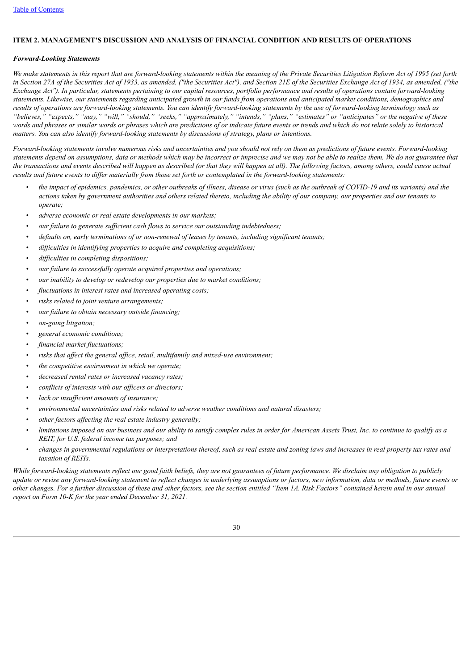### **ITEM 2. MANAGEMENT'S DISCUSSION AND ANALYSIS OF FINANCIAL CONDITION AND RESULTS OF OPERATIONS**

### *Forward-Looking Statements*

We make statements in this report that are forward-looking statements within the meaning of the Private Securities Litigation Reform Act of 1995 (set forth in Section 27A of the Securities Act of 1933, as amended, ("the Securities Act"), and Section 21E of the Securities Exchange Act of 1934, as amended, ("the Exchange Act"). In particular, statements pertaining to our capital resources, portfolio performance and results of operations contain forward-looking statements. Likewise, our statements regarding anticipated growth in our funds from operations and anticipated market conditions, demographics and results of operations are forward-looking statements. You can identify forward-looking statements by the use of forward-looking terminology such as "believes," "expects," "may," "will," "should," "seeks," "approximately," "intends," "plans," "estimates" or "anticipates" or the negative of these words and phrases or similar words or phrases which are predictions of or indicate future events or trends and which do not relate solely to historical *matters. You can also identify forward-looking statements by discussions of strategy, plans or intentions.*

Forward-looking statements involve numerous risks and uncertainties and you should not rely on them as predictions of future events. Forward-looking statements depend on assumptions, data or methods which may be incorrect or imprecise and we may not be able to realize them. We do not guarantee that the transactions and events described will happen as described (or that they will happen at all). The following factors, among others, could cause actual results and future events to differ materially from those set forth or contemplated in the forward-looking statements:

- the impact of epidemics, pandemics, or other outbreaks of illness, disease or virus (such as the outbreak of COVID-19 and its variants) and the actions taken by government authorities and others related thereto, including the ability of our company, our properties and our tenants to *operate;*
- *• adverse economic or real estate developments in our markets;*
- *• our failure to generate suf icient cash flows to service our outstanding indebtedness;*
- *• defaults on, early terminations of or non-renewal of leases by tenants, including significant tenants;*
- *• dif iculties in identifying properties to acquire and completing acquisitions;*
- *• dif iculties in completing dispositions;*
- *• our failure to successfully operate acquired properties and operations;*
- *• our inability to develop or redevelop our properties due to market conditions;*
- *• fluctuations in interest rates and increased operating costs;*
- *• risks related to joint venture arrangements;*
- *• our failure to obtain necessary outside financing;*
- *• on-going litigation;*
- *• general economic conditions;*
- *• financial market fluctuations;*
- *• risks that af ect the general of ice, retail, multifamily and mixed-use environment;*
- *• the competitive environment in which we operate;*
- *• decreased rental rates or increased vacancy rates;*
- *• conflicts of interests with our of icers or directors;*
- *• lack or insuf icient amounts of insurance;*
- *• environmental uncertainties and risks related to adverse weather conditions and natural disasters;*
- *• other factors af ecting the real estate industry generally;*
- limitations imposed on our business and our ability to satisfy complex rules in order for American Assets Trust, Inc. to continue to qualify as a *REIT, for U.S. federal income tax purposes; and*
- changes in governmental regulations or interpretations thereof, such as real estate and zoning laws and increases in real property tax rates and *taxation of REITs.*

While forward-looking statements reflect our good faith beliefs, they are not guarantees of future performance. We disclaim any obligation to publicly update or revise any forward-looking statement to reflect changes in underlying assumptions or factors, new information, data or methods, future events or other changes. For a further discussion of these and other factors, see the section entitled "Item 1A. Risk Factors" contained herein and in our annual *report on Form 10-K for the year ended December 31, 2021.*

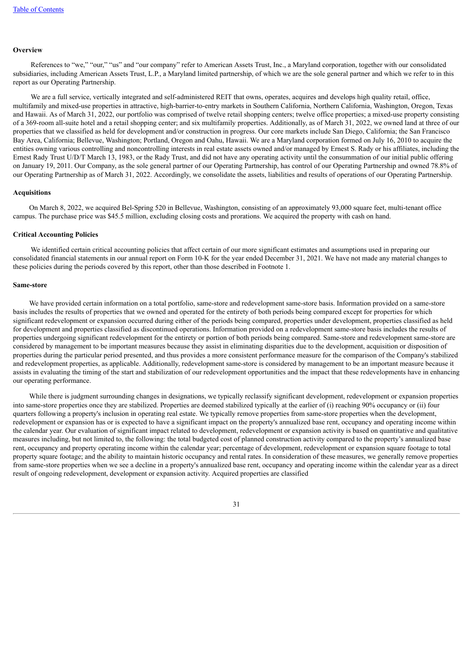#### **Overview**

References to "we," "our," "us" and "our company" refer to American Assets Trust, Inc., a Maryland corporation, together with our consolidated subsidiaries, including American Assets Trust, L.P., a Maryland limited partnership, of which we are the sole general partner and which we refer to in this report as our Operating Partnership.

We are a full service, vertically integrated and self-administered REIT that owns, operates, acquires and develops high quality retail, office, multifamily and mixed-use properties in attractive, high-barrier-to-entry markets in Southern California, Northern California, Washington, Oregon, Texas and Hawaii. As of March 31, 2022, our portfolio was comprised of twelve retail shopping centers; twelve office properties; a mixed-use property consisting of a 369-room all-suite hotel and a retail shopping center; and six multifamily properties. Additionally, as of March 31, 2022, we owned land at three of our properties that we classified as held for development and/or construction in progress. Our core markets include San Diego, California; the San Francisco Bay Area, California; Bellevue, Washington; Portland, Oregon and Oahu, Hawaii. We are a Maryland corporation formed on July 16, 2010 to acquire the entities owning various controlling and noncontrolling interests in real estate assets owned and/or managed by Ernest S. Rady or his affiliates, including the Ernest Rady Trust U/D/T March 13, 1983, or the Rady Trust, and did not have any operating activity until the consummation of our initial public offering on January 19, 2011. Our Company, as the sole general partner of our Operating Partnership, has control of our Operating Partnership and owned 78.8% of our Operating Partnership as of March 31, 2022. Accordingly, we consolidate the assets, liabilities and results of operations of our Operating Partnership.

#### **Acquisitions**

On March 8, 2022, we acquired Bel-Spring 520 in Bellevue, Washington, consisting of an approximately 93,000 square feet, multi-tenant office campus. The purchase price was \$45.5 million, excluding closing costs and prorations. We acquired the property with cash on hand.

#### **Critical Accounting Policies**

We identified certain critical accounting policies that affect certain of our more significant estimates and assumptions used in preparing our consolidated financial statements in our annual report on Form 10-K for the year ended December 31, 2021. We have not made any material changes to these policies during the periods covered by this report, other than those described in Footnote 1.

#### **Same-store**

We have provided certain information on a total portfolio, same-store and redevelopment same-store basis. Information provided on a same-store basis includes the results of properties that we owned and operated for the entirety of both periods being compared except for properties for which significant redevelopment or expansion occurred during either of the periods being compared, properties under development, properties classified as held for development and properties classified as discontinued operations. Information provided on a redevelopment same-store basis includes the results of properties undergoing significant redevelopment for the entirety or portion of both periods being compared. Same-store and redevelopment same-store are considered by management to be important measures because they assist in eliminating disparities due to the development, acquisition or disposition of properties during the particular period presented, and thus provides a more consistent performance measure for the comparison of the Company's stabilized and redevelopment properties, as applicable. Additionally, redevelopment same-store is considered by management to be an important measure because it assists in evaluating the timing of the start and stabilization of our redevelopment opportunities and the impact that these redevelopments have in enhancing our operating performance.

While there is judgment surrounding changes in designations, we typically reclassify significant development, redevelopment or expansion properties into same-store properties once they are stabilized. Properties are deemed stabilized typically at the earlier of (i) reaching 90% occupancy or (ii) four quarters following a property's inclusion in operating real estate. We typically remove properties from same-store properties when the development, redevelopment or expansion has or is expected to have a significant impact on the property's annualized base rent, occupancy and operating income within the calendar year. Our evaluation of significant impact related to development, redevelopment or expansion activity is based on quantitative and qualitative measures including, but not limited to, the following: the total budgeted cost of planned construction activity compared to the property's annualized base rent, occupancy and property operating income within the calendar year; percentage of development, redevelopment or expansion square footage to total property square footage; and the ability to maintain historic occupancy and rental rates. In consideration of these measures, we generally remove properties from same-store properties when we see a decline in a property's annualized base rent, occupancy and operating income within the calendar year as a direct result of ongoing redevelopment, development or expansion activity. Acquired properties are classified

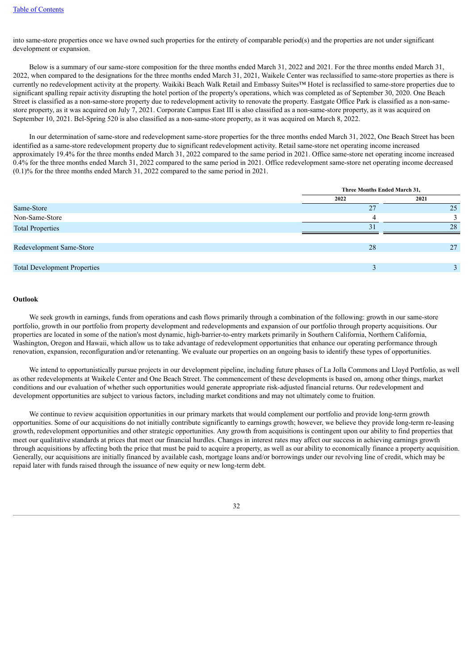into same-store properties once we have owned such properties for the entirety of comparable period(s) and the properties are not under significant development or expansion.

Below is a summary of our same-store composition for the three months ended March 31, 2022 and 2021. For the three months ended March 31, 2022, when compared to the designations for the three months ended March 31, 2021, Waikele Center was reclassified to same-store properties as there is currently no redevelopment activity at the property. Waikiki Beach Walk Retail and Embassy Suites™ Hotel is reclassified to same-store properties due to significant spalling repair activity disrupting the hotel portion of the property's operations, which was completed as of September 30, 2020. One Beach Street is classified as a non-same-store property due to redevelopment activity to renovate the property. Eastgate Office Park is classified as a non-samestore property, as it was acquired on July 7, 2021. Corporate Campus East III is also classified as a non-same-store property, as it was acquired on September 10, 2021. Bel-Spring 520 is also classified as a non-same-store property, as it was acquired on March 8, 2022.

In our determination of same-store and redevelopment same-store properties for the three months ended March 31, 2022, One Beach Street has been identified as a same-store redevelopment property due to significant redevelopment activity. Retail same-store net operating income increased approximately 19.4% for the three months ended March 31, 2022 compared to the same period in 2021. Office same-store net operating income increased 0.4% for the three months ended March 31, 2022 compared to the same period in 2021. Office redevelopment same-store net operating income decreased (0.1)% for the three months ended March 31, 2022 compared to the same period in 2021.

| 2021 |
|------|
| 25   |
|      |
| 28   |
|      |
| 27   |
|      |
|      |
|      |

#### **Outlook**

We seek growth in earnings, funds from operations and cash flows primarily through a combination of the following: growth in our same-store portfolio, growth in our portfolio from property development and redevelopments and expansion of our portfolio through property acquisitions. Our properties are located in some of the nation's most dynamic, high-barrier-to-entry markets primarily in Southern California, Northern California, Washington, Oregon and Hawaii, which allow us to take advantage of redevelopment opportunities that enhance our operating performance through renovation, expansion, reconfiguration and/or retenanting. We evaluate our properties on an ongoing basis to identify these types of opportunities.

We intend to opportunistically pursue projects in our development pipeline, including future phases of La Jolla Commons and Lloyd Portfolio, as well as other redevelopments at Waikele Center and One Beach Street. The commencement of these developments is based on, among other things, market conditions and our evaluation of whether such opportunities would generate appropriate risk-adjusted financial returns. Our redevelopment and development opportunities are subject to various factors, including market conditions and may not ultimately come to fruition.

We continue to review acquisition opportunities in our primary markets that would complement our portfolio and provide long-term growth opportunities. Some of our acquisitions do not initially contribute significantly to earnings growth; however, we believe they provide long-term re-leasing growth, redevelopment opportunities and other strategic opportunities. Any growth from acquisitions is contingent upon our ability to find properties that meet our qualitative standards at prices that meet our financial hurdles. Changes in interest rates may affect our success in achieving earnings growth through acquisitions by affecting both the price that must be paid to acquire a property, as well as our ability to economically finance a property acquisition. Generally, our acquisitions are initially financed by available cash, mortgage loans and/or borrowings under our revolving line of credit, which may be repaid later with funds raised through the issuance of new equity or new long-term debt.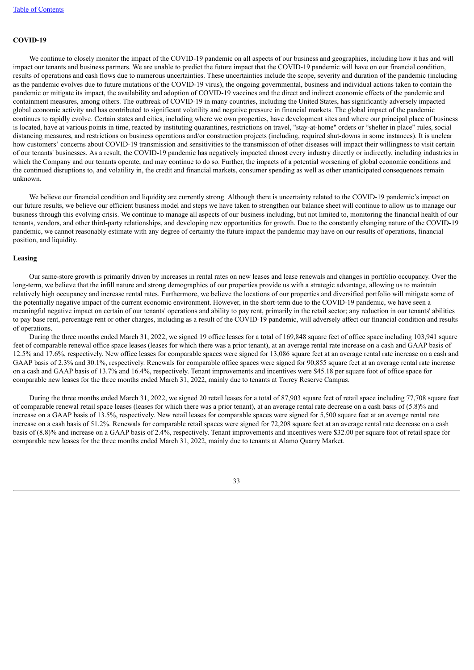### **COVID-19**

We continue to closely monitor the impact of the COVID-19 pandemic on all aspects of our business and geographies, including how it has and will impact our tenants and business partners. We are unable to predict the future impact that the COVID-19 pandemic will have on our financial condition, results of operations and cash flows due to numerous uncertainties. These uncertainties include the scope, severity and duration of the pandemic (including as the pandemic evolves due to future mutations of the COVID-19 virus), the ongoing governmental, business and individual actions taken to contain the pandemic or mitigate its impact, the availability and adoption of COVID-19 vaccines and the direct and indirect economic effects of the pandemic and containment measures, among others. The outbreak of COVID-19 in many countries, including the United States, has significantly adversely impacted global economic activity and has contributed to significant volatility and negative pressure in financial markets. The global impact of the pandemic continues to rapidly evolve. Certain states and cities, including where we own properties, have development sites and where our principal place of business is located, have at various points in time, reacted by instituting quarantines, restrictions on travel, "stay-at-home" orders or "shelter in place" rules, social distancing measures, and restrictions on business operations and/or construction projects (including, required shut-downs in some instances). It is unclear how customers' concerns about COVID-19 transmission and sensitivities to the transmission of other diseases will impact their willingness to visit certain of our tenants' businesses. As a result, the COVID-19 pandemic has negatively impacted almost every industry directly or indirectly, including industries in which the Company and our tenants operate, and may continue to do so. Further, the impacts of a potential worsening of global economic conditions and the continued disruptions to, and volatility in, the credit and financial markets, consumer spending as well as other unanticipated consequences remain unknown.

We believe our financial condition and liquidity are currently strong. Although there is uncertainty related to the COVID-19 pandemic's impact on our future results, we believe our efficient business model and steps we have taken to strengthen our balance sheet will continue to allow us to manage our business through this evolving crisis. We continue to manage all aspects of our business including, but not limited to, monitoring the financial health of our tenants, vendors, and other third-party relationships, and developing new opportunities for growth. Due to the constantly changing nature of the COVID-19 pandemic, we cannot reasonably estimate with any degree of certainty the future impact the pandemic may have on our results of operations, financial position, and liquidity.

#### **Leasing**

Our same-store growth is primarily driven by increases in rental rates on new leases and lease renewals and changes in portfolio occupancy. Over the long-term, we believe that the infill nature and strong demographics of our properties provide us with a strategic advantage, allowing us to maintain relatively high occupancy and increase rental rates. Furthermore, we believe the locations of our properties and diversified portfolio will mitigate some of the potentially negative impact of the current economic environment. However, in the short-term due to the COVID-19 pandemic, we have seen a meaningful negative impact on certain of our tenants' operations and ability to pay rent, primarily in the retail sector; any reduction in our tenants' abilities to pay base rent, percentage rent or other charges, including as a result of the COVID-19 pandemic, will adversely affect our financial condition and results of operations.

During the three months ended March 31, 2022, we signed 19 office leases for a total of 169,848 square feet of office space including 103,941 square feet of comparable renewal office space leases (leases for which there was a prior tenant), at an average rental rate increase on a cash and GAAP basis of 12.5% and 17.6%, respectively. New office leases for comparable spaces were signed for 13,086 square feet at an average rental rate increase on a cash and GAAP basis of 2.3% and 30.1%, respectively. Renewals for comparable office spaces were signed for 90,855 square feet at an average rental rate increase on a cash and GAAP basis of 13.7% and 16.4%, respectively. Tenant improvements and incentives were \$45.18 per square foot of office space for comparable new leases for the three months ended March 31, 2022, mainly due to tenants at Torrey Reserve Campus.

During the three months ended March 31, 2022, we signed 20 retail leases for a total of 87,903 square feet of retail space including 77,708 square feet of comparable renewal retail space leases (leases for which there was a prior tenant), at an average rental rate decrease on a cash basis of (5.8)% and increase on a GAAP basis of 13.5%, respectively. New retail leases for comparable spaces were signed for 5,500 square feet at an average rental rate increase on a cash basis of 51.2%. Renewals for comparable retail spaces were signed for 72,208 square feet at an average rental rate decrease on a cash basis of (8.8)% and increase on a GAAP basis of 2.4%, respectively. Tenant improvements and incentives were \$32.00 per square foot of retail space for comparable new leases for the three months ended March 31, 2022, mainly due to tenants at Alamo Quarry Market.

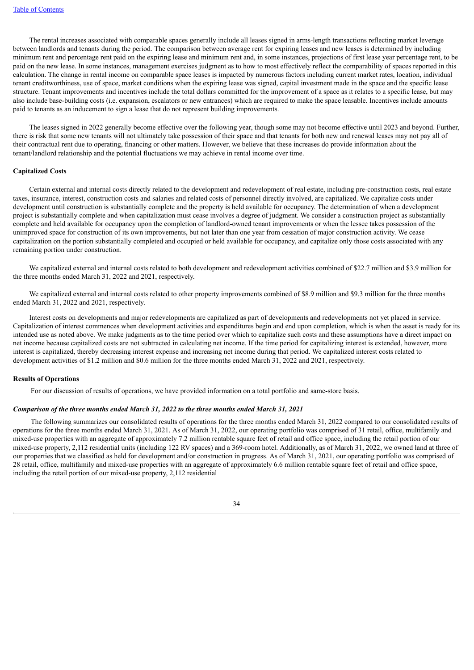The rental increases associated with comparable spaces generally include all leases signed in arms-length transactions reflecting market leverage between landlords and tenants during the period. The comparison between average rent for expiring leases and new leases is determined by including minimum rent and percentage rent paid on the expiring lease and minimum rent and, in some instances, projections of first lease year percentage rent, to be paid on the new lease. In some instances, management exercises judgment as to how to most effectively reflect the comparability of spaces reported in this calculation. The change in rental income on comparable space leases is impacted by numerous factors including current market rates, location, individual tenant creditworthiness, use of space, market conditions when the expiring lease was signed, capital investment made in the space and the specific lease structure. Tenant improvements and incentives include the total dollars committed for the improvement of a space as it relates to a specific lease, but may also include base-building costs (i.e. expansion, escalators or new entrances) which are required to make the space leasable. Incentives include amounts paid to tenants as an inducement to sign a lease that do not represent building improvements.

The leases signed in 2022 generally become effective over the following year, though some may not become effective until 2023 and beyond. Further, there is risk that some new tenants will not ultimately take possession of their space and that tenants for both new and renewal leases may not pay all of their contractual rent due to operating, financing or other matters. However, we believe that these increases do provide information about the tenant/landlord relationship and the potential fluctuations we may achieve in rental income over time.

#### **Capitalized Costs**

Certain external and internal costs directly related to the development and redevelopment of real estate, including pre-construction costs, real estate taxes, insurance, interest, construction costs and salaries and related costs of personnel directly involved, are capitalized. We capitalize costs under development until construction is substantially complete and the property is held available for occupancy. The determination of when a development project is substantially complete and when capitalization must cease involves a degree of judgment. We consider a construction project as substantially complete and held available for occupancy upon the completion of landlord-owned tenant improvements or when the lessee takes possession of the unimproved space for construction of its own improvements, but not later than one year from cessation of major construction activity. We cease capitalization on the portion substantially completed and occupied or held available for occupancy, and capitalize only those costs associated with any remaining portion under construction.

We capitalized external and internal costs related to both development and redevelopment activities combined of \$22.7 million and \$3.9 million for the three months ended March 31, 2022 and 2021, respectively.

We capitalized external and internal costs related to other property improvements combined of \$8.9 million and \$9.3 million for the three months ended March 31, 2022 and 2021, respectively.

Interest costs on developments and major redevelopments are capitalized as part of developments and redevelopments not yet placed in service. Capitalization of interest commences when development activities and expenditures begin and end upon completion, which is when the asset is ready for its intended use as noted above. We make judgments as to the time period over which to capitalize such costs and these assumptions have a direct impact on net income because capitalized costs are not subtracted in calculating net income. If the time period for capitalizing interest is extended, however, more interest is capitalized, thereby decreasing interest expense and increasing net income during that period. We capitalized interest costs related to development activities of \$1.2 million and \$0.6 million for the three months ended March 31, 2022 and 2021, respectively.

#### **Results of Operations**

For our discussion of results of operations, we have provided information on a total portfolio and same-store basis.

#### *Comparison of the three months ended March 31, 2022 to the three months ended March 31, 2021*

The following summarizes our consolidated results of operations for the three months ended March 31, 2022 compared to our consolidated results of operations for the three months ended March 31, 2021. As of March 31, 2022, our operating portfolio was comprised of 31 retail, office, multifamily and mixed-use properties with an aggregate of approximately 7.2 million rentable square feet of retail and office space, including the retail portion of our mixed-use property, 2,112 residential units (including 122 RV spaces) and a 369-room hotel. Additionally, as of March 31, 2022, we owned land at three of our properties that we classified as held for development and/or construction in progress. As of March 31, 2021, our operating portfolio was comprised of 28 retail, office, multifamily and mixed-use properties with an aggregate of approximately 6.6 million rentable square feet of retail and office space, including the retail portion of our mixed-use property, 2,112 residential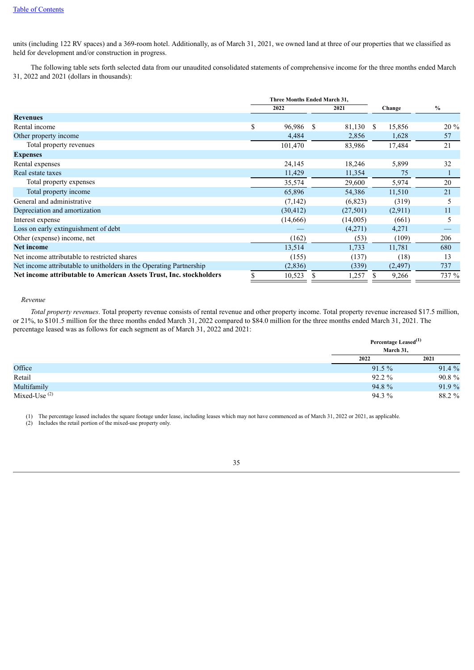units (including 122 RV spaces) and a 369-room hotel. Additionally, as of March 31, 2021, we owned land at three of our properties that we classified as held for development and/or construction in progress.

The following table sets forth selected data from our unaudited consolidated statements of comprehensive income for the three months ended March 31, 2022 and 2021 (dollars in thousands):

|                                                                     | Three Months Ended March 31, |    |           |    |          |               |
|---------------------------------------------------------------------|------------------------------|----|-----------|----|----------|---------------|
|                                                                     | 2022                         |    | 2021      |    | Change   | $\frac{0}{0}$ |
| <b>Revenues</b>                                                     |                              |    |           |    |          |               |
| Rental income                                                       | \$<br>96,986                 | S  | 81,130    | S  | 15,856   | <b>20 %</b>   |
| Other property income                                               | 4,484                        |    | 2,856     |    | 1,628    | 57            |
| Total property revenues                                             | 101,470                      |    | 83,986    |    | 17,484   | 21            |
| <b>Expenses</b>                                                     |                              |    |           |    |          |               |
| Rental expenses                                                     | 24,145                       |    | 18,246    |    | 5,899    | 32            |
| Real estate taxes                                                   | 11,429                       |    | 11,354    |    | 75       |               |
| Total property expenses                                             | 35,574                       |    | 29,600    |    | 5,974    | 20            |
| Total property income                                               | 65,896                       |    | 54,386    |    | 11,510   | 21            |
| General and administrative                                          | (7, 142)                     |    | (6,823)   |    | (319)    | 5             |
| Depreciation and amortization                                       | (30, 412)                    |    | (27, 501) |    | (2,911)  | 11            |
| Interest expense                                                    | (14,666)                     |    | (14,005)  |    | (661)    | 5             |
| Loss on early extinguishment of debt                                |                              |    | (4,271)   |    | 4,271    |               |
| Other (expense) income, net                                         | (162)                        |    | (53)      |    | (109)    | 206           |
| <b>Net income</b>                                                   | 13,514                       |    | 1,733     |    | 11,781   | 680           |
| Net income attributable to restricted shares                        | (155)                        |    | (137)     |    | (18)     | 13            |
| Net income attributable to unitholders in the Operating Partnership | (2,836)                      |    | (339)     |    | (2, 497) | 737           |
| Net income attributable to American Assets Trust, Inc. stockholders | \$<br>10,523                 | \$ | 1,257     | \$ | 9,266    | 737 %         |

#### *Revenue*

*Total property revenues*. Total property revenue consists of rental revenue and other property income. Total property revenue increased \$17.5 million, or 21%, to \$101.5 million for the three months ended March 31, 2022 compared to \$84.0 million for the three months ended March 31, 2021. The percentage leased was as follows for each segment as of March 31, 2022 and 2021:

|                          | Percentage Leased <sup>(1)</sup><br>March 31, |        |
|--------------------------|-----------------------------------------------|--------|
|                          | 2022                                          | 2021   |
| Office                   | 91.5%                                         | 91.4%  |
| Retail                   | $92.2\%$                                      | 90.8%  |
| Multifamily              | 94.8%                                         | 91.9%  |
| Mixed-Use <sup>(2)</sup> | 94.3 %                                        | 88.2 % |

(1) The percentage leased includes the square footage under lease, including leases which may not have commenced as of March 31, 2022 or 2021, as applicable.

(2) Includes the retail portion of the mixed-use property only.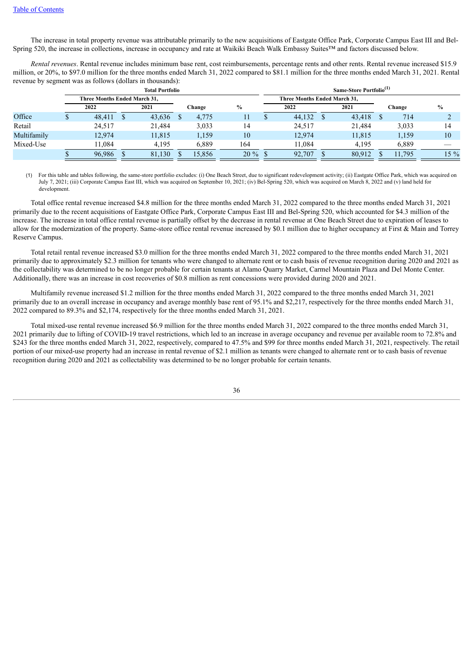The increase in total property revenue was attributable primarily to the new acquisitions of Eastgate Office Park, Corporate Campus East III and Bel-Spring 520, the increase in collections, increase in occupancy and rate at Waikiki Beach Walk Embassy Suites™ and factors discussed below.

*Rental revenues*. Rental revenue includes minimum base rent, cost reimbursements, percentage rents and other rents. Rental revenue increased \$15.9 million, or 20%, to \$97.0 million for the three months ended March 31, 2022 compared to \$81.1 million for the three months ended March 31, 2021. Rental revenue by segment was as follows (dollars in thousands):

|             |      |                              |      | <b>Total Portfolio</b> |        | Same-Store Portfolio <sup>(1)</sup> |      |                              |      |        |        |        |               |
|-------------|------|------------------------------|------|------------------------|--------|-------------------------------------|------|------------------------------|------|--------|--------|--------|---------------|
|             |      | Three Months Ended March 31, |      |                        |        |                                     |      | Three Months Ended March 31. |      |        |        |        |               |
|             | 2022 |                              | 2021 |                        | Change | $\%$                                | 2022 |                              | 2021 |        | Change |        | $\frac{0}{0}$ |
| Office      |      | 48,411                       |      | $43,636$ \$            | 4,775  |                                     |      | 44,132 \$                    |      | 43,418 |        | 714    |               |
| Retail      |      | 24,517                       |      | 21,484                 | 3,033  | ، 4                                 |      | 24,517                       |      | 21,484 |        | 3,033  | 14            |
| Multifamily |      | 12,974                       |      | 11,815                 | 1,159  | 10                                  |      | 12,974                       |      | 11,815 |        | 1,159  | 10            |
| Mixed-Use   |      | 11.084                       |      | 4.195                  | 6,889  | 164                                 |      | 11.084                       |      | 4,195  |        | 6,889  |               |
|             |      | 96,986                       |      | 81,130                 | 15.856 | $20 \%$ \$                          |      | 92,707                       |      | 80,912 |        | 11.795 | $15 \%$       |

(1) For this table and tables following, the same-store portfolio excludes: (i) One Beach Street, due to significant redevelopment activity; (ii) Eastgate Office Park, which was acquired on July 7, 2021; (iii) Corporate Campus East III, which was acquired on September 10, 2021; (iv) Bel-Spring 520, which was acquired on March 8, 2022 and (v) land held for development.

Total office rental revenue increased \$4.8 million for the three months ended March 31, 2022 compared to the three months ended March 31, 2021 primarily due to the recent acquisitions of Eastgate Office Park, Corporate Campus East III and Bel-Spring 520, which accounted for \$4.3 million of the increase. The increase in total office rental revenue is partially offset by the decrease in rental revenue at One Beach Street due to expiration of leases to allow for the modernization of the property. Same-store office rental revenue increased by \$0.1 million due to higher occupancy at First & Main and Torrey Reserve Campus.

Total retail rental revenue increased \$3.0 million for the three months ended March 31, 2022 compared to the three months ended March 31, 2021 primarily due to approximately \$2.3 million for tenants who were changed to alternate rent or to cash basis of revenue recognition during 2020 and 2021 as the collectability was determined to be no longer probable for certain tenants at Alamo Quarry Market, Carmel Mountain Plaza and Del Monte Center. Additionally, there was an increase in cost recoveries of \$0.8 million as rent concessions were provided during 2020 and 2021.

Multifamily revenue increased \$1.2 million for the three months ended March 31, 2022 compared to the three months ended March 31, 2021 primarily due to an overall increase in occupancy and average monthly base rent of 95.1% and \$2,217, respectively for the three months ended March 31, 2022 compared to 89.3% and \$2,174, respectively for the three months ended March 31, 2021.

Total mixed-use rental revenue increased \$6.9 million for the three months ended March 31, 2022 compared to the three months ended March 31, 2021 primarily due to lifting of COVID-19 travel restrictions, which led to an increase in average occupancy and revenue per available room to 72.8% and \$243 for the three months ended March 31, 2022, respectively, compared to 47.5% and \$99 for three months ended March 31, 2021, respectively. The retail portion of our mixed-use property had an increase in rental revenue of \$2.1 million as tenants were changed to alternate rent or to cash basis of revenue recognition during 2020 and 2021 as collectability was determined to be no longer probable for certain tenants.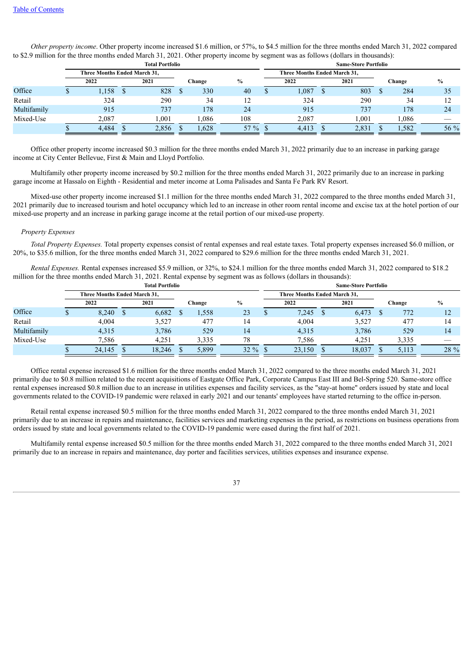*Other property income*. Other property income increased \$1.6 million, or 57%, to \$4.5 million for the three months ended March 31, 2022 compared to \$2.9 million for the three months ended March 31, 2021. Other property income by segment was as follows (dollars in thousands):

|             |      |                              |      | <b>Total Portfolio</b> |        |      | <b>Same-Store Portfolio</b> |      |                              |      |       |        |       |               |
|-------------|------|------------------------------|------|------------------------|--------|------|-----------------------------|------|------------------------------|------|-------|--------|-------|---------------|
|             |      | Three Months Ended March 31. |      |                        |        |      |                             |      | Three Months Ended March 31. |      |       |        |       |               |
|             | 2022 |                              | 2021 |                        | Change |      | $\frac{6}{9}$               | 2022 |                              | 2021 |       | Change |       | $\frac{0}{0}$ |
| Office      |      | .158                         |      | 828                    |        | 330  | 40                          |      | 1,087                        |      | 803   |        | 284   | 35            |
| Retail      |      | 324                          |      | 290                    |        | 34   |                             |      | 324                          |      | 290   |        | 34    |               |
| Multifamily |      | 915                          |      | 737                    |        | 178  | 24                          |      | 915                          |      | 737   |        | 178   | 24            |
| Mixed-Use   |      | 2,087                        |      | .001                   |        | .086 | 108                         |      | 2,087                        |      | 1.001 |        | 1,086 |               |
|             |      | 4,484                        |      | 2,856                  |        | .628 | $57 \%$                     |      | 4,413                        |      | 2,831 |        | 1,582 | 56 %          |

Office other property income increased \$0.3 million for the three months ended March 31, 2022 primarily due to an increase in parking garage income at City Center Bellevue, First & Main and Lloyd Portfolio.

Multifamily other property income increased by \$0.2 million for the three months ended March 31, 2022 primarily due to an increase in parking garage income at Hassalo on Eighth - Residential and meter income at Loma Palisades and Santa Fe Park RV Resort.

Mixed-use other property income increased \$1.1 million for the three months ended March 31, 2022 compared to the three months ended March 31, 2021 primarily due to increased tourism and hotel occupancy which led to an increase in other room rental income and excise tax at the hotel portion of our mixed-use property and an increase in parking garage income at the retail portion of our mixed-use property.

#### *Property Expenses*

*Total Property Expenses.* Total property expenses consist of rental expenses and real estate taxes. Total property expenses increased \$6.0 million, or 20%, to \$35.6 million, for the three months ended March 31, 2022 compared to \$29.6 million for the three months ended March 31, 2021.

*Rental Expenses.* Rental expenses increased \$5.9 million, or 32%, to \$24.1 million for the three months ended March 31, 2022 compared to \$18.2 million for the three months ended March 31, 2021. Rental expense by segment was as follows (dollars in thousands):

|             |                              | <b>Total Portfolio</b> |        |               | <b>Same-Store Portfolio</b> |        |  |        |  |        |      |  |
|-------------|------------------------------|------------------------|--------|---------------|-----------------------------|--------|--|--------|--|--------|------|--|
|             | Three Months Ended March 31. |                        |        |               |                             |        |  |        |  |        |      |  |
|             | 2022                         | 2021                   | Change | $\frac{0}{0}$ |                             | 2022   |  | 2021   |  | Change | $\%$ |  |
| Office      | 8,240                        | 6,682                  | .558   | 23            |                             | 7,245  |  | 6,473  |  | 772    | 12   |  |
| Retail      | 4,004                        | 3,527                  | 477    | 4ء            |                             | 4,004  |  | 3,527  |  | 477    | 14   |  |
| Multifamily | 4,315                        | 3,786                  | 529    | 14            |                             | 4,315  |  | 3,786  |  | 529    | 14   |  |
| Mixed-Use   | 7,586                        | 4.251                  | 3.335  | 78            |                             | 7,586  |  | 4.251  |  | 3.335  |      |  |
|             | 24,145                       | 18.246                 | 5,899  | $32 \%$       |                             | 23,150 |  | 18,037 |  | 5,113  | 28 % |  |

Office rental expense increased \$1.6 million for the three months ended March 31, 2022 compared to the three months ended March 31, 2021 primarily due to \$0.8 million related to the recent acquisitions of Eastgate Office Park, Corporate Campus East III and Bel-Spring 520. Same-store office rental expenses increased \$0.8 million due to an increase in utilities expenses and facility services, as the "stay-at home" orders issued by state and local governments related to the COVID-19 pandemic were relaxed in early 2021 and our tenants' employees have started returning to the office in-person.

Retail rental expense increased \$0.5 million for the three months ended March 31, 2022 compared to the three months ended March 31, 2021 primarily due to an increase in repairs and maintenance, facilities services and marketing expenses in the period, as restrictions on business operations from orders issued by state and local governments related to the COVID-19 pandemic were eased during the first half of 2021.

Multifamily rental expense increased \$0.5 million for the three months ended March 31, 2022 compared to the three months ended March 31, 2021 primarily due to an increase in repairs and maintenance, day porter and facilities services, utilities expenses and insurance expense.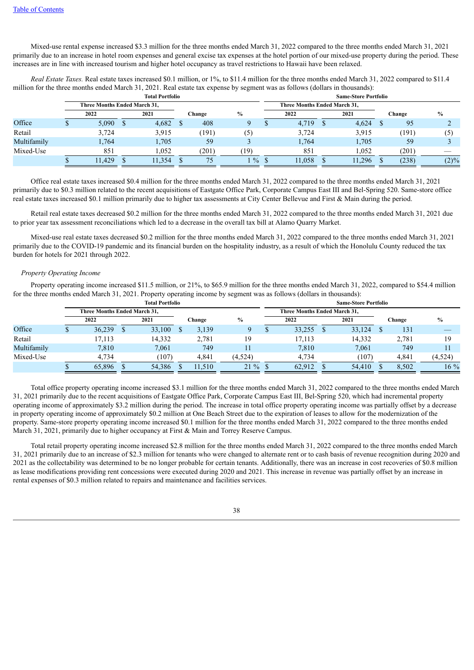Mixed-use rental expense increased \$3.3 million for the three months ended March 31, 2022 compared to the three months ended March 31, 2021 primarily due to an increase in hotel room expenses and general excise tax expenses at the hotel portion of our mixed-use property during the period. These increases are in line with increased tourism and higher hotel occupancy as travel restrictions to Hawaii have been relaxed.

*Real Estate Taxes.* Real estate taxes increased \$0.1 million, or 1%, to \$11.4 million for the three months ended March 31, 2022 compared to \$11.4 million for the three months ended March 31, 2021. Real estate tax expense by segment was as follows (dollars in thousands):

|             |                              |      | <b>Total Portfolio</b> |               |       | <b>Same-Store Portfolio</b> |      |                              |  |        |        |       |               |
|-------------|------------------------------|------|------------------------|---------------|-------|-----------------------------|------|------------------------------|--|--------|--------|-------|---------------|
|             | Three Months Ended March 31, |      |                        |               |       |                             |      | Three Months Ended March 31. |  |        |        |       |               |
|             | 2022                         | 2021 |                        | <b>Change</b> |       | $\frac{0}{0}$               | 2022 |                              |  | 2021   | Change |       | $\frac{0}{0}$ |
| Office      | 5,090                        |      | 4,682                  |               | 408   |                             |      | 4,719                        |  | 4,624  |        | 95    |               |
| Retail      | 3,724                        |      | 3,915                  |               | (191) | (5)                         |      | 3,724                        |  | 3,915  |        | (191) | (5            |
| Multifamily | 1,764                        |      | 1,705                  |               | 59    |                             |      | 1,764                        |  | 1,705  |        | 59    |               |
| Mixed-Use   | 851                          |      | 1.052                  |               | (201) | (19)                        |      | 851                          |  | 1.052  |        | (201) |               |
|             | 11,429                       |      | 11,354                 |               | 75    | $\%$                        |      | 11,058                       |  | 11,296 |        | (238) | $(2)\%$       |

Office real estate taxes increased \$0.4 million for the three months ended March 31, 2022 compared to the three months ended March 31, 2021 primarily due to \$0.3 million related to the recent acquisitions of Eastgate Office Park, Corporate Campus East III and Bel-Spring 520. Same-store office real estate taxes increased \$0.1 million primarily due to higher tax assessments at City Center Bellevue and First & Main during the period.

Retail real estate taxes decreased \$0.2 million for the three months ended March 31, 2022 compared to the three months ended March 31, 2021 due to prior year tax assessment reconciliations which led to a decrease in the overall tax bill at Alamo Quarry Market.

Mixed-use real estate taxes decreased \$0.2 million for the three months ended March 31, 2022 compared to the three months ended March 31, 2021 primarily due to the COVID-19 pandemic and its financial burden on the hospitality industry, as a result of which the Honolulu County reduced the tax burden for hotels for 2021 through 2022.

#### *Property Operating Income*

Property operating income increased \$11.5 million, or 21%, to \$65.9 million for the three months ended March 31, 2022, compared to \$54.4 million for the three months ended March 31, 2021. Property operating income by segment was as follows (dollars in thousands):

|             | Total Portfolio              |        |                               |        |      | <b>Same-Store Portfolio</b> |         |  |        |                              |        |  |       |         |  |
|-------------|------------------------------|--------|-------------------------------|--------|------|-----------------------------|---------|--|--------|------------------------------|--------|--|-------|---------|--|
|             | Three Months Ended March 31. |        |                               |        |      |                             |         |  |        | Three Months Ended March 31. |        |  |       |         |  |
|             |                              | 2022   | $\%$<br>2021<br><b>Change</b> |        | 2022 | 2021                        |         |  | Change | $\frac{0}{0}$                |        |  |       |         |  |
| Office      |                              | 36,239 |                               | 33,100 |      | 3,139                       |         |  | 33,255 |                              | 33,124 |  | 131   |         |  |
| Retail      |                              | 17.113 |                               | 14,332 |      | 2,781                       | 19      |  | 17.113 |                              | 14,332 |  | 2,781 | 19      |  |
| Multifamily |                              | 7,810  |                               | 7.061  |      | 749                         |         |  | 7,810  |                              | 7,061  |  | 749   | 11      |  |
| Mixed-Use   |                              | 4,734  |                               | (107)  |      | 4,841                       | (4,524) |  | 4,734  |                              | (107)  |  | 4,841 | (4,524) |  |
|             |                              | 65,896 |                               | 54,386 |      | 11.510                      | $21 \%$ |  | 62,912 |                              | 54,410 |  | 8,502 | 16 %    |  |

Total office property operating income increased \$3.1 million for the three months ended March 31, 2022 compared to the three months ended March 31, 2021 primarily due to the recent acquisitions of Eastgate Office Park, Corporate Campus East III, Bel-Spring 520, which had incremental property operating income of approximately \$3.2 million during the period. The increase in total office property operating income was partially offset by a decrease in property operating income of approximately \$0.2 million at One Beach Street due to the expiration of leases to allow for the modernization of the property. Same-store property operating income increased \$0.1 million for the three months ended March 31, 2022 compared to the three months ended March 31, 2021, primarily due to higher occupancy at First & Main and Torrey Reserve Campus.

Total retail property operating income increased \$2.8 million for the three months ended March 31, 2022 compared to the three months ended March 31, 2021 primarily due to an increase of \$2.3 million for tenants who were changed to alternate rent or to cash basis of revenue recognition during 2020 and 2021 as the collectability was determined to be no longer probable for certain tenants. Additionally, there was an increase in cost recoveries of \$0.8 million as lease modifications providing rent concessions were executed during 2020 and 2021. This increase in revenue was partially offset by an increase in rental expenses of \$0.3 million related to repairs and maintenance and facilities services.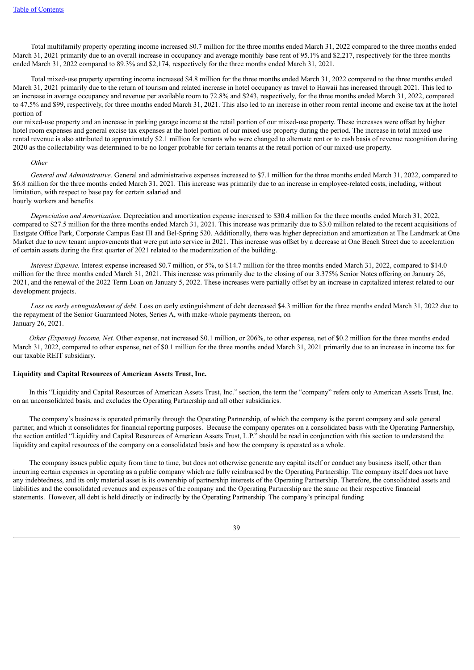Total multifamily property operating income increased \$0.7 million for the three months ended March 31, 2022 compared to the three months ended March 31, 2021 primarily due to an overall increase in occupancy and average monthly base rent of 95.1% and \$2,217, respectively for the three months ended March 31, 2022 compared to 89.3% and \$2,174, respectively for the three months ended March 31, 2021.

Total mixed-use property operating income increased \$4.8 million for the three months ended March 31, 2022 compared to the three months ended March 31, 2021 primarily due to the return of tourism and related increase in hotel occupancy as travel to Hawaii has increased through 2021. This led to an increase in average occupancy and revenue per available room to 72.8% and \$243, respectively, for the three months ended March 31, 2022, compared to 47.5% and \$99, respectively, for three months ended March 31, 2021. This also led to an increase in other room rental income and excise tax at the hotel portion of

our mixed-use property and an increase in parking garage income at the retail portion of our mixed-use property. These increases were offset by higher hotel room expenses and general excise tax expenses at the hotel portion of our mixed-use property during the period. The increase in total mixed-use rental revenue is also attributed to approximately \$2.1 million for tenants who were changed to alternate rent or to cash basis of revenue recognition during 2020 as the collectability was determined to be no longer probable for certain tenants at the retail portion of our mixed-use property.

#### *Other*

*General and Administrative.* General and administrative expenses increased to \$7.1 million for the three months ended March 31, 2022, compared to \$6.8 million for the three months ended March 31, 2021. This increase was primarily due to an increase in employee-related costs, including, without limitation, with respect to base pay for certain salaried and hourly workers and benefits.

*Depreciation and Amortization.* Depreciation and amortization expense increased to \$30.4 million for the three months ended March 31, 2022,

compared to \$27.5 million for the three months ended March 31, 2021. This increase was primarily due to \$3.0 million related to the recent acquisitions of Eastgate Office Park, Corporate Campus East III and Bel-Spring 520. Additionally, there was higher depreciation and amortization at The Landmark at One Market due to new tenant improvements that were put into service in 2021. This increase was offset by a decrease at One Beach Street due to acceleration of certain assets during the first quarter of 2021 related to the modernization of the building.

*Interest Expense.* Interest expense increased \$0.7 million, or 5%, to \$14.7 million for the three months ended March 31, 2022, compared to \$14.0 million for the three months ended March 31, 2021. This increase was primarily due to the closing of our 3.375% Senior Notes offering on January 26, 2021, and the renewal of the 2022 Term Loan on January 5, 2022. These increases were partially offset by an increase in capitalized interest related to our development projects.

*Loss on early extinguishment of debt*. Loss on early extinguishment of debt decreased \$4.3 million for the three months ended March 31, 2022 due to the repayment of the Senior Guaranteed Notes, Series A, with make-whole payments thereon, on January 26, 2021.

*Other (Expense) Income, Net.* Other expense, net increased \$0.1 million, or 206%, to other expense, net of \$0.2 million for the three months ended March 31, 2022, compared to other expense, net of \$0.1 million for the three months ended March 31, 2021 primarily due to an increase in income tax for our taxable REIT subsidiary.

#### **Liquidity and Capital Resources of American Assets Trust, Inc.**

In this "Liquidity and Capital Resources of American Assets Trust, Inc." section, the term the "company" refers only to American Assets Trust, Inc. on an unconsolidated basis, and excludes the Operating Partnership and all other subsidiaries.

The company's business is operated primarily through the Operating Partnership, of which the company is the parent company and sole general partner, and which it consolidates for financial reporting purposes. Because the company operates on a consolidated basis with the Operating Partnership, the section entitled "Liquidity and Capital Resources of American Assets Trust, L.P." should be read in conjunction with this section to understand the liquidity and capital resources of the company on a consolidated basis and how the company is operated as a whole.

The company issues public equity from time to time, but does not otherwise generate any capital itself or conduct any business itself, other than incurring certain expenses in operating as a public company which are fully reimbursed by the Operating Partnership. The company itself does not have any indebtedness, and its only material asset is its ownership of partnership interests of the Operating Partnership. Therefore, the consolidated assets and liabilities and the consolidated revenues and expenses of the company and the Operating Partnership are the same on their respective financial statements. However, all debt is held directly or indirectly by the Operating Partnership. The company's principal funding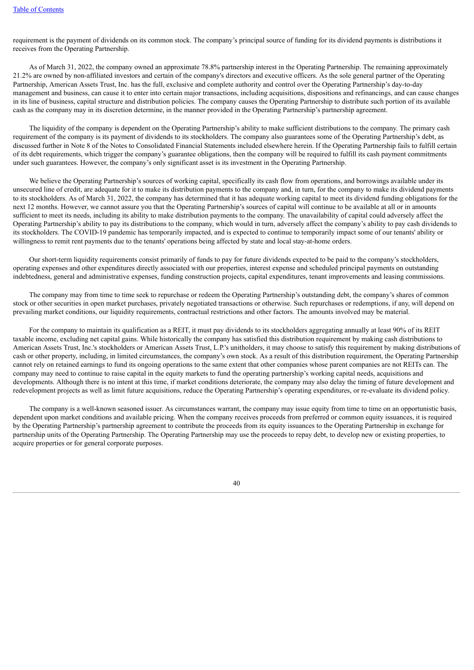requirement is the payment of dividends on its common stock. The company's principal source of funding for its dividend payments is distributions it receives from the Operating Partnership.

As of March 31, 2022, the company owned an approximate 78.8% partnership interest in the Operating Partnership. The remaining approximately 21.2% are owned by non-affiliated investors and certain of the company's directors and executive officers. As the sole general partner of the Operating Partnership, American Assets Trust, Inc. has the full, exclusive and complete authority and control over the Operating Partnership's day-to-day management and business, can cause it to enter into certain major transactions, including acquisitions, dispositions and refinancings, and can cause changes in its line of business, capital structure and distribution policies. The company causes the Operating Partnership to distribute such portion of its available cash as the company may in its discretion determine, in the manner provided in the Operating Partnership's partnership agreement.

The liquidity of the company is dependent on the Operating Partnership's ability to make sufficient distributions to the company. The primary cash requirement of the company is its payment of dividends to its stockholders. The company also guarantees some of the Operating Partnership's debt, as discussed further in Note 8 of the Notes to Consolidated Financial Statements included elsewhere herein. If the Operating Partnership fails to fulfill certain of its debt requirements, which trigger the company's guarantee obligations, then the company will be required to fulfill its cash payment commitments under such guarantees. However, the company's only significant asset is its investment in the Operating Partnership.

We believe the Operating Partnership's sources of working capital, specifically its cash flow from operations, and borrowings available under its unsecured line of credit, are adequate for it to make its distribution payments to the company and, in turn, for the company to make its dividend payments to its stockholders. As of March 31, 2022, the company has determined that it has adequate working capital to meet its dividend funding obligations for the next 12 months. However, we cannot assure you that the Operating Partnership's sources of capital will continue to be available at all or in amounts sufficient to meet its needs, including its ability to make distribution payments to the company. The unavailability of capital could adversely affect the Operating Partnership's ability to pay its distributions to the company, which would in turn, adversely affect the company's ability to pay cash dividends to its stockholders. The COVID-19 pandemic has temporarily impacted, and is expected to continue to temporarily impact some of our tenants' ability or willingness to remit rent payments due to the tenants' operations being affected by state and local stay-at-home orders.

Our short-term liquidity requirements consist primarily of funds to pay for future dividends expected to be paid to the company's stockholders, operating expenses and other expenditures directly associated with our properties, interest expense and scheduled principal payments on outstanding indebtedness, general and administrative expenses, funding construction projects, capital expenditures, tenant improvements and leasing commissions.

The company may from time to time seek to repurchase or redeem the Operating Partnership's outstanding debt, the company's shares of common stock or other securities in open market purchases, privately negotiated transactions or otherwise. Such repurchases or redemptions, if any, will depend on prevailing market conditions, our liquidity requirements, contractual restrictions and other factors. The amounts involved may be material.

For the company to maintain its qualification as a REIT, it must pay dividends to its stockholders aggregating annually at least 90% of its REIT taxable income, excluding net capital gains. While historically the company has satisfied this distribution requirement by making cash distributions to American Assets Trust, Inc.'s stockholders or American Assets Trust, L.P.'s unitholders, it may choose to satisfy this requirement by making distributions of cash or other property, including, in limited circumstances, the company's own stock. As a result of this distribution requirement, the Operating Partnership cannot rely on retained earnings to fund its ongoing operations to the same extent that other companies whose parent companies are not REITs can. The company may need to continue to raise capital in the equity markets to fund the operating partnership's working capital needs, acquisitions and developments. Although there is no intent at this time, if market conditions deteriorate, the company may also delay the timing of future development and redevelopment projects as well as limit future acquisitions, reduce the Operating Partnership's operating expenditures, or re-evaluate its dividend policy.

The company is a well-known seasoned issuer. As circumstances warrant, the company may issue equity from time to time on an opportunistic basis, dependent upon market conditions and available pricing. When the company receives proceeds from preferred or common equity issuances, it is required by the Operating Partnership's partnership agreement to contribute the proceeds from its equity issuances to the Operating Partnership in exchange for partnership units of the Operating Partnership. The Operating Partnership may use the proceeds to repay debt, to develop new or existing properties, to acquire properties or for general corporate purposes.

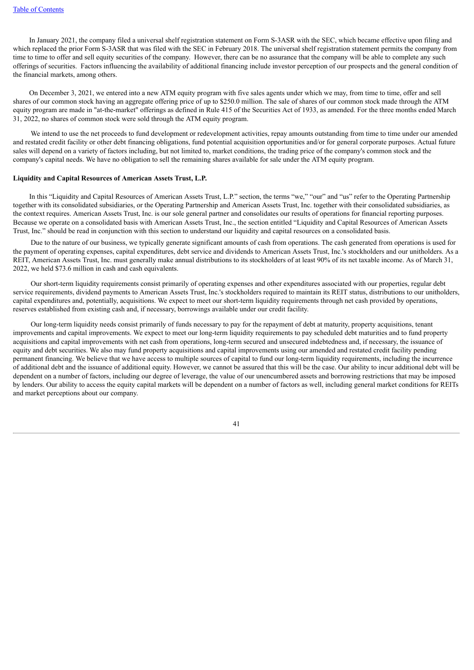In January 2021, the company filed a universal shelf registration statement on Form S-3ASR with the SEC, which became effective upon filing and which replaced the prior Form S-3ASR that was filed with the SEC in February 2018. The universal shelf registration statement permits the company from time to time to offer and sell equity securities of the company. However, there can be no assurance that the company will be able to complete any such offerings of securities. Factors influencing the availability of additional financing include investor perception of our prospects and the general condition of the financial markets, among others.

On December 3, 2021, we entered into a new ATM equity program with five sales agents under which we may, from time to time, offer and sell shares of our common stock having an aggregate offering price of up to \$250.0 million. The sale of shares of our common stock made through the ATM equity program are made in "at-the-market" offerings as defined in Rule 415 of the Securities Act of 1933, as amended. For the three months ended March 31, 2022, no shares of common stock were sold through the ATM equity program.

We intend to use the net proceeds to fund development or redevelopment activities, repay amounts outstanding from time to time under our amended and restated credit facility or other debt financing obligations, fund potential acquisition opportunities and/or for general corporate purposes. Actual future sales will depend on a variety of factors including, but not limited to, market conditions, the trading price of the company's common stock and the company's capital needs. We have no obligation to sell the remaining shares available for sale under the ATM equity program.

#### **Liquidity and Capital Resources of American Assets Trust, L.P.**

In this "Liquidity and Capital Resources of American Assets Trust, L.P." section, the terms "we," "our" and "us" refer to the Operating Partnership together with its consolidated subsidiaries, or the Operating Partnership and American Assets Trust, Inc. together with their consolidated subsidiaries, as the context requires. American Assets Trust, Inc. is our sole general partner and consolidates our results of operations for financial reporting purposes. Because we operate on a consolidated basis with American Assets Trust, Inc., the section entitled "Liquidity and Capital Resources of American Assets Trust, Inc." should be read in conjunction with this section to understand our liquidity and capital resources on a consolidated basis.

Due to the nature of our business, we typically generate significant amounts of cash from operations. The cash generated from operations is used for the payment of operating expenses, capital expenditures, debt service and dividends to American Assets Trust, Inc.'s stockholders and our unitholders. As a REIT, American Assets Trust, Inc. must generally make annual distributions to its stockholders of at least 90% of its net taxable income. As of March 31, 2022, we held \$73.6 million in cash and cash equivalents.

Our short-term liquidity requirements consist primarily of operating expenses and other expenditures associated with our properties, regular debt service requirements, dividend payments to American Assets Trust, Inc.'s stockholders required to maintain its REIT status, distributions to our unitholders, capital expenditures and, potentially, acquisitions. We expect to meet our short-term liquidity requirements through net cash provided by operations, reserves established from existing cash and, if necessary, borrowings available under our credit facility.

Our long-term liquidity needs consist primarily of funds necessary to pay for the repayment of debt at maturity, property acquisitions, tenant improvements and capital improvements. We expect to meet our long-term liquidity requirements to pay scheduled debt maturities and to fund property acquisitions and capital improvements with net cash from operations, long-term secured and unsecured indebtedness and, if necessary, the issuance of equity and debt securities. We also may fund property acquisitions and capital improvements using our amended and restated credit facility pending permanent financing. We believe that we have access to multiple sources of capital to fund our long-term liquidity requirements, including the incurrence of additional debt and the issuance of additional equity. However, we cannot be assured that this will be the case. Our ability to incur additional debt will be dependent on a number of factors, including our degree of leverage, the value of our unencumbered assets and borrowing restrictions that may be imposed by lenders. Our ability to access the equity capital markets will be dependent on a number of factors as well, including general market conditions for REITs and market perceptions about our company.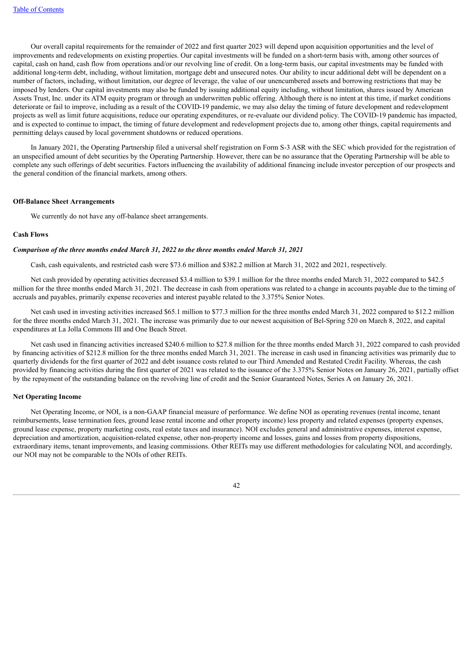Our overall capital requirements for the remainder of 2022 and first quarter 2023 will depend upon acquisition opportunities and the level of improvements and redevelopments on existing properties. Our capital investments will be funded on a short-term basis with, among other sources of capital, cash on hand, cash flow from operations and/or our revolving line of credit. On a long-term basis, our capital investments may be funded with additional long-term debt, including, without limitation, mortgage debt and unsecured notes. Our ability to incur additional debt will be dependent on a number of factors, including, without limitation, our degree of leverage, the value of our unencumbered assets and borrowing restrictions that may be imposed by lenders. Our capital investments may also be funded by issuing additional equity including, without limitation, shares issued by American Assets Trust, Inc. under its ATM equity program or through an underwritten public offering. Although there is no intent at this time, if market conditions deteriorate or fail to improve, including as a result of the COVID-19 pandemic, we may also delay the timing of future development and redevelopment projects as well as limit future acquisitions, reduce our operating expenditures, or re-evaluate our dividend policy. The COVID-19 pandemic has impacted, and is expected to continue to impact, the timing of future development and redevelopment projects due to, among other things, capital requirements and permitting delays caused by local government shutdowns or reduced operations.

In January 2021, the Operating Partnership filed a universal shelf registration on Form S-3 ASR with the SEC which provided for the registration of an unspecified amount of debt securities by the Operating Partnership. However, there can be no assurance that the Operating Partnership will be able to complete any such offerings of debt securities. Factors influencing the availability of additional financing include investor perception of our prospects and the general condition of the financial markets, among others.

#### **Off-Balance Sheet Arrangements**

We currently do not have any off-balance sheet arrangements.

#### **Cash Flows**

#### *Comparison of the three months ended March 31, 2022 to the three months ended March 31, 2021*

Cash, cash equivalents, and restricted cash were \$73.6 million and \$382.2 million at March 31, 2022 and 2021, respectively.

Net cash provided by operating activities decreased \$3.4 million to \$39.1 million for the three months ended March 31, 2022 compared to \$42.5 million for the three months ended March 31, 2021. The decrease in cash from operations was related to a change in accounts payable due to the timing of accruals and payables, primarily expense recoveries and interest payable related to the 3.375% Senior Notes.

Net cash used in investing activities increased \$65.1 million to \$77.3 million for the three months ended March 31, 2022 compared to \$12.2 million for the three months ended March 31, 2021. The increase was primarily due to our newest acquisition of Bel-Spring 520 on March 8, 2022, and capital expenditures at La Jolla Commons III and One Beach Street.

Net cash used in financing activities increased \$240.6 million to \$27.8 million for the three months ended March 31, 2022 compared to cash provided by financing activities of \$212.8 million for the three months ended March 31, 2021. The increase in cash used in financing activities was primarily due to quarterly dividends for the first quarter of 2022 and debt issuance costs related to our Third Amended and Restated Credit Facility. Whereas, the cash provided by financing activities during the first quarter of 2021 was related to the issuance of the 3.375% Senior Notes on January 26, 2021, partially offset by the repayment of the outstanding balance on the revolving line of credit and the Senior Guaranteed Notes, Series A on January 26, 2021.

#### **Net Operating Income**

Net Operating Income, or NOI, is a non-GAAP financial measure of performance. We define NOI as operating revenues (rental income, tenant reimbursements, lease termination fees, ground lease rental income and other property income) less property and related expenses (property expenses, ground lease expense, property marketing costs, real estate taxes and insurance). NOI excludes general and administrative expenses, interest expense, depreciation and amortization, acquisition-related expense, other non-property income and losses, gains and losses from property dispositions, extraordinary items, tenant improvements, and leasing commissions. Other REITs may use different methodologies for calculating NOI, and accordingly, our NOI may not be comparable to the NOIs of other REITs.

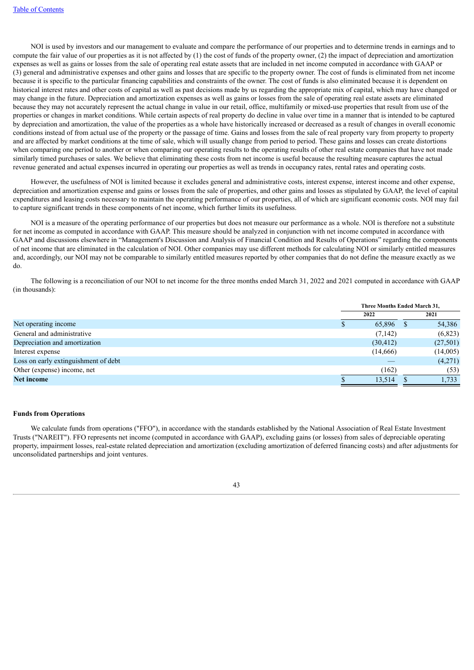NOI is used by investors and our management to evaluate and compare the performance of our properties and to determine trends in earnings and to compute the fair value of our properties as it is not affected by (1) the cost of funds of the property owner, (2) the impact of depreciation and amortization expenses as well as gains or losses from the sale of operating real estate assets that are included in net income computed in accordance with GAAP or (3) general and administrative expenses and other gains and losses that are specific to the property owner. The cost of funds is eliminated from net income because it is specific to the particular financing capabilities and constraints of the owner. The cost of funds is also eliminated because it is dependent on historical interest rates and other costs of capital as well as past decisions made by us regarding the appropriate mix of capital, which may have changed or may change in the future. Depreciation and amortization expenses as well as gains or losses from the sale of operating real estate assets are eliminated because they may not accurately represent the actual change in value in our retail, office, multifamily or mixed-use properties that result from use of the properties or changes in market conditions. While certain aspects of real property do decline in value over time in a manner that is intended to be captured by depreciation and amortization, the value of the properties as a whole have historically increased or decreased as a result of changes in overall economic conditions instead of from actual use of the property or the passage of time. Gains and losses from the sale of real property vary from property to property and are affected by market conditions at the time of sale, which will usually change from period to period. These gains and losses can create distortions when comparing one period to another or when comparing our operating results to the operating results of other real estate companies that have not made similarly timed purchases or sales. We believe that eliminating these costs from net income is useful because the resulting measure captures the actual revenue generated and actual expenses incurred in operating our properties as well as trends in occupancy rates, rental rates and operating costs.

However, the usefulness of NOI is limited because it excludes general and administrative costs, interest expense, interest income and other expense, depreciation and amortization expense and gains or losses from the sale of properties, and other gains and losses as stipulated by GAAP, the level of capital expenditures and leasing costs necessary to maintain the operating performance of our properties, all of which are significant economic costs. NOI may fail to capture significant trends in these components of net income, which further limits its usefulness.

NOI is a measure of the operating performance of our properties but does not measure our performance as a whole. NOI is therefore not a substitute for net income as computed in accordance with GAAP. This measure should be analyzed in conjunction with net income computed in accordance with GAAP and discussions elsewhere in "Management's Discussion and Analysis of Financial Condition and Results of Operations" regarding the components of net income that are eliminated in the calculation of NOI. Other companies may use different methods for calculating NOI or similarly entitled measures and, accordingly, our NOI may not be comparable to similarly entitled measures reported by other companies that do not define the measure exactly as we do.

The following is a reconciliation of our NOI to net income for the three months ended March 31, 2022 and 2021 computed in accordance with GAAP (in thousands):

|                                      | Three Months Ended March 31, |           |  |          |  |
|--------------------------------------|------------------------------|-----------|--|----------|--|
|                                      |                              | 2022      |  | 2021     |  |
| Net operating income                 |                              | 65,896    |  | 54,386   |  |
| General and administrative           |                              | (7,142)   |  | (6,823)  |  |
| Depreciation and amortization        |                              | (30, 412) |  | (27,501) |  |
| Interest expense                     |                              | (14,666)  |  | (14,005) |  |
| Loss on early extinguishment of debt |                              |           |  | (4,271)  |  |
| Other (expense) income, net          |                              | (162)     |  | (53)     |  |
| <b>Net income</b>                    |                              | 13,514    |  | 1,733    |  |

#### **Funds from Operations**

We calculate funds from operations ("FFO"), in accordance with the standards established by the National Association of Real Estate Investment Trusts ("NAREIT"). FFO represents net income (computed in accordance with GAAP), excluding gains (or losses) from sales of depreciable operating property, impairment losses, real-estate related depreciation and amortization (excluding amortization of deferred financing costs) and after adjustments for unconsolidated partnerships and joint ventures.

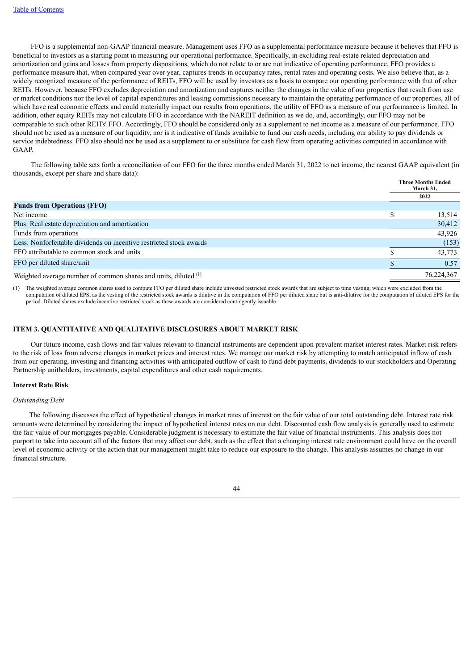FFO is a supplemental non-GAAP financial measure. Management uses FFO as a supplemental performance measure because it believes that FFO is beneficial to investors as a starting point in measuring our operational performance. Specifically, in excluding real-estate related depreciation and amortization and gains and losses from property dispositions, which do not relate to or are not indicative of operating performance, FFO provides a performance measure that, when compared year over year, captures trends in occupancy rates, rental rates and operating costs. We also believe that, as a widely recognized measure of the performance of REITs, FFO will be used by investors as a basis to compare our operating performance with that of other REITs. However, because FFO excludes depreciation and amortization and captures neither the changes in the value of our properties that result from use or market conditions nor the level of capital expenditures and leasing commissions necessary to maintain the operating performance of our properties, all of which have real economic effects and could materially impact our results from operations, the utility of FFO as a measure of our performance is limited. In addition, other equity REITs may not calculate FFO in accordance with the NAREIT definition as we do, and, accordingly, our FFO may not be comparable to such other REITs' FFO. Accordingly, FFO should be considered only as a supplement to net income as a measure of our performance. FFO should not be used as a measure of our liquidity, nor is it indicative of funds available to fund our cash needs, including our ability to pay dividends or service indebtedness. FFO also should not be used as a supplement to or substitute for cash flow from operating activities computed in accordance with GAAP.

The following table sets forth a reconciliation of our FFO for the three months ended March 31, 2022 to net income, the nearest GAAP equivalent (in thousands, except per share and share data):

|                                                                            | <b>Three Months Ended</b><br>March 31, |  |
|----------------------------------------------------------------------------|----------------------------------------|--|
|                                                                            | 2022                                   |  |
| <b>Funds from Operations (FFO)</b>                                         |                                        |  |
| Net income                                                                 | 13,514                                 |  |
| Plus: Real estate depreciation and amortization                            | 30,412                                 |  |
| Funds from operations                                                      | 43,926                                 |  |
| Less: Nonforfeitable dividends on incentive restricted stock awards        | (153)                                  |  |
| FFO attributable to common stock and units                                 | 43,773                                 |  |
| FFO per diluted share/unit                                                 | 0.57                                   |  |
| Weighted average number of common shares and units, diluted <sup>(1)</sup> | 76,224,367                             |  |

(1) The weighted average common shares used to compute FFO per diluted share include unvested restricted stock awards that are subject to time vesting, which were excluded from the computation of diluted EPS, as the vesting of the restricted stock awards is dilutive in the computation of FFO per diluted share but is anti-dilutive for the computation of diluted EPS for the period. Diluted shares exclude incentive restricted stock as these awards are considered contingently issuable.

#### <span id="page-48-0"></span>**ITEM 3. QUANTITATIVE AND QUALITATIVE DISCLOSURES ABOUT MARKET RISK**

Our future income, cash flows and fair values relevant to financial instruments are dependent upon prevalent market interest rates. Market risk refers to the risk of loss from adverse changes in market prices and interest rates. We manage our market risk by attempting to match anticipated inflow of cash from our operating, investing and financing activities with anticipated outflow of cash to fund debt payments, dividends to our stockholders and Operating Partnership unitholders, investments, capital expenditures and other cash requirements.

#### **Interest Rate Risk**

#### *Outstanding Debt*

The following discusses the effect of hypothetical changes in market rates of interest on the fair value of our total outstanding debt. Interest rate risk amounts were determined by considering the impact of hypothetical interest rates on our debt. Discounted cash flow analysis is generally used to estimate the fair value of our mortgages payable. Considerable judgment is necessary to estimate the fair value of financial instruments. This analysis does not purport to take into account all of the factors that may affect our debt, such as the effect that a changing interest rate environment could have on the overall level of economic activity or the action that our management might take to reduce our exposure to the change. This analysis assumes no change in our financial structure.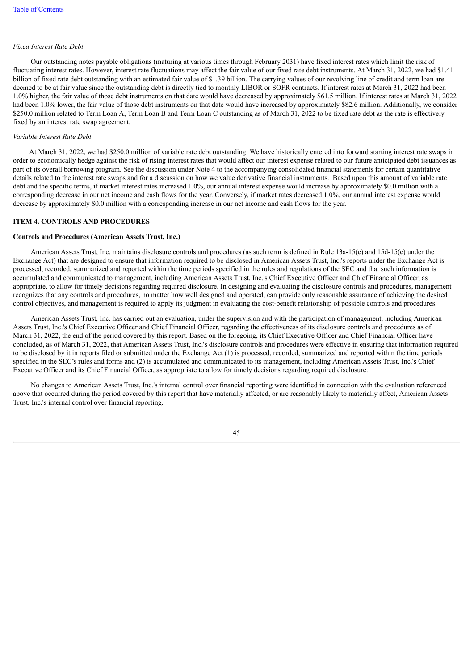#### *Fixed Interest Rate Debt*

Our outstanding notes payable obligations (maturing at various times through February 2031) have fixed interest rates which limit the risk of fluctuating interest rates. However, interest rate fluctuations may affect the fair value of our fixed rate debt instruments. At March 31, 2022, we had \$1.41 billion of fixed rate debt outstanding with an estimated fair value of \$1.39 billion. The carrying values of our revolving line of credit and term loan are deemed to be at fair value since the outstanding debt is directly tied to monthly LIBOR or SOFR contracts. If interest rates at March 31, 2022 had been 1.0% higher, the fair value of those debt instruments on that date would have decreased by approximately \$61.5 million. If interest rates at March 31, 2022 had been 1.0% lower, the fair value of those debt instruments on that date would have increased by approximately \$82.6 million. Additionally, we consider \$250.0 million related to Term Loan A, Term Loan B and Term Loan C outstanding as of March 31, 2022 to be fixed rate debt as the rate is effectively fixed by an interest rate swap agreement.

#### *Variable Interest Rate Debt*

At March 31, 2022, we had \$250.0 million of variable rate debt outstanding. We have historically entered into forward starting interest rate swaps in order to economically hedge against the risk of rising interest rates that would affect our interest expense related to our future anticipated debt issuances as part of its overall borrowing program. See the discussion under Note 4 to the accompanying consolidated financial statements for certain quantitative details related to the interest rate swaps and for a discussion on how we value derivative financial instruments. Based upon this amount of variable rate debt and the specific terms, if market interest rates increased 1.0%, our annual interest expense would increase by approximately \$0.0 million with a corresponding decrease in our net income and cash flows for the year. Conversely, if market rates decreased 1.0%, our annual interest expense would decrease by approximately \$0.0 million with a corresponding increase in our net income and cash flows for the year.

### <span id="page-49-0"></span>**ITEM 4. CONTROLS AND PROCEDURES**

#### **Controls and Procedures (American Assets Trust, Inc.)**

American Assets Trust, Inc. maintains disclosure controls and procedures (as such term is defined in Rule 13a-15(e) and 15d-15(e) under the Exchange Act) that are designed to ensure that information required to be disclosed in American Assets Trust, Inc.'s reports under the Exchange Act is processed, recorded, summarized and reported within the time periods specified in the rules and regulations of the SEC and that such information is accumulated and communicated to management, including American Assets Trust, Inc.'s Chief Executive Officer and Chief Financial Officer, as appropriate, to allow for timely decisions regarding required disclosure. In designing and evaluating the disclosure controls and procedures, management recognizes that any controls and procedures, no matter how well designed and operated, can provide only reasonable assurance of achieving the desired control objectives, and management is required to apply its judgment in evaluating the cost-benefit relationship of possible controls and procedures.

American Assets Trust, Inc. has carried out an evaluation, under the supervision and with the participation of management, including American Assets Trust, Inc.'s Chief Executive Officer and Chief Financial Officer, regarding the effectiveness of its disclosure controls and procedures as of March 31, 2022, the end of the period covered by this report. Based on the foregoing, its Chief Executive Officer and Chief Financial Officer have concluded, as of March 31, 2022, that American Assets Trust, Inc.'s disclosure controls and procedures were effective in ensuring that information required to be disclosed by it in reports filed or submitted under the Exchange Act (1) is processed, recorded, summarized and reported within the time periods specified in the SEC's rules and forms and (2) is accumulated and communicated to its management, including American Assets Trust, Inc.'s Chief Executive Officer and its Chief Financial Officer, as appropriate to allow for timely decisions regarding required disclosure.

No changes to American Assets Trust, Inc.'s internal control over financial reporting were identified in connection with the evaluation referenced above that occurred during the period covered by this report that have materially affected, or are reasonably likely to materially affect, American Assets Trust, Inc.'s internal control over financial reporting.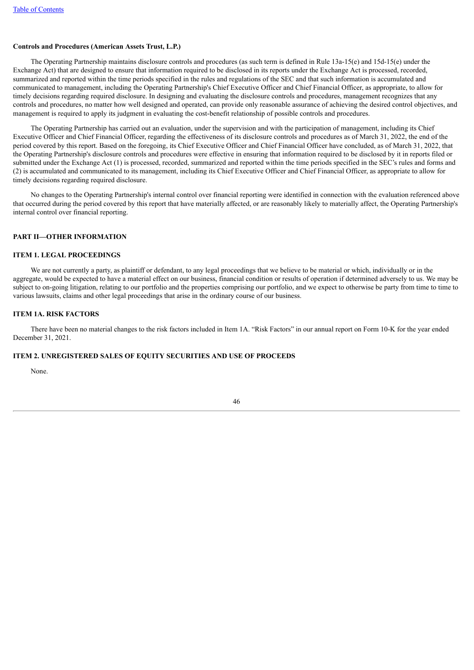### **Controls and Procedures (American Assets Trust, L.P.)**

The Operating Partnership maintains disclosure controls and procedures (as such term is defined in Rule 13a-15(e) and 15d-15(e) under the Exchange Act) that are designed to ensure that information required to be disclosed in its reports under the Exchange Act is processed, recorded, summarized and reported within the time periods specified in the rules and regulations of the SEC and that such information is accumulated and communicated to management, including the Operating Partnership's Chief Executive Officer and Chief Financial Officer, as appropriate, to allow for timely decisions regarding required disclosure. In designing and evaluating the disclosure controls and procedures, management recognizes that any controls and procedures, no matter how well designed and operated, can provide only reasonable assurance of achieving the desired control objectives, and management is required to apply its judgment in evaluating the cost-benefit relationship of possible controls and procedures.

The Operating Partnership has carried out an evaluation, under the supervision and with the participation of management, including its Chief Executive Officer and Chief Financial Officer, regarding the effectiveness of its disclosure controls and procedures as of March 31, 2022, the end of the period covered by this report. Based on the foregoing, its Chief Executive Officer and Chief Financial Officer have concluded, as of March 31, 2022, that the Operating Partnership's disclosure controls and procedures were effective in ensuring that information required to be disclosed by it in reports filed or submitted under the Exchange Act (1) is processed, recorded, summarized and reported within the time periods specified in the SEC's rules and forms and (2) is accumulated and communicated to its management, including its Chief Executive Officer and Chief Financial Officer, as appropriate to allow for timely decisions regarding required disclosure.

No changes to the Operating Partnership's internal control over financial reporting were identified in connection with the evaluation referenced above that occurred during the period covered by this report that have materially affected, or are reasonably likely to materially affect, the Operating Partnership's internal control over financial reporting.

#### <span id="page-50-0"></span>**PART II—OTHER INFORMATION**

#### **ITEM 1. LEGAL PROCEEDINGS**

We are not currently a party, as plaintiff or defendant, to any legal proceedings that we believe to be material or which, individually or in the aggregate, would be expected to have a material effect on our business, financial condition or results of operation if determined adversely to us. We may be subject to on-going litigation, relating to our portfolio and the properties comprising our portfolio, and we expect to otherwise be party from time to time to various lawsuits, claims and other legal proceedings that arise in the ordinary course of our business.

#### <span id="page-50-1"></span>**ITEM 1A. RISK FACTORS**

There have been no material changes to the risk factors included in Item 1A. "Risk Factors" in our annual report on Form 10-K for the year ended December 31, 2021.

#### <span id="page-50-2"></span>**ITEM 2. UNREGISTERED SALES OF EQUITY SECURITIES AND USE OF PROCEEDS**

<span id="page-50-3"></span>None.

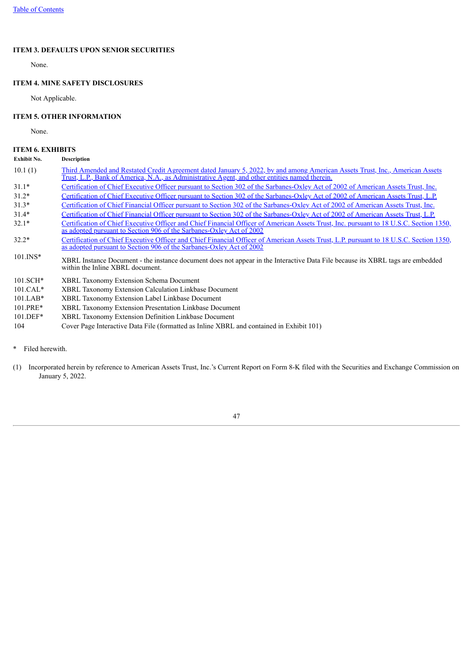### **ITEM 3. DEFAULTS UPON SENIOR SECURITIES**

None.

### <span id="page-51-0"></span>**ITEM 4. MINE SAFETY DISCLOSURES**

Not Applicable.

### <span id="page-51-1"></span>**ITEM 5. OTHER INFORMATION**

None.

#### <span id="page-51-2"></span>**ITEM 6. EXHIBITS**

### **Exhibit No. Description**

| 10.1(1)      | <u>Third Amended and Restated Credit Agreement dated January 5, 2022, by and among American Assets Trust, Inc., American Assets</u><br>Trust, L.P., Bank of America, N.A., as Administrative Agent, and other entities named therein. |
|--------------|---------------------------------------------------------------------------------------------------------------------------------------------------------------------------------------------------------------------------------------|
| $31.1*$      | Certification of Chief Executive Officer pursuant to Section 302 of the Sarbanes-Oxley Act of 2002 of American Assets Trust, Inc.                                                                                                     |
| $31.2*$      | Certification of Chief Executive Officer pursuant to Section 302 of the Sarbanes-Oxley Act of 2002 of American Assets Trust, L.P.                                                                                                     |
| $31.3*$      | Certification of Chief Financial Officer pursuant to Section 302 of the Sarbanes-Oxley Act of 2002 of American Assets Trust, Inc.                                                                                                     |
| $31.4*$      | Certification of Chief Financial Officer pursuant to Section 302 of the Sarbanes-Oxley Act of 2002 of American Assets Trust, L.P.                                                                                                     |
| $32.1*$      | Certification of Chief Executive Officer and Chief Financial Officer of American Assets Trust, Inc. pursuant to 18 U.S.C. Section 1350,<br>as adopted pursuant to Section 906 of the Sarbanes-Oxley Act of 2002                       |
| $32.2*$      | Certification of Chief Executive Officer and Chief Financial Officer of American Assets Trust, L.P. pursuant to 18 U.S.C. Section 1350,<br>as adopted pursuant to Section 906 of the Sarbanes-Oxley Act of 2002                       |
| $101$ . INS* | XBRL Instance Document - the instance document does not appear in the Interactive Data File because its XBRL tags are embedded<br>within the Inline XBRL document.                                                                    |
| $101.SCH*$   | <b>XBRL Taxonomy Extension Schema Document</b>                                                                                                                                                                                        |
| $101.CAL*$   | XBRL Taxonomy Extension Calculation Linkbase Document                                                                                                                                                                                 |
| $101.LAB*$   | XBRL Taxonomy Extension Label Linkbase Document                                                                                                                                                                                       |
| 101.PRE*     | XBRL Taxonomy Extension Presentation Linkbase Document                                                                                                                                                                                |

- 101.DEF\* XBRL Taxonomy Extension Definition Linkbase Document
- 104 Cover Page Interactive Data File (formatted as Inline XBRL and contained in Exhibit 101)
- \* Filed herewith.
- <span id="page-51-3"></span>(1) Incorporated herein by reference to American Assets Trust, Inc.'s Current Report on Form 8-K filed with the Securities and Exchange Commission on January 5, 2022.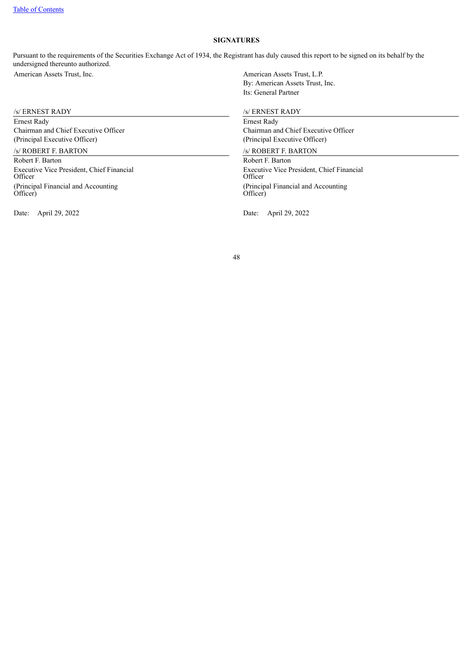### **SIGNATURES**

Pursuant to the requirements of the Securities Exchange Act of 1934, the Registrant has duly caused this report to be signed on its behalf by the undersigned thereunto authorized. American Assets Trust, Inc. **American Assets Trust**, L.P.

/s/ ERNEST RADY /s/ ERNEST RADY

Ernest Rady Ernest Rady Ernest Rady Chairman and Chief Executive Officer Chairman and Chief Executive Officer (Principal Executive Officer) (Principal Executive Officer)

/s/ ROBERT F. BARTON /s/ ROBERT F. BARTON

Robert F. Barton Robert F. Barton Executive Vice President, Chief Financial **Officer** (Principal Financial and Accounting Officer)

By: American Assets Trust, Inc. Its: General Partner

Executive Vice President, Chief Financial **Officer** (Principal Financial and Accounting Officer)

Date: April 29, 2022 Date: April 29, 2022

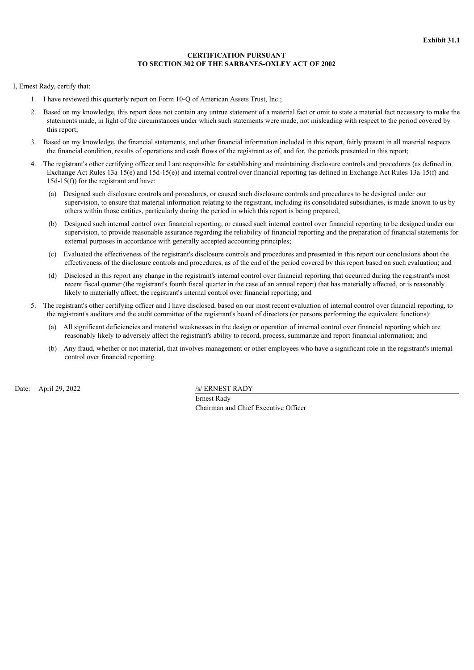<span id="page-53-0"></span>I, Ernest Rady, certify that:

- 1. I have reviewed this quarterly report on Form 10-Q of American Assets Trust, Inc.;
- 2. Based on my knowledge, this report does not contain any untrue statement of a material fact or omit to state a material fact necessary to make the statements made, in light of the circumstances under which such statements were made, not misleading with respect to the period covered by this report;
- 3. Based on my knowledge, the financial statements, and other financial information included in this report, fairly present in all material respects the financial condition, results of operations and cash flows of the registrant as of, and for, the periods presented in this report;
- 4. The registrant's other certifying officer and I are responsible for establishing and maintaining disclosure controls and procedures (as defined in Exchange Act Rules 13a-15(e) and 15d-15(e)) and internal control over financial reporting (as defined in Exchange Act Rules 13a-15(f) and 15d-15(f)) for the registrant and have:
	- Designed such disclosure controls and procedures, or caused such disclosure controls and procedures to be designed under our supervision, to ensure that material information relating to the registrant, including its consolidated subsidiaries, is made known to us by others within those entities, particularly during the period in which this report is being prepared;
	- (b) Designed such internal control over financial reporting, or caused such internal control over financial reporting to be designed under our supervision, to provide reasonable assurance regarding the reliability of financial reporting and the preparation of financial statements for external purposes in accordance with generally accepted accounting principles;
	- (c) Evaluated the effectiveness of the registrant's disclosure controls and procedures and presented in this report our conclusions about the effectiveness of the disclosure controls and procedures, as of the end of the period covered by this report based on such evaluation; and
	- (d) Disclosed in this report any change in the registrant's internal control over financial reporting that occurred during the registrant's most recent fiscal quarter (the registrant's fourth fiscal quarter in the case of an annual report) that has materially affected, or is reasonably likely to materially affect, the registrant's internal control over financial reporting; and
- 5. The registrant's other certifying officer and I have disclosed, based on our most recent evaluation of internal control over financial reporting, to the registrant's auditors and the audit committee of the registrant's board of directors (or persons performing the equivalent functions):
	- (a) All significant deficiencies and material weaknesses in the design or operation of internal control over financial reporting which are reasonably likely to adversely affect the registrant's ability to record, process, summarize and report financial information; and
	- (b) Any fraud, whether or not material, that involves management or other employees who have a significant role in the registrant's internal control over financial reporting.

Date: April 29, 2022 /s/ ERNEST RADY

Ernest Rady Chairman and Chief Executive Officer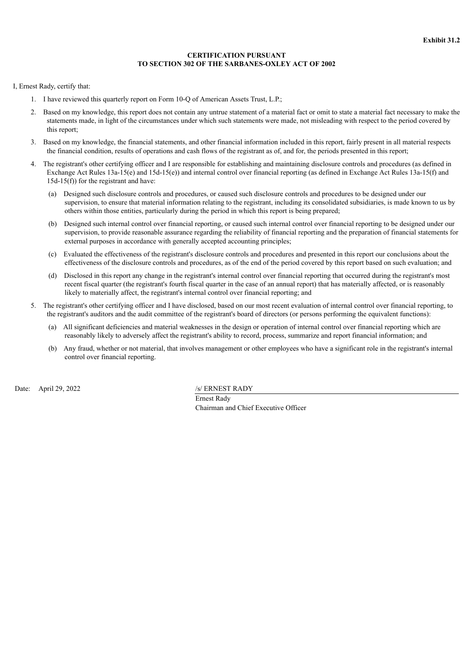<span id="page-54-0"></span>I, Ernest Rady, certify that:

- 1. I have reviewed this quarterly report on Form 10-Q of American Assets Trust, L.P.;
- 2. Based on my knowledge, this report does not contain any untrue statement of a material fact or omit to state a material fact necessary to make the statements made, in light of the circumstances under which such statements were made, not misleading with respect to the period covered by this report;
- 3. Based on my knowledge, the financial statements, and other financial information included in this report, fairly present in all material respects the financial condition, results of operations and cash flows of the registrant as of, and for, the periods presented in this report;
- 4. The registrant's other certifying officer and I are responsible for establishing and maintaining disclosure controls and procedures (as defined in Exchange Act Rules 13a-15(e) and 15d-15(e)) and internal control over financial reporting (as defined in Exchange Act Rules 13a-15(f) and 15d-15(f)) for the registrant and have:
	- Designed such disclosure controls and procedures, or caused such disclosure controls and procedures to be designed under our supervision, to ensure that material information relating to the registrant, including its consolidated subsidiaries, is made known to us by others within those entities, particularly during the period in which this report is being prepared;
	- (b) Designed such internal control over financial reporting, or caused such internal control over financial reporting to be designed under our supervision, to provide reasonable assurance regarding the reliability of financial reporting and the preparation of financial statements for external purposes in accordance with generally accepted accounting principles;
	- (c) Evaluated the effectiveness of the registrant's disclosure controls and procedures and presented in this report our conclusions about the effectiveness of the disclosure controls and procedures, as of the end of the period covered by this report based on such evaluation; and
	- (d) Disclosed in this report any change in the registrant's internal control over financial reporting that occurred during the registrant's most recent fiscal quarter (the registrant's fourth fiscal quarter in the case of an annual report) that has materially affected, or is reasonably likely to materially affect, the registrant's internal control over financial reporting; and
- 5. The registrant's other certifying officer and I have disclosed, based on our most recent evaluation of internal control over financial reporting, to the registrant's auditors and the audit committee of the registrant's board of directors (or persons performing the equivalent functions):
	- (a) All significant deficiencies and material weaknesses in the design or operation of internal control over financial reporting which are reasonably likely to adversely affect the registrant's ability to record, process, summarize and report financial information; and
	- (b) Any fraud, whether or not material, that involves management or other employees who have a significant role in the registrant's internal control over financial reporting.

Date: April 29, 2022 /s/ ERNEST RADY

Ernest Rady Chairman and Chief Executive Officer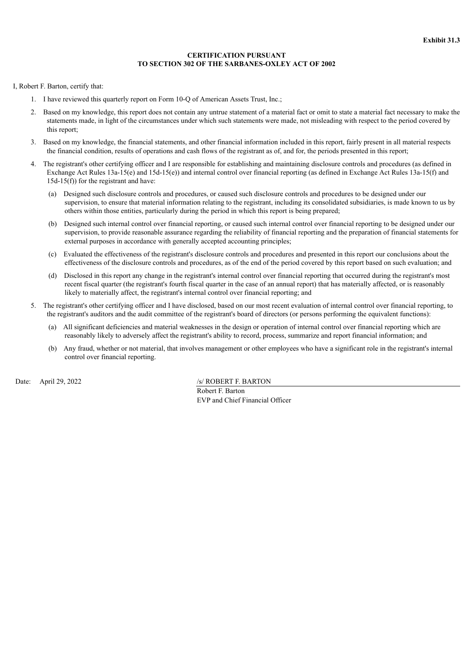<span id="page-55-0"></span>I, Robert F. Barton, certify that:

- 1. I have reviewed this quarterly report on Form 10-Q of American Assets Trust, Inc.;
- 2. Based on my knowledge, this report does not contain any untrue statement of a material fact or omit to state a material fact necessary to make the statements made, in light of the circumstances under which such statements were made, not misleading with respect to the period covered by this report;
- 3. Based on my knowledge, the financial statements, and other financial information included in this report, fairly present in all material respects the financial condition, results of operations and cash flows of the registrant as of, and for, the periods presented in this report;
- 4. The registrant's other certifying officer and I are responsible for establishing and maintaining disclosure controls and procedures (as defined in Exchange Act Rules 13a-15(e) and 15d-15(e)) and internal control over financial reporting (as defined in Exchange Act Rules 13a-15(f) and 15d-15(f)) for the registrant and have:
	- Designed such disclosure controls and procedures, or caused such disclosure controls and procedures to be designed under our supervision, to ensure that material information relating to the registrant, including its consolidated subsidiaries, is made known to us by others within those entities, particularly during the period in which this report is being prepared;
	- (b) Designed such internal control over financial reporting, or caused such internal control over financial reporting to be designed under our supervision, to provide reasonable assurance regarding the reliability of financial reporting and the preparation of financial statements for external purposes in accordance with generally accepted accounting principles;
	- (c) Evaluated the effectiveness of the registrant's disclosure controls and procedures and presented in this report our conclusions about the effectiveness of the disclosure controls and procedures, as of the end of the period covered by this report based on such evaluation; and
	- (d) Disclosed in this report any change in the registrant's internal control over financial reporting that occurred during the registrant's most recent fiscal quarter (the registrant's fourth fiscal quarter in the case of an annual report) that has materially affected, or is reasonably likely to materially affect, the registrant's internal control over financial reporting; and
- 5. The registrant's other certifying officer and I have disclosed, based on our most recent evaluation of internal control over financial reporting, to the registrant's auditors and the audit committee of the registrant's board of directors (or persons performing the equivalent functions):
	- (a) All significant deficiencies and material weaknesses in the design or operation of internal control over financial reporting which are reasonably likely to adversely affect the registrant's ability to record, process, summarize and report financial information; and
	- (b) Any fraud, whether or not material, that involves management or other employees who have a significant role in the registrant's internal control over financial reporting.

Date: April 29, 2022 /s/ ROBERT F. BARTON Robert F. Barton EVP and Chief Financial Officer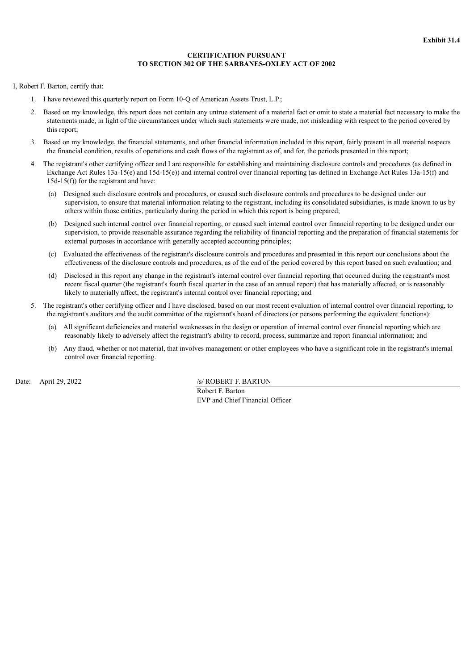<span id="page-56-0"></span>I, Robert F. Barton, certify that:

- 1. I have reviewed this quarterly report on Form 10-Q of American Assets Trust, L.P.;
- 2. Based on my knowledge, this report does not contain any untrue statement of a material fact or omit to state a material fact necessary to make the statements made, in light of the circumstances under which such statements were made, not misleading with respect to the period covered by this report;
- 3. Based on my knowledge, the financial statements, and other financial information included in this report, fairly present in all material respects the financial condition, results of operations and cash flows of the registrant as of, and for, the periods presented in this report;
- 4. The registrant's other certifying officer and I are responsible for establishing and maintaining disclosure controls and procedures (as defined in Exchange Act Rules 13a-15(e) and 15d-15(e)) and internal control over financial reporting (as defined in Exchange Act Rules 13a-15(f) and 15d-15(f)) for the registrant and have:
	- Designed such disclosure controls and procedures, or caused such disclosure controls and procedures to be designed under our supervision, to ensure that material information relating to the registrant, including its consolidated subsidiaries, is made known to us by others within those entities, particularly during the period in which this report is being prepared;
	- (b) Designed such internal control over financial reporting, or caused such internal control over financial reporting to be designed under our supervision, to provide reasonable assurance regarding the reliability of financial reporting and the preparation of financial statements for external purposes in accordance with generally accepted accounting principles;
	- (c) Evaluated the effectiveness of the registrant's disclosure controls and procedures and presented in this report our conclusions about the effectiveness of the disclosure controls and procedures, as of the end of the period covered by this report based on such evaluation; and
	- (d) Disclosed in this report any change in the registrant's internal control over financial reporting that occurred during the registrant's most recent fiscal quarter (the registrant's fourth fiscal quarter in the case of an annual report) that has materially affected, or is reasonably likely to materially affect, the registrant's internal control over financial reporting; and
- 5. The registrant's other certifying officer and I have disclosed, based on our most recent evaluation of internal control over financial reporting, to the registrant's auditors and the audit committee of the registrant's board of directors (or persons performing the equivalent functions):
	- (a) All significant deficiencies and material weaknesses in the design or operation of internal control over financial reporting which are reasonably likely to adversely affect the registrant's ability to record, process, summarize and report financial information; and
	- (b) Any fraud, whether or not material, that involves management or other employees who have a significant role in the registrant's internal control over financial reporting.

Date: April 29, 2022 /s/ ROBERT F. BARTON Robert F. Barton EVP and Chief Financial Officer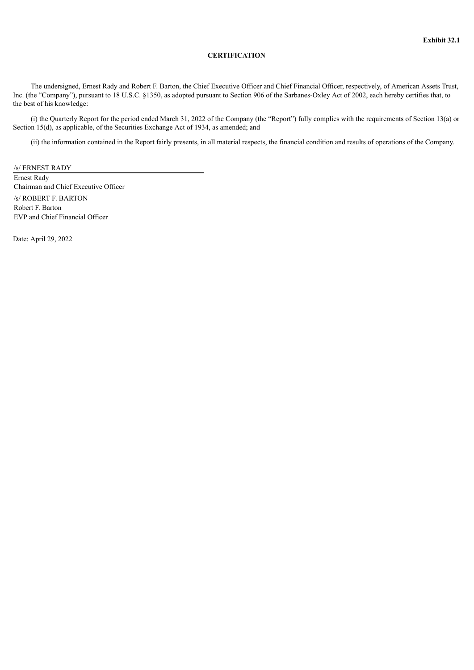#### **CERTIFICATION**

<span id="page-57-0"></span>The undersigned, Ernest Rady and Robert F. Barton, the Chief Executive Officer and Chief Financial Officer, respectively, of American Assets Trust, Inc. (the "Company"), pursuant to 18 U.S.C. §1350, as adopted pursuant to Section 906 of the Sarbanes-Oxley Act of 2002, each hereby certifies that, to the best of his knowledge:

(i) the Quarterly Report for the period ended March 31, 2022 of the Company (the "Report") fully complies with the requirements of Section 13(a) or Section 15(d), as applicable, of the Securities Exchange Act of 1934, as amended; and

(ii) the information contained in the Report fairly presents, in all material respects, the financial condition and results of operations of the Company.

/s/ ERNEST RADY Ernest Rady Chairman and Chief Executive Officer /s/ ROBERT F. BARTON Robert F. Barton EVP and Chief Financial Officer

Date: April 29, 2022